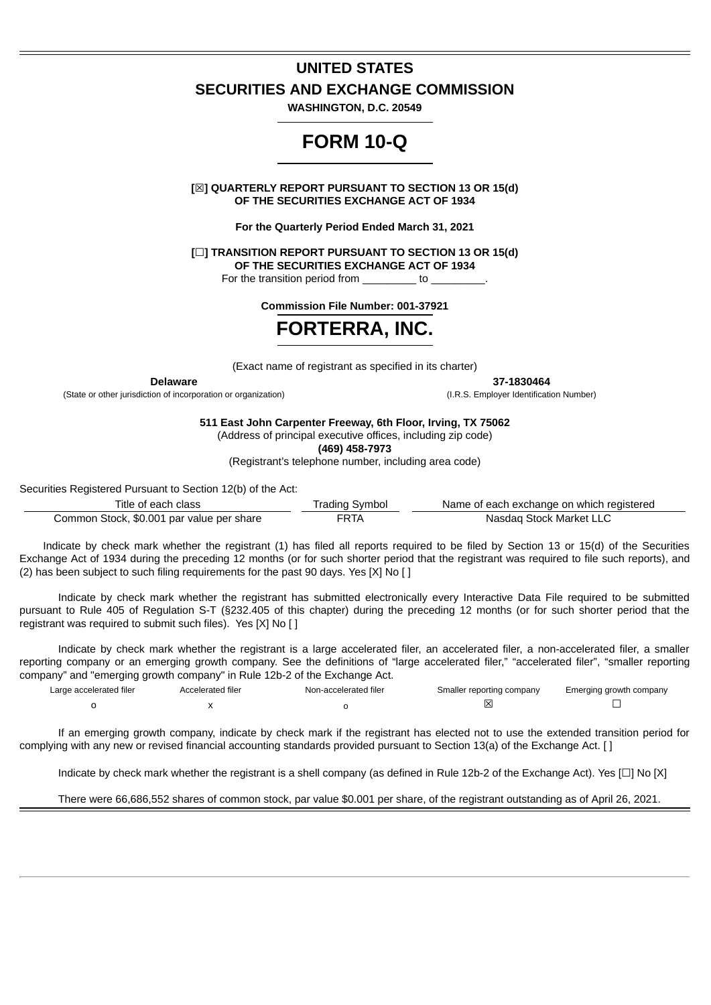## **UNITED STATES**

## **SECURITIES AND EXCHANGE COMMISSION**

**WASHINGTON, D.C. 20549**

# **FORM 10-Q**

**[**☒**] QUARTERLY REPORT PURSUANT TO SECTION 13 OR 15(d) OF THE SECURITIES EXCHANGE ACT OF 1934**

**For the Quarterly Period Ended March 31, 2021**

**[**☐**] TRANSITION REPORT PURSUANT TO SECTION 13 OR 15(d) OF THE SECURITIES EXCHANGE ACT OF 1934**

For the transition period from  $10$ 

**Commission File Number: 001-37921**

# **FORTERRA, INC.**

(Exact name of registrant as specified in its charter)

(State or other jurisdiction of incorporation or organization) (I.R.S. Employer Identification Number)

**Delaware 37-1830464**

**511 East John Carpenter Freeway, 6th Floor, Irving, TX 75062**

(Address of principal executive offices, including zip code)

**(469) 458-7973**

(Registrant's telephone number, including area code)

Securities Registered Pursuant to Section 12(b) of the Act:

| Title of each class                       | Trading Symbol | Name of each exchange on which registered |
|-------------------------------------------|----------------|-------------------------------------------|
| Common Stock, \$0.001 par value per share | FRTA           | Nasdag Stock Market LLC                   |

Indicate by check mark whether the registrant (1) has filed all reports required to be filed by Section 13 or 15(d) of the Securities Exchange Act of 1934 during the preceding 12 months (or for such shorter period that the registrant was required to file such reports), and (2) has been subject to such filing requirements for the past 90 days. Yes [X] No [ ]

Indicate by check mark whether the registrant has submitted electronically every Interactive Data File required to be submitted pursuant to Rule 405 of Regulation S-T (§232.405 of this chapter) during the preceding 12 months (or for such shorter period that the registrant was required to submit such files). Yes [X] No [ ]

Indicate by check mark whether the registrant is a large accelerated filer, an accelerated filer, a non-accelerated filer, a smaller reporting company or an emerging growth company. See the definitions of "large accelerated filer," "accelerated filer", "smaller reporting company" and "emerging growth company" in Rule 12b-2 of the Exchange Act.

| Large accelerated filer | <b>Accelerated filer</b> | Non-accelerated filer | Smaller reporting company | Emerging growth company |
|-------------------------|--------------------------|-----------------------|---------------------------|-------------------------|
|                         |                          |                       |                           |                         |

If an emerging growth company, indicate by check mark if the registrant has elected not to use the extended transition period for complying with any new or revised financial accounting standards provided pursuant to Section 13(a) of the Exchange Act. [ ]

Indicate by check mark whether the registrant is a shell company (as defined in Rule 12b-2 of the Exchange Act). Yes [☐] No [X]

There were 66,686,552 shares of common stock, par value \$0.001 per share, of the registrant outstanding as of April 26, 2021.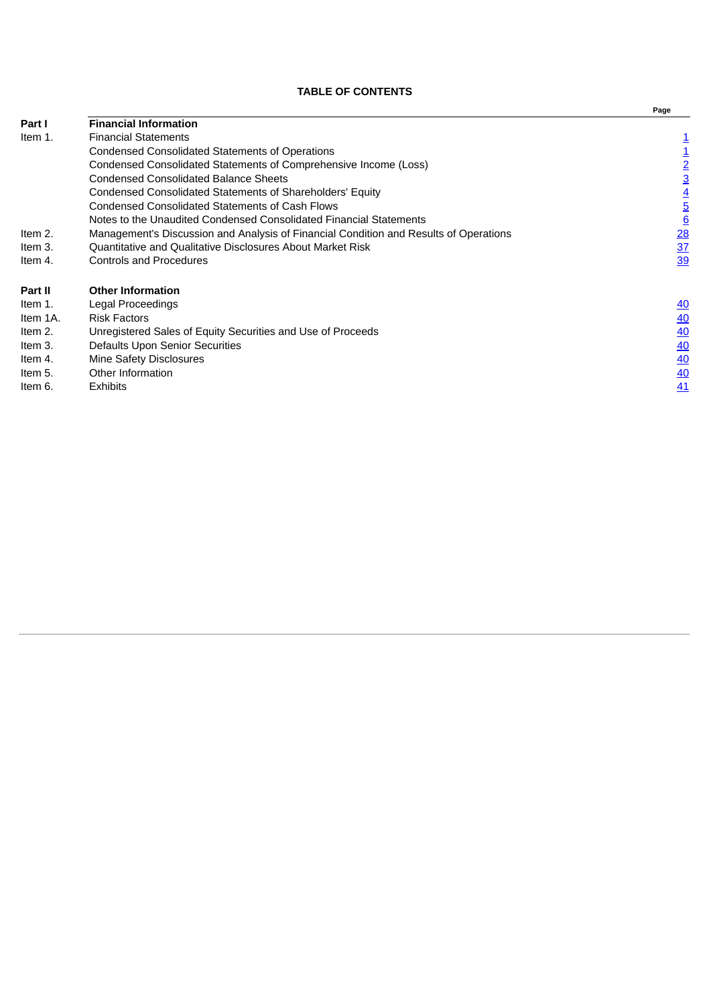# **TABLE OF CONTENTS**

<span id="page-1-0"></span>

|                |                                                                                       | гаус            |
|----------------|---------------------------------------------------------------------------------------|-----------------|
| <b>Part I</b>  | <b>Financial Information</b>                                                          |                 |
| Item 1.        | <b>Financial Statements</b>                                                           |                 |
|                | <b>Condensed Consolidated Statements of Operations</b>                                |                 |
|                | Condensed Consolidated Statements of Comprehensive Income (Loss)                      | $\overline{2}$  |
|                | <b>Condensed Consolidated Balance Sheets</b>                                          | <u>3</u>        |
|                | Condensed Consolidated Statements of Shareholders' Equity                             |                 |
|                | Condensed Consolidated Statements of Cash Flows                                       | <u>5</u>        |
|                | Notes to the Unaudited Condensed Consolidated Financial Statements                    | 6               |
| Item 2.        | Management's Discussion and Analysis of Financial Condition and Results of Operations | $\overline{28}$ |
| Item 3.        | Quantitative and Qualitative Disclosures About Market Risk                            | 37              |
| Item 4.        | <b>Controls and Procedures</b>                                                        | <u>39</u>       |
| <b>Part II</b> | <b>Other Information</b>                                                              |                 |
| Item 1.        | Legal Proceedings                                                                     | 40              |
| Item 1A.       | <b>Risk Factors</b>                                                                   | <u>40</u>       |
| Item 2.        | Unregistered Sales of Equity Securities and Use of Proceeds                           | 40              |
| Item 3.        | Defaults Upon Senior Securities                                                       | 40              |
| Item 4.        | Mine Safety Disclosures                                                               | 40              |
| Item 5.        | Other Information                                                                     | 40              |
| Item 6.        | <b>Exhibits</b>                                                                       | 41              |
|                |                                                                                       |                 |

**Page**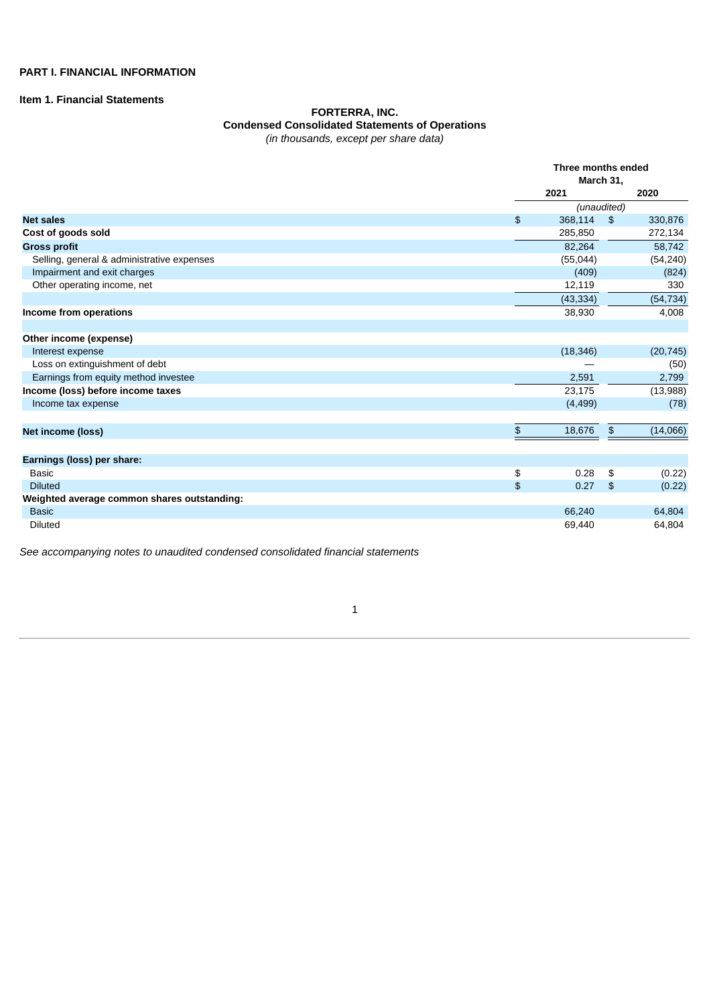# **PART I. FINANCIAL INFORMATION**

# <span id="page-2-0"></span>**Item 1. Financial Statements**

## **FORTERRA, INC. Condensed Consolidated Statements of Operations** *(in thousands, except per share data)*

|                                             |                             | Three months ended<br>March 31, |               |           |  |
|---------------------------------------------|-----------------------------|---------------------------------|---------------|-----------|--|
|                                             |                             | 2021                            |               | 2020      |  |
|                                             |                             | (unaudited)                     |               |           |  |
| <b>Net sales</b>                            | $\frac{2}{3}$               | 368,114                         | $\frac{2}{3}$ | 330,876   |  |
| Cost of goods sold                          |                             | 285,850                         |               | 272,134   |  |
| <b>Gross profit</b>                         |                             | 82,264                          |               | 58,742    |  |
| Selling, general & administrative expenses  |                             | (55,044)                        |               | (54, 240) |  |
| Impairment and exit charges                 |                             | (409)                           |               | (824)     |  |
| Other operating income, net                 |                             | 12,119                          |               | 330       |  |
|                                             |                             | (43, 334)                       |               | (54, 734) |  |
| Income from operations                      |                             | 38,930                          |               | 4,008     |  |
|                                             |                             |                                 |               |           |  |
| Other income (expense)                      |                             |                                 |               |           |  |
| Interest expense                            |                             | (18, 346)                       |               | (20, 745) |  |
| Loss on extinguishment of debt              |                             |                                 |               | (50)      |  |
| Earnings from equity method investee        |                             | 2,591                           |               | 2,799     |  |
| Income (loss) before income taxes           |                             | 23,175                          |               | (13,988)  |  |
| Income tax expense                          |                             | (4, 499)                        |               | (78)      |  |
|                                             |                             |                                 |               |           |  |
| Net income (loss)                           | $\boldsymbol{\mathfrak{s}}$ | 18,676                          | $\, \, \$$    | (14,066)  |  |
|                                             |                             |                                 |               |           |  |
| Earnings (loss) per share:                  |                             |                                 |               |           |  |
| <b>Basic</b>                                | \$                          | 0.28                            | \$            | (0.22)    |  |
| <b>Diluted</b>                              | \$                          | 0.27                            | $\frac{1}{2}$ | (0.22)    |  |
| Weighted average common shares outstanding: |                             |                                 |               |           |  |
| <b>Basic</b>                                |                             | 66,240                          |               | 64,804    |  |
| <b>Diluted</b>                              |                             | 69,440                          |               | 64,804    |  |

<span id="page-2-1"></span>*See accompanying notes to unaudited condensed consolidated financial statements*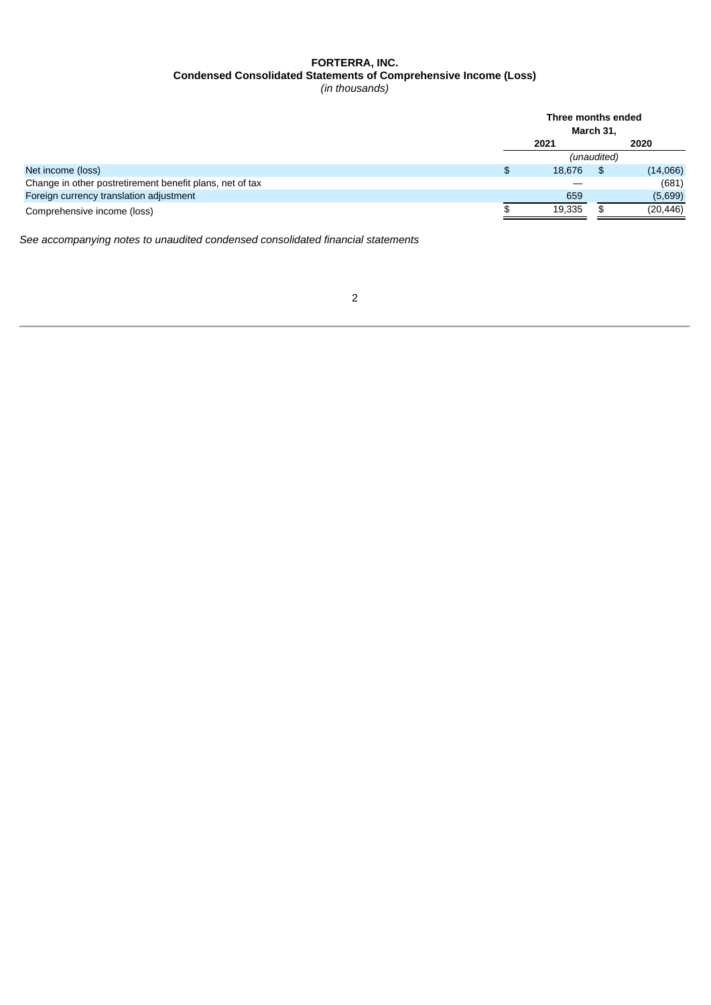# **FORTERRA, INC. Condensed Consolidated Statements of Comprehensive Income (Loss)**

*(in thousands)*

| Three months ended<br>March 31, |     |             |  |
|---------------------------------|-----|-------------|--|
| 2021                            |     | 2020        |  |
|                                 |     |             |  |
| \$<br>18,676                    | \$. | (14,066)    |  |
|                                 |     | (681)       |  |
| 659                             |     | (5,699)     |  |
| 19,335                          |     | (20,446)    |  |
|                                 |     | (unaudited) |  |

<span id="page-3-0"></span>*See accompanying notes to unaudited condensed consolidated financial statements*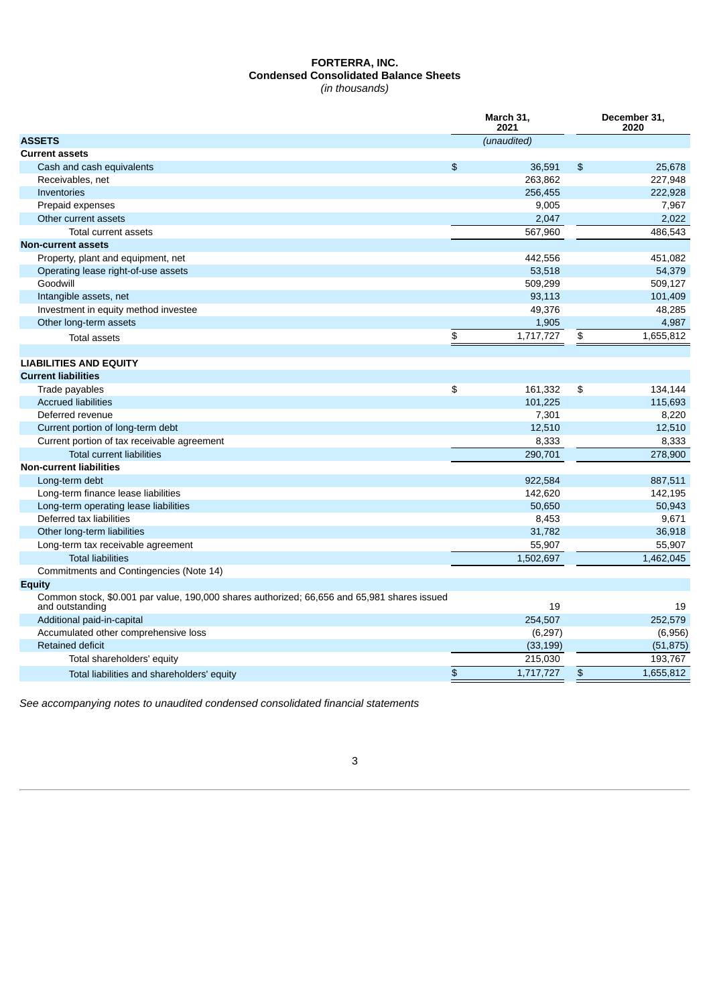# **FORTERRA, INC. Condensed Consolidated Balance Sheets**

*(in thousands)*

|                                                                                                                | March 31,<br>2021 |             |               | December 31,<br>2020 |
|----------------------------------------------------------------------------------------------------------------|-------------------|-------------|---------------|----------------------|
| <b>ASSETS</b>                                                                                                  |                   | (unaudited) |               |                      |
| <b>Current assets</b>                                                                                          |                   |             |               |                      |
| Cash and cash equivalents                                                                                      | $\frac{1}{2}$     | 36,591      | $\frac{2}{3}$ | 25,678               |
| Receivables, net                                                                                               |                   | 263,862     |               | 227,948              |
| Inventories                                                                                                    |                   | 256,455     |               | 222,928              |
| Prepaid expenses                                                                                               |                   | 9,005       |               | 7,967                |
| Other current assets                                                                                           |                   | 2,047       |               | 2,022                |
| Total current assets                                                                                           |                   | 567.960     |               | 486.543              |
| <b>Non-current assets</b>                                                                                      |                   |             |               |                      |
| Property, plant and equipment, net                                                                             |                   | 442,556     |               | 451,082              |
| Operating lease right-of-use assets                                                                            |                   | 53,518      |               | 54,379               |
| Goodwill                                                                                                       |                   | 509,299     |               | 509,127              |
| Intangible assets, net                                                                                         |                   | 93.113      |               | 101,409              |
| Investment in equity method investee                                                                           |                   | 49,376      |               | 48,285               |
| Other long-term assets                                                                                         |                   | 1,905       |               | 4,987                |
| <b>Total assets</b>                                                                                            | \$                | 1,717,727   | \$            | 1,655,812            |
|                                                                                                                |                   |             |               |                      |
| <b>LIABILITIES AND EQUITY</b>                                                                                  |                   |             |               |                      |
| <b>Current liabilities</b>                                                                                     |                   |             |               |                      |
| Trade payables                                                                                                 | \$                | 161,332     | \$            | 134,144              |
| <b>Accrued liabilities</b>                                                                                     |                   | 101,225     |               | 115,693              |
| Deferred revenue                                                                                               |                   | 7,301       |               | 8,220                |
| Current portion of long-term debt                                                                              |                   | 12,510      |               | 12,510               |
| Current portion of tax receivable agreement                                                                    |                   | 8,333       |               | 8,333                |
| <b>Total current liabilities</b>                                                                               |                   | 290,701     |               | 278,900              |
| <b>Non-current liabilities</b>                                                                                 |                   |             |               |                      |
| Long-term debt                                                                                                 |                   | 922,584     |               | 887,511              |
| Long-term finance lease liabilities                                                                            |                   | 142,620     |               | 142,195              |
| Long-term operating lease liabilities                                                                          |                   | 50.650      |               | 50.943               |
| Deferred tax liabilities                                                                                       |                   | 8,453       |               | 9,671                |
| Other long-term liabilities                                                                                    |                   | 31,782      |               | 36,918               |
| Long-term tax receivable agreement                                                                             |                   | 55,907      |               | 55,907               |
| <b>Total liabilities</b>                                                                                       |                   | 1,502,697   |               | 1,462,045            |
| Commitments and Contingencies (Note 14)                                                                        |                   |             |               |                      |
| <b>Equity</b>                                                                                                  |                   |             |               |                      |
| Common stock, \$0.001 par value, 190,000 shares authorized; 66,656 and 65,981 shares issued<br>and outstanding |                   | 19          |               | 19                   |
| Additional paid-in-capital                                                                                     |                   | 254,507     |               | 252,579              |
| Accumulated other comprehensive loss                                                                           |                   | (6, 297)    |               | (6,956)              |
| <b>Retained deficit</b>                                                                                        |                   | (33, 199)   |               | (51, 875)            |
| Total shareholders' equity                                                                                     |                   | 215.030     |               | 193.767              |
| Total liabilities and shareholders' equity                                                                     | \$                | 1,717,727   | $\frac{2}{3}$ | 1,655,812            |
|                                                                                                                |                   |             |               |                      |

<span id="page-4-0"></span>*See accompanying notes to unaudited condensed consolidated financial statements*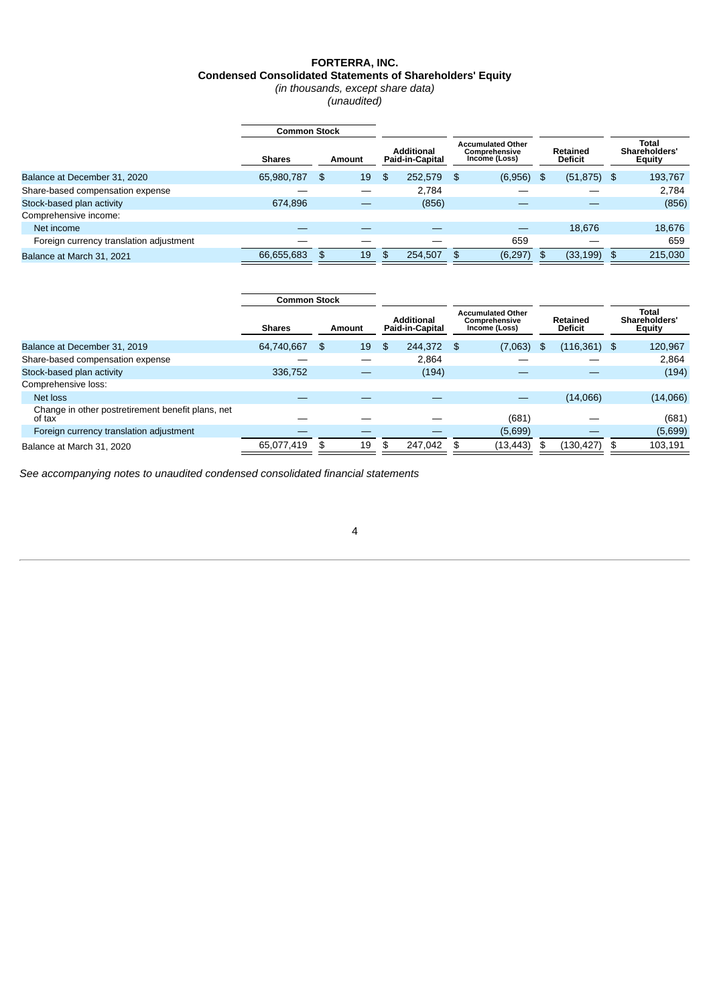# **FORTERRA, INC. Condensed Consolidated Statements of Shareholders' Equity**

*(in thousands, except share data) (unaudited)*

|                                         | <b>Common Stock</b> |          |                                      |                                                            |          |                            |                |                                         |         |
|-----------------------------------------|---------------------|----------|--------------------------------------|------------------------------------------------------------|----------|----------------------------|----------------|-----------------------------------------|---------|
|                                         | <b>Shares</b>       | Amount   | <b>Additional</b><br>Paid-in-Capital | <b>Accumulated Other</b><br>Comprehensive<br>Income (Loss) |          | Retained<br><b>Deficit</b> |                | Total<br>Shareholders'<br><b>Equity</b> |         |
| Balance at December 31, 2020            | 65,980,787          | \$<br>19 | \$<br>252.579                        | - \$                                                       | (6,956)  | \$                         | $(51, 875)$ \$ |                                         | 193,767 |
| Share-based compensation expense        |                     |          | 2.784                                |                                                            |          |                            |                |                                         | 2.784   |
| Stock-based plan activity               | 674.896             |          | (856)                                |                                                            |          |                            |                |                                         | (856)   |
| Comprehensive income:                   |                     |          |                                      |                                                            |          |                            |                |                                         |         |
| Net income                              |                     |          |                                      |                                                            |          |                            | 18,676         |                                         | 18,676  |
| Foreign currency translation adjustment |                     |          |                                      |                                                            | 659      |                            |                |                                         | 659     |
| Balance at March 31, 2021               | 66.655.683          | \$<br>19 | \$<br>254,507                        | - \$                                                       | (6, 297) | \$                         | (33, 199)      | \$                                      | 215,030 |

|                                                             | <b>Common Stock</b> |          |                                      |                                                            |    |                            |    |          |  |                                         |
|-------------------------------------------------------------|---------------------|----------|--------------------------------------|------------------------------------------------------------|----|----------------------------|----|----------|--|-----------------------------------------|
|                                                             | <b>Shares</b>       | Amount   | <b>Additional</b><br>Paid-in-Capital | <b>Accumulated Other</b><br>Comprehensive<br>Income (Loss) |    | Retained<br><b>Deficit</b> |    |          |  | Total<br>Shareholders'<br><b>Equity</b> |
| Balance at December 31, 2019                                | 64,740,667          | \$<br>19 | \$<br>244,372 \$                     | (7,063)                                                    | \$ | $(116, 361)$ \$            |    | 120,967  |  |                                         |
| Share-based compensation expense                            |                     |          | 2.864                                |                                                            |    |                            |    | 2,864    |  |                                         |
| Stock-based plan activity                                   | 336,752             |          | (194)                                |                                                            |    |                            |    | (194)    |  |                                         |
| Comprehensive loss:                                         |                     |          |                                      |                                                            |    |                            |    |          |  |                                         |
| Net loss                                                    |                     |          |                                      |                                                            |    | (14,066)                   |    | (14,066) |  |                                         |
| Change in other postretirement benefit plans, net<br>of tax |                     |          |                                      | (681)                                                      |    |                            |    | (681)    |  |                                         |
| Foreign currency translation adjustment                     |                     |          |                                      | (5,699)                                                    |    |                            |    | (5,699)  |  |                                         |
| Balance at March 31, 2020                                   | 65,077,419          | \$<br>19 | \$<br>247,042                        | \$<br>(13,443)                                             | \$ | (130, 427)                 | \$ | 103,191  |  |                                         |

<span id="page-5-0"></span>*See accompanying notes to unaudited condensed consolidated financial statements*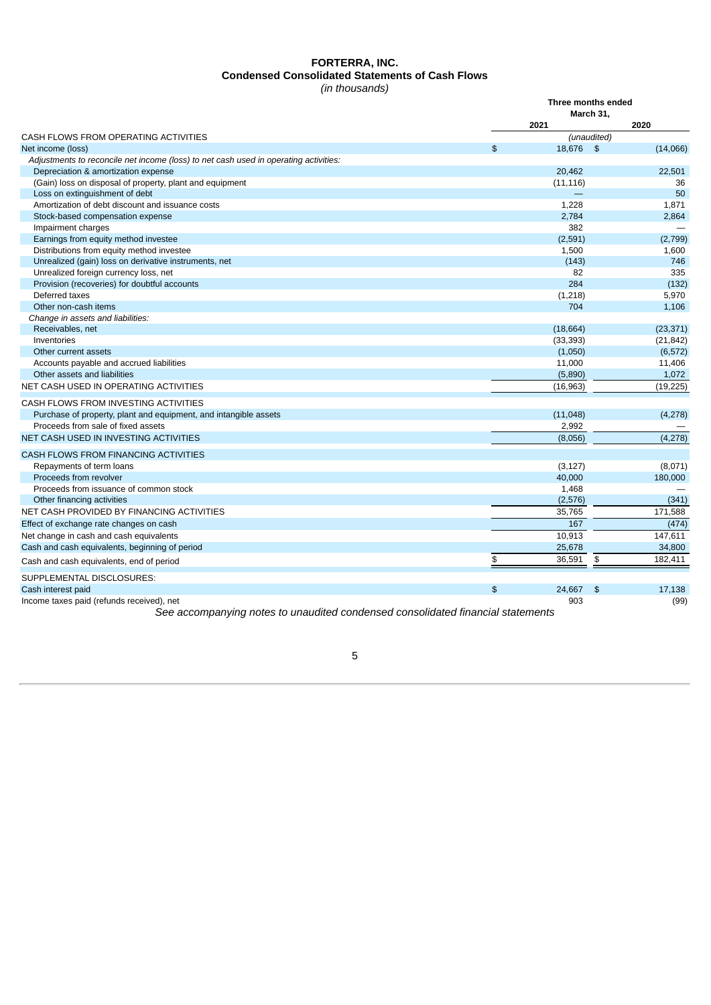## **FORTERRA, INC. Condensed Consolidated Statements of Cash Flows** *(in thousands)*

|                                                                                      | Three months ended |             |               |
|--------------------------------------------------------------------------------------|--------------------|-------------|---------------|
|                                                                                      |                    | March 31,   |               |
|                                                                                      |                    | 2021        | 2020          |
| CASH FLOWS FROM OPERATING ACTIVITIES                                                 |                    | (unaudited) |               |
| Net income (loss)                                                                    | \$                 | 18.676 \$   | (14,066)      |
| Adjustments to reconcile net income (loss) to net cash used in operating activities: |                    |             |               |
| Depreciation & amortization expense                                                  |                    | 20,462      | 22,501        |
| (Gain) loss on disposal of property, plant and equipment                             |                    | (11, 116)   | 36            |
| Loss on extinguishment of debt                                                       |                    |             | 50            |
| Amortization of debt discount and issuance costs                                     |                    | 1,228       | 1,871         |
| Stock-based compensation expense                                                     |                    | 2,784       | 2,864         |
| Impairment charges                                                                   |                    | 382         |               |
| Earnings from equity method investee                                                 |                    | (2,591)     | (2,799)       |
| Distributions from equity method investee                                            |                    | 1,500       | 1,600         |
| Unrealized (gain) loss on derivative instruments, net                                |                    | (143)       | 746           |
| Unrealized foreign currency loss, net                                                |                    | 82          | 335           |
| Provision (recoveries) for doubtful accounts                                         |                    | 284         | (132)         |
| Deferred taxes                                                                       |                    | (1,218)     | 5,970         |
| Other non-cash items                                                                 |                    | 704         | 1,106         |
| Change in assets and liabilities:                                                    |                    |             |               |
| Receivables, net                                                                     |                    | (18, 664)   | (23, 371)     |
| Inventories                                                                          |                    | (33, 393)   | (21, 842)     |
| Other current assets                                                                 |                    | (1,050)     | (6, 572)      |
| Accounts payable and accrued liabilities                                             |                    | 11,000      | 11,406        |
| Other assets and liabilities                                                         |                    | (5,890)     | 1,072         |
| NET CASH USED IN OPERATING ACTIVITIES                                                |                    | (16, 963)   | (19, 225)     |
| CASH FLOWS FROM INVESTING ACTIVITIES                                                 |                    |             |               |
| Purchase of property, plant and equipment, and intangible assets                     |                    | (11,048)    | (4, 278)      |
| Proceeds from sale of fixed assets                                                   |                    | 2,992       |               |
| NET CASH USED IN INVESTING ACTIVITIES                                                |                    | (8,056)     | (4, 278)      |
| CASH FLOWS FROM FINANCING ACTIVITIES                                                 |                    |             |               |
| Repayments of term loans                                                             |                    | (3, 127)    | (8,071)       |
| Proceeds from revolver                                                               |                    | 40,000      | 180,000       |
| Proceeds from issuance of common stock                                               |                    | 1,468       |               |
| Other financing activities                                                           |                    | (2,576)     | (341)         |
| NET CASH PROVIDED BY FINANCING ACTIVITIES                                            |                    | 35,765      | 171,588       |
| Effect of exchange rate changes on cash                                              |                    | 167         | (474)         |
| Net change in cash and cash equivalents                                              |                    | 10,913      | 147,611       |
| Cash and cash equivalents, beginning of period                                       |                    | 25,678      | 34,800        |
|                                                                                      | \$                 | 36,591      | \$<br>182,411 |
| Cash and cash equivalents, end of period                                             |                    |             |               |
| SUPPLEMENTAL DISCLOSURES:                                                            |                    |             |               |
| Cash interest paid                                                                   | \$                 | 24.667      | 17,138<br>\$  |
| Income taxes paid (refunds received), net                                            |                    | 903         | (99)          |

<span id="page-6-0"></span>*See accompanying notes to unaudited condensed consolidated financial statements*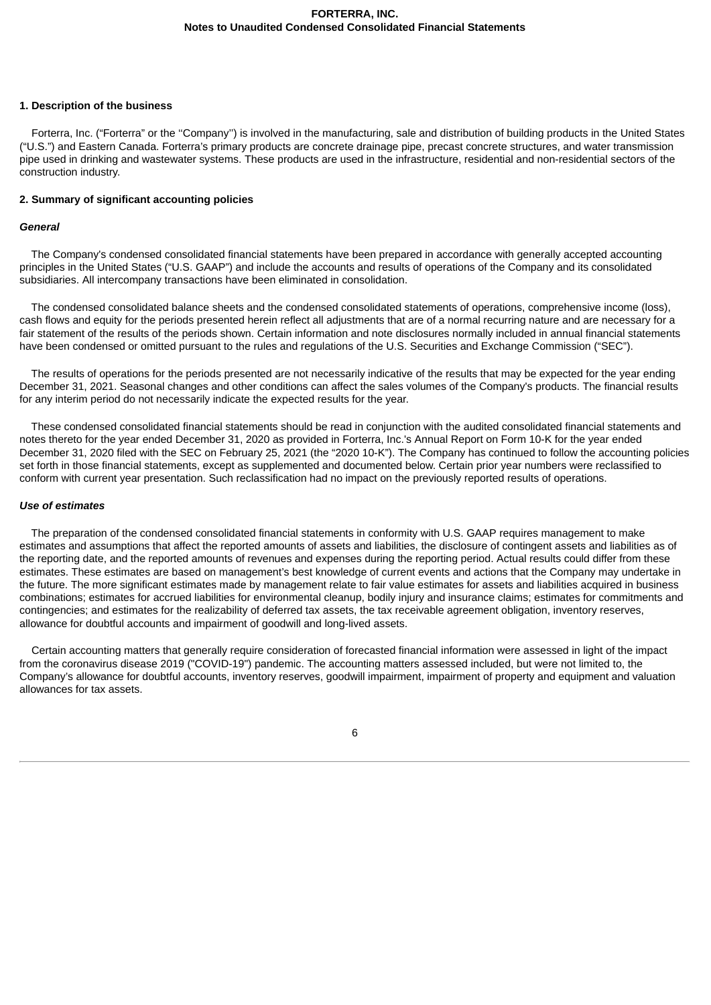#### **1. Description of the business**

Forterra, Inc. ("Forterra" or the ''Company'') is involved in the manufacturing, sale and distribution of building products in the United States ("U.S.") and Eastern Canada. Forterra's primary products are concrete drainage pipe, precast concrete structures, and water transmission pipe used in drinking and wastewater systems. These products are used in the infrastructure, residential and non-residential sectors of the construction industry.

#### **2. Summary of significant accounting policies**

#### *General*

The Company's condensed consolidated financial statements have been prepared in accordance with generally accepted accounting principles in the United States ("U.S. GAAP") and include the accounts and results of operations of the Company and its consolidated subsidiaries. All intercompany transactions have been eliminated in consolidation.

The condensed consolidated balance sheets and the condensed consolidated statements of operations, comprehensive income (loss), cash flows and equity for the periods presented herein reflect all adjustments that are of a normal recurring nature and are necessary for a fair statement of the results of the periods shown. Certain information and note disclosures normally included in annual financial statements have been condensed or omitted pursuant to the rules and regulations of the U.S. Securities and Exchange Commission ("SEC").

The results of operations for the periods presented are not necessarily indicative of the results that may be expected for the year ending December 31, 2021. Seasonal changes and other conditions can affect the sales volumes of the Company's products. The financial results for any interim period do not necessarily indicate the expected results for the year.

These condensed consolidated financial statements should be read in conjunction with the audited consolidated financial statements and notes thereto for the year ended December 31, 2020 as provided in Forterra, Inc.'s Annual Report on Form 10-K for the year ended December 31, 2020 filed with the SEC on February 25, 2021 (the "2020 10-K"). The Company has continued to follow the accounting policies set forth in those financial statements, except as supplemented and documented below. Certain prior year numbers were reclassified to conform with current year presentation. Such reclassification had no impact on the previously reported results of operations.

#### *Use of estimates*

The preparation of the condensed consolidated financial statements in conformity with U.S. GAAP requires management to make estimates and assumptions that affect the reported amounts of assets and liabilities, the disclosure of contingent assets and liabilities as of the reporting date, and the reported amounts of revenues and expenses during the reporting period. Actual results could differ from these estimates. These estimates are based on management's best knowledge of current events and actions that the Company may undertake in the future. The more significant estimates made by management relate to fair value estimates for assets and liabilities acquired in business combinations; estimates for accrued liabilities for environmental cleanup, bodily injury and insurance claims; estimates for commitments and contingencies; and estimates for the realizability of deferred tax assets, the tax receivable agreement obligation, inventory reserves, allowance for doubtful accounts and impairment of goodwill and long-lived assets.

Certain accounting matters that generally require consideration of forecasted financial information were assessed in light of the impact from the coronavirus disease 2019 ("COVID-19") pandemic. The accounting matters assessed included, but were not limited to, the Company's allowance for doubtful accounts, inventory reserves, goodwill impairment, impairment of property and equipment and valuation allowances for tax assets.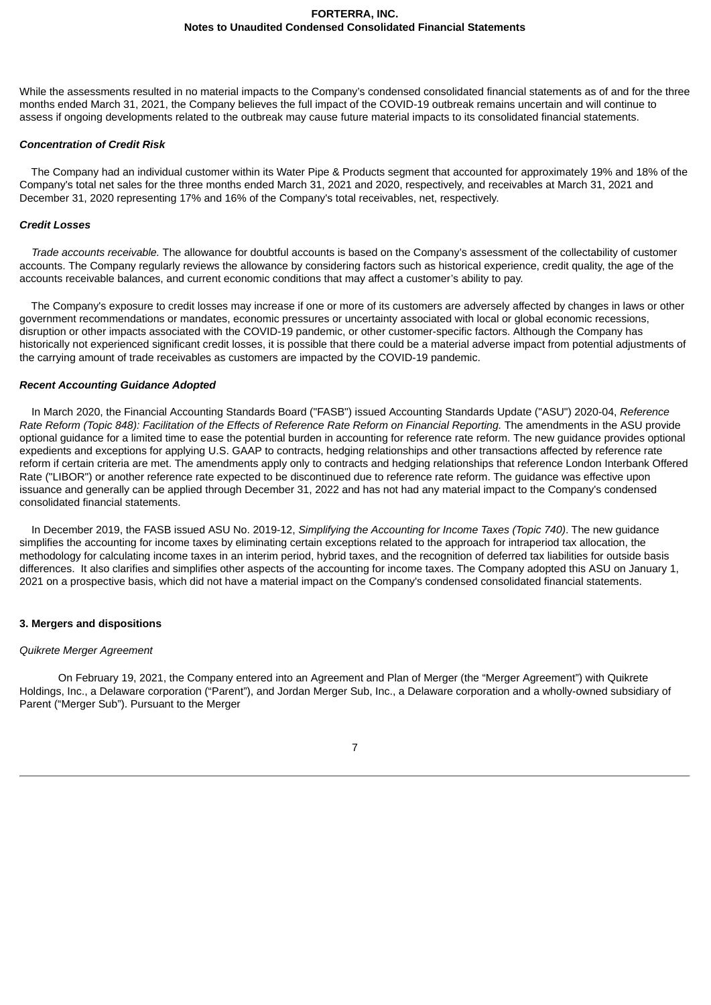While the assessments resulted in no material impacts to the Company's condensed consolidated financial statements as of and for the three months ended March 31, 2021, the Company believes the full impact of the COVID-19 outbreak remains uncertain and will continue to assess if ongoing developments related to the outbreak may cause future material impacts to its consolidated financial statements.

#### *Concentration of Credit Risk*

The Company had an individual customer within its Water Pipe & Products segment that accounted for approximately 19% and 18% of the Company's total net sales for the three months ended March 31, 2021 and 2020, respectively, and receivables at March 31, 2021 and December 31, 2020 representing 17% and 16% of the Company's total receivables, net, respectively.

#### *Credit Losses*

*Trade accounts receivable.* The allowance for doubtful accounts is based on the Company's assessment of the collectability of customer accounts. The Company regularly reviews the allowance by considering factors such as historical experience, credit quality, the age of the accounts receivable balances, and current economic conditions that may affect a customer's ability to pay.

The Company's exposure to credit losses may increase if one or more of its customers are adversely affected by changes in laws or other government recommendations or mandates, economic pressures or uncertainty associated with local or global economic recessions, disruption or other impacts associated with the COVID-19 pandemic, or other customer-specific factors. Although the Company has historically not experienced significant credit losses, it is possible that there could be a material adverse impact from potential adjustments of the carrying amount of trade receivables as customers are impacted by the COVID-19 pandemic.

## *Recent Accounting Guidance Adopted*

In March 2020, the Financial Accounting Standards Board ("FASB") issued Accounting Standards Update ("ASU") 2020-04, *Reference* Rate Reform (Topic 848): Facilitation of the Effects of Reference Rate Reform on Financial Reporting. The amendments in the ASU provide optional guidance for a limited time to ease the potential burden in accounting for reference rate reform. The new guidance provides optional expedients and exceptions for applying U.S. GAAP to contracts, hedging relationships and other transactions affected by reference rate reform if certain criteria are met. The amendments apply only to contracts and hedging relationships that reference London Interbank Offered Rate ("LIBOR") or another reference rate expected to be discontinued due to reference rate reform. The guidance was effective upon issuance and generally can be applied through December 31, 2022 and has not had any material impact to the Company's condensed consolidated financial statements.

In December 2019, the FASB issued ASU No. 2019-12, *Simplifying the Accounting for Income Taxes (Topic 740)*. The new guidance simplifies the accounting for income taxes by eliminating certain exceptions related to the approach for intraperiod tax allocation, the methodology for calculating income taxes in an interim period, hybrid taxes, and the recognition of deferred tax liabilities for outside basis differences. It also clarifies and simplifies other aspects of the accounting for income taxes. The Company adopted this ASU on January 1, 2021 on a prospective basis, which did not have a material impact on the Company's condensed consolidated financial statements.

## **3. Mergers and dispositions**

#### *Quikrete Merger Agreement*

On February 19, 2021, the Company entered into an Agreement and Plan of Merger (the "Merger Agreement") with Quikrete Holdings, Inc., a Delaware corporation ("Parent"), and Jordan Merger Sub, Inc., a Delaware corporation and a wholly-owned subsidiary of Parent ("Merger Sub"). Pursuant to the Merger

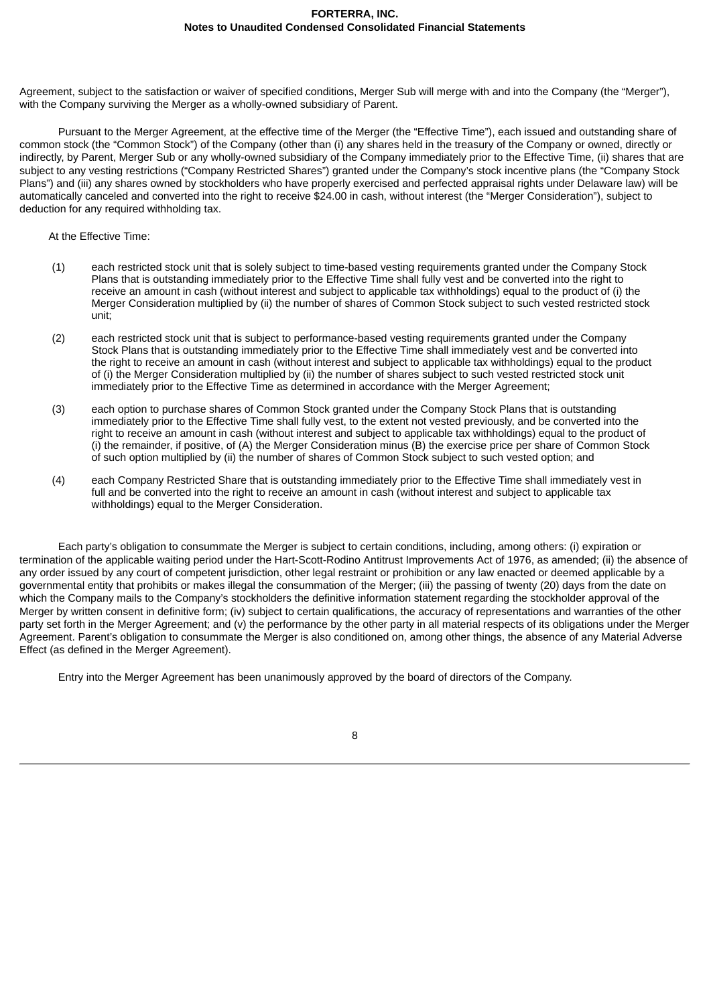Agreement, subject to the satisfaction or waiver of specified conditions, Merger Sub will merge with and into the Company (the "Merger"), with the Company surviving the Merger as a wholly-owned subsidiary of Parent.

Pursuant to the Merger Agreement, at the effective time of the Merger (the "Effective Time"), each issued and outstanding share of common stock (the "Common Stock") of the Company (other than (i) any shares held in the treasury of the Company or owned, directly or indirectly, by Parent, Merger Sub or any wholly-owned subsidiary of the Company immediately prior to the Effective Time, (ii) shares that are subject to any vesting restrictions ("Company Restricted Shares") granted under the Company's stock incentive plans (the "Company Stock Plans") and (iii) any shares owned by stockholders who have properly exercised and perfected appraisal rights under Delaware law) will be automatically canceled and converted into the right to receive \$24.00 in cash, without interest (the "Merger Consideration"), subject to deduction for any required withholding tax.

#### At the Effective Time:

- (1) each restricted stock unit that is solely subject to time-based vesting requirements granted under the Company Stock Plans that is outstanding immediately prior to the Effective Time shall fully vest and be converted into the right to receive an amount in cash (without interest and subject to applicable tax withholdings) equal to the product of (i) the Merger Consideration multiplied by (ii) the number of shares of Common Stock subject to such vested restricted stock unit;
- (2) each restricted stock unit that is subject to performance-based vesting requirements granted under the Company Stock Plans that is outstanding immediately prior to the Effective Time shall immediately vest and be converted into the right to receive an amount in cash (without interest and subject to applicable tax withholdings) equal to the product of (i) the Merger Consideration multiplied by (ii) the number of shares subject to such vested restricted stock unit immediately prior to the Effective Time as determined in accordance with the Merger Agreement;
- (3) each option to purchase shares of Common Stock granted under the Company Stock Plans that is outstanding immediately prior to the Effective Time shall fully vest, to the extent not vested previously, and be converted into the right to receive an amount in cash (without interest and subject to applicable tax withholdings) equal to the product of (i) the remainder, if positive, of (A) the Merger Consideration minus (B) the exercise price per share of Common Stock of such option multiplied by (ii) the number of shares of Common Stock subject to such vested option; and
- (4) each Company Restricted Share that is outstanding immediately prior to the Effective Time shall immediately vest in full and be converted into the right to receive an amount in cash (without interest and subject to applicable tax withholdings) equal to the Merger Consideration.

Each party's obligation to consummate the Merger is subject to certain conditions, including, among others: (i) expiration or termination of the applicable waiting period under the Hart-Scott-Rodino Antitrust Improvements Act of 1976, as amended; (ii) the absence of any order issued by any court of competent jurisdiction, other legal restraint or prohibition or any law enacted or deemed applicable by a governmental entity that prohibits or makes illegal the consummation of the Merger; (iii) the passing of twenty (20) days from the date on which the Company mails to the Company's stockholders the definitive information statement regarding the stockholder approval of the Merger by written consent in definitive form; (iv) subject to certain qualifications, the accuracy of representations and warranties of the other party set forth in the Merger Agreement; and (v) the performance by the other party in all material respects of its obligations under the Merger Agreement. Parent's obligation to consummate the Merger is also conditioned on, among other things, the absence of any Material Adverse Effect (as defined in the Merger Agreement).

Entry into the Merger Agreement has been unanimously approved by the board of directors of the Company.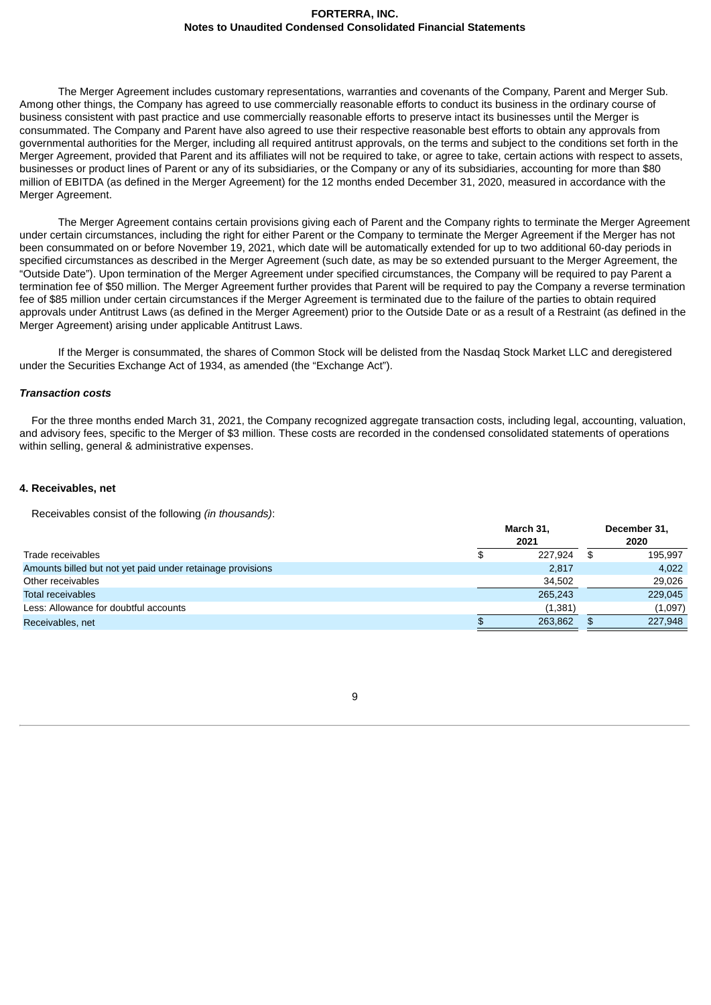The Merger Agreement includes customary representations, warranties and covenants of the Company, Parent and Merger Sub. Among other things, the Company has agreed to use commercially reasonable efforts to conduct its business in the ordinary course of business consistent with past practice and use commercially reasonable efforts to preserve intact its businesses until the Merger is consummated. The Company and Parent have also agreed to use their respective reasonable best efforts to obtain any approvals from governmental authorities for the Merger, including all required antitrust approvals, on the terms and subject to the conditions set forth in the Merger Agreement, provided that Parent and its affiliates will not be required to take, or agree to take, certain actions with respect to assets, businesses or product lines of Parent or any of its subsidiaries, or the Company or any of its subsidiaries, accounting for more than \$80 million of EBITDA (as defined in the Merger Agreement) for the 12 months ended December 31, 2020, measured in accordance with the Merger Agreement.

The Merger Agreement contains certain provisions giving each of Parent and the Company rights to terminate the Merger Agreement under certain circumstances, including the right for either Parent or the Company to terminate the Merger Agreement if the Merger has not been consummated on or before November 19, 2021, which date will be automatically extended for up to two additional 60-day periods in specified circumstances as described in the Merger Agreement (such date, as may be so extended pursuant to the Merger Agreement, the "Outside Date"). Upon termination of the Merger Agreement under specified circumstances, the Company will be required to pay Parent a termination fee of \$50 million. The Merger Agreement further provides that Parent will be required to pay the Company a reverse termination fee of \$85 million under certain circumstances if the Merger Agreement is terminated due to the failure of the parties to obtain required approvals under Antitrust Laws (as defined in the Merger Agreement) prior to the Outside Date or as a result of a Restraint (as defined in the Merger Agreement) arising under applicable Antitrust Laws.

If the Merger is consummated, the shares of Common Stock will be delisted from the Nasdaq Stock Market LLC and deregistered under the Securities Exchange Act of 1934, as amended (the "Exchange Act").

#### *Transaction costs*

For the three months ended March 31, 2021, the Company recognized aggregate transaction costs, including legal, accounting, valuation, and advisory fees, specific to the Merger of \$3 million. These costs are recorded in the condensed consolidated statements of operations within selling, general & administrative expenses.

#### **4. Receivables, net**

Receivables consist of the following *(in thousands)*:

|                                                            | March 31,<br>2021 |         |      | December 31,<br>2020 |  |  |
|------------------------------------------------------------|-------------------|---------|------|----------------------|--|--|
| Trade receivables                                          |                   | 227.924 | - SS | 195.997              |  |  |
| Amounts billed but not yet paid under retainage provisions |                   | 2,817   |      | 4.022                |  |  |
| Other receivables                                          |                   | 34.502  |      | 29.026               |  |  |
| <b>Total receivables</b>                                   |                   | 265.243 |      | 229,045              |  |  |
| Less: Allowance for doubtful accounts                      |                   | (1.381) |      | (1,097)              |  |  |
| Receivables, net                                           |                   | 263.862 | \$.  | 227,948              |  |  |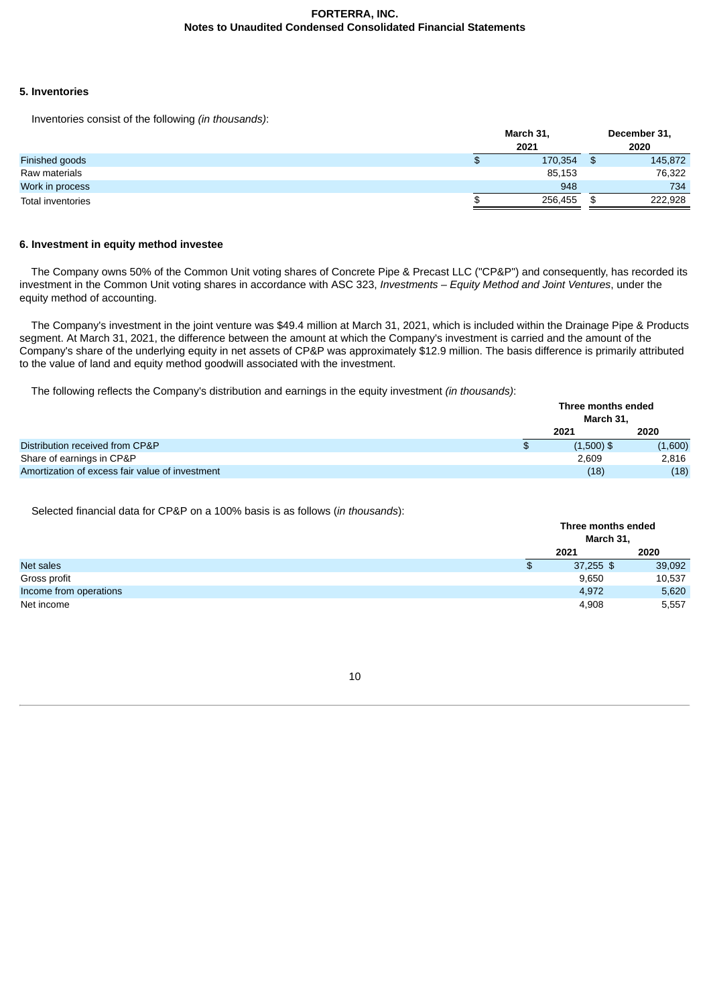## **5. Inventories**

Inventories consist of the following *(in thousands)*:

|                   | March 31,<br>2021 | December 31,<br>2020 |
|-------------------|-------------------|----------------------|
| Finished goods    | 170,354           | 145,872              |
| Raw materials     | 85,153            | 76,322               |
| Work in process   | 948               | 734                  |
| Total inventories | 256,455           | 222,928              |

## **6. Investment in equity method investee**

The Company owns 50% of the Common Unit voting shares of Concrete Pipe & Precast LLC ("CP&P") and consequently, has recorded its investment in the Common Unit voting shares in accordance with ASC 323, *Investments – Equity Method and Joint Ventures*, under the equity method of accounting.

The Company's investment in the joint venture was \$49.4 million at March 31, 2021, which is included within the Drainage Pipe & Products segment. At March 31, 2021, the difference between the amount at which the Company's investment is carried and the amount of the Company's share of the underlying equity in net assets of CP&P was approximately \$12.9 million. The basis difference is primarily attributed to the value of land and equity method goodwill associated with the investment.

The following reflects the Company's distribution and earnings in the equity investment *(in thousands)*:

|                                                 |              | Three months ended |         |  |
|-------------------------------------------------|--------------|--------------------|---------|--|
|                                                 |              | March 31.          |         |  |
|                                                 |              | 2021               | 2020    |  |
| Distribution received from CP&P                 | $\mathbf{f}$ | $(1,500)$ \$       | (1,600) |  |
| Share of earnings in CP&P                       |              | 2.609              | 2,816   |  |
| Amortization of excess fair value of investment |              | (18)               | (18)    |  |

Selected financial data for CP&P on a 100% basis is as follows (*in thousands*):

|                        |   | Three months ended<br>March 31, |        |  |
|------------------------|---|---------------------------------|--------|--|
|                        |   | 2021                            | 2020   |  |
| <b>Net sales</b>       | ⊕ | $37,255$ \$                     | 39,092 |  |
| Gross profit           |   | 9,650                           | 10,537 |  |
| Income from operations |   | 4,972                           | 5,620  |  |
| Net income             |   | 4,908                           | 5,557  |  |

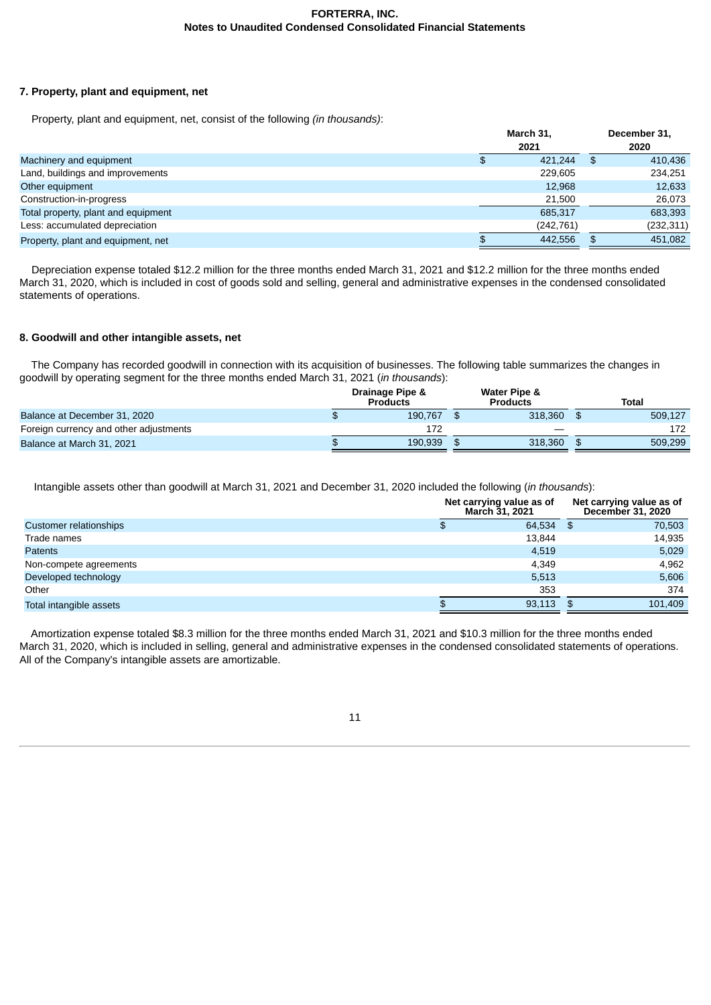## **7. Property, plant and equipment, net**

Property, plant and equipment, net, consist of the following *(in thousands)*:

|                                     | March 31,<br>2021 |            |    | December 31,<br>2020 |  |  |
|-------------------------------------|-------------------|------------|----|----------------------|--|--|
| Machinery and equipment             | \$                | 421.244    | \$ | 410,436              |  |  |
| Land, buildings and improvements    |                   | 229.605    |    | 234.251              |  |  |
| Other equipment                     |                   | 12.968     |    | 12,633               |  |  |
| Construction-in-progress            |                   | 21.500     |    | 26,073               |  |  |
| Total property, plant and equipment |                   | 685.317    |    | 683,393              |  |  |
| Less: accumulated depreciation      |                   | (242, 761) |    | (232, 311)           |  |  |
| Property, plant and equipment, net  |                   | 442.556    |    | 451.082              |  |  |

Depreciation expense totaled \$12.2 million for the three months ended March 31, 2021 and \$12.2 million for the three months ended March 31, 2020, which is included in cost of goods sold and selling, general and administrative expenses in the condensed consolidated statements of operations.

## **8. Goodwill and other intangible assets, net**

The Company has recorded goodwill in connection with its acquisition of businesses. The following table summarizes the changes in goodwill by operating segment for the three months ended March 31, 2021 (*in thousands*):

| Drainage Pipe &<br><b>Products</b> | Water Pipe &<br><b>Products</b> | Total   |
|------------------------------------|---------------------------------|---------|
| 190.767                            | 318,360                         | 509.127 |
| 172                                |                                 | 172     |
| 190.939                            | 318,360                         | 509.299 |
|                                    |                                 |         |

Intangible assets other than goodwill at March 31, 2021 and December 31, 2020 included the following (*in thousands*):

|                               | Net carrying value as of<br><b>March 31, 2021</b> | Net carrying value as of<br>December 31, 2020 |      |         |
|-------------------------------|---------------------------------------------------|-----------------------------------------------|------|---------|
| <b>Customer relationships</b> |                                                   | 64,534                                        | - \$ | 70,503  |
| Trade names                   |                                                   | 13,844                                        |      | 14,935  |
| <b>Patents</b>                |                                                   | 4.519                                         |      | 5,029   |
| Non-compete agreements        |                                                   | 4.349                                         |      | 4,962   |
| Developed technology          |                                                   | 5,513                                         |      | 5,606   |
| Other                         |                                                   | 353                                           |      | 374     |
| Total intangible assets       |                                                   | 93,113                                        | - \$ | 101,409 |

Amortization expense totaled \$8.3 million for the three months ended March 31, 2021 and \$10.3 million for the three months ended March 31, 2020, which is included in selling, general and administrative expenses in the condensed consolidated statements of operations. All of the Company's intangible assets are amortizable.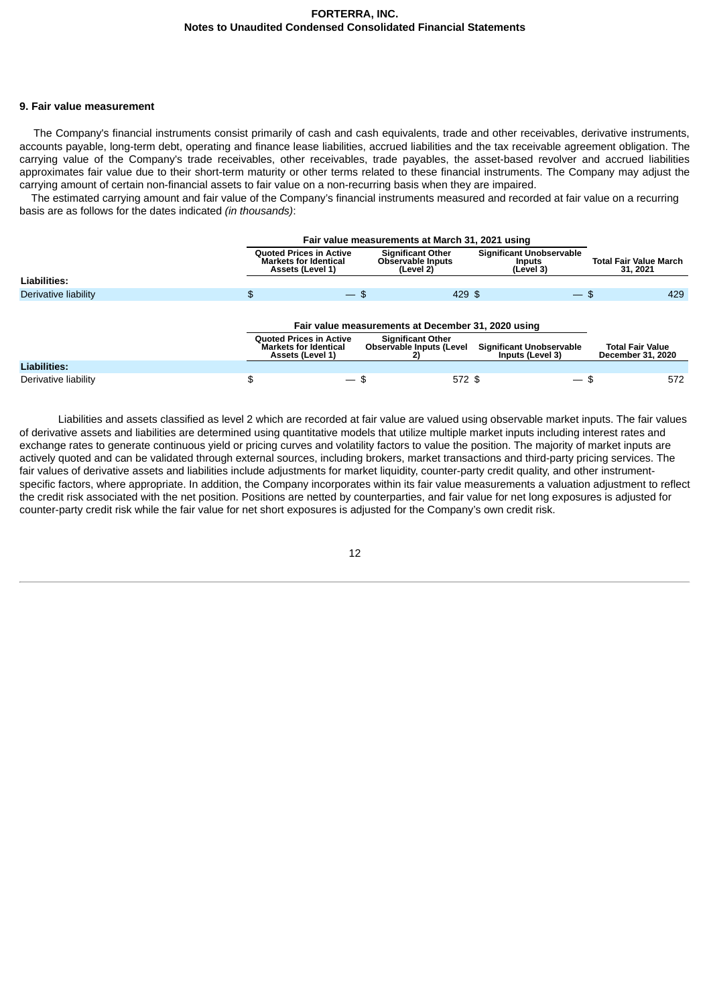#### **9. Fair value measurement**

The Company's financial instruments consist primarily of cash and cash equivalents, trade and other receivables, derivative instruments, accounts payable, long-term debt, operating and finance lease liabilities, accrued liabilities and the tax receivable agreement obligation. The carrying value of the Company's trade receivables, other receivables, trade payables, the asset-based revolver and accrued liabilities approximates fair value due to their short-term maturity or other terms related to these financial instruments. The Company may adjust the carrying amount of certain non-financial assets to fair value on a non-recurring basis when they are impaired.

The estimated carrying amount and fair value of the Company's financial instruments measured and recorded at fair value on a recurring basis are as follows for the dates indicated *(in thousands)*:

|                      | Fair value measurements at March 31, 2021 using                                    |                                                            |                                                               |                                              |  |  |  |  |  |  |
|----------------------|------------------------------------------------------------------------------------|------------------------------------------------------------|---------------------------------------------------------------|----------------------------------------------|--|--|--|--|--|--|
|                      | <b>Ouoted Prices in Active</b><br><b>Markets for Identical</b><br>Assets (Level 1) | <b>Significant Other</b><br>Observable Inputs<br>(Level 2) | <b>Significant Unobservable</b><br><b>Inputs</b><br>(Level 3) | <b>Total Fair Value March</b><br>31, 2021    |  |  |  |  |  |  |
| <b>Liabilities:</b>  |                                                                                    |                                                            |                                                               |                                              |  |  |  |  |  |  |
| Derivative liability | \$                                                                                 | 429 \$<br>$-$ \$                                           | $-$ \$                                                        | 429                                          |  |  |  |  |  |  |
|                      | Fair value measurements at December 31, 2020 using                                 |                                                            |                                                               |                                              |  |  |  |  |  |  |
|                      | <b>Ouoted Prices in Active</b><br><b>Markets for Identical</b><br>Assets (Level 1) | <b>Significant Other</b><br>Observable Inputs (Level<br>2) | <b>Significant Unobservable</b><br>Inputs (Level 3)           | <b>Total Fair Value</b><br>December 31, 2020 |  |  |  |  |  |  |
| Liabilities:         |                                                                                    |                                                            |                                                               |                                              |  |  |  |  |  |  |
| Derivative liability | \$                                                                                 | 572 \$<br>$-$ \$                                           | $-$ \$                                                        | 572                                          |  |  |  |  |  |  |

Liabilities and assets classified as level 2 which are recorded at fair value are valued using observable market inputs. The fair values of derivative assets and liabilities are determined using quantitative models that utilize multiple market inputs including interest rates and exchange rates to generate continuous yield or pricing curves and volatility factors to value the position. The majority of market inputs are actively quoted and can be validated through external sources, including brokers, market transactions and third-party pricing services. The fair values of derivative assets and liabilities include adjustments for market liquidity, counter-party credit quality, and other instrumentspecific factors, where appropriate. In addition, the Company incorporates within its fair value measurements a valuation adjustment to reflect the credit risk associated with the net position. Positions are netted by counterparties, and fair value for net long exposures is adjusted for counter-party credit risk while the fair value for net short exposures is adjusted for the Company's own credit risk.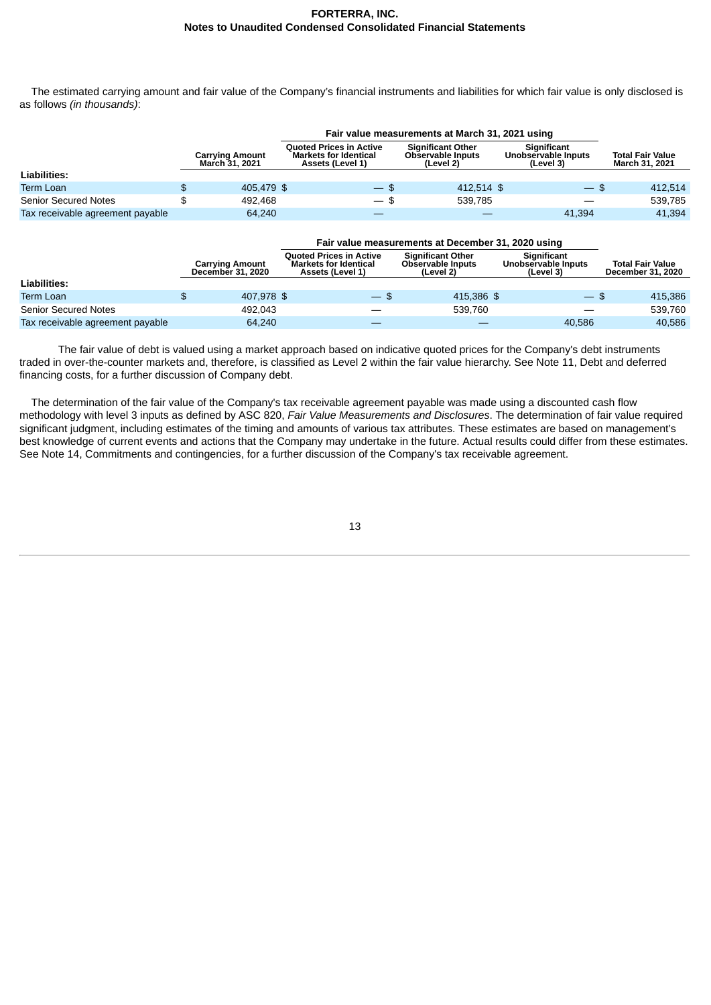The estimated carrying amount and fair value of the Company's financial instruments and liabilities for which fair value is only disclosed is as follows *(in thousands)*:

|                                  |                                          | Fair value measurements at March 31, 2021 using                                    |                                                                   |  |                                                        |                                                  |
|----------------------------------|------------------------------------------|------------------------------------------------------------------------------------|-------------------------------------------------------------------|--|--------------------------------------------------------|--------------------------------------------------|
|                                  | <b>Carrving Amount</b><br>March 31, 2021 | <b>Ouoted Prices in Active</b><br><b>Markets for Identical</b><br>Assets (Level 1) | <b>Significant Other</b><br><b>Observable Inputs</b><br>(Level 2) |  | <b>Significant</b><br>Unobservable Inputs<br>(Level 3) | <b>Total Fair Value</b><br><b>March 31, 2021</b> |
| Liabilities:                     |                                          |                                                                                    |                                                                   |  |                                                        |                                                  |
| Term Loan                        | \$<br>405.479 \$                         | $-$ \$                                                                             | 412.514 \$                                                        |  | $-5$                                                   | 412.514                                          |
| <b>Senior Secured Notes</b>      | 492.468                                  | $-$ \$                                                                             | 539.785                                                           |  |                                                        | 539.785                                          |
| Tax receivable agreement payable | 64,240                                   |                                                                                    |                                                                   |  | 41,394                                                 | 41,394                                           |

|                                  | <b>Carrying Amount</b><br>December 31, 2020 | <b>Ouoted Prices in Active</b><br><b>Markets for Identical</b><br>Assets (Level 1) | <b>Significant Other</b><br><b>Observable Inputs</b><br>(Level 2) | <b>Significant</b><br>Unobservable Inputs<br>(Level 3) | <b>Total Fair Value</b><br>December 31, 2020 |
|----------------------------------|---------------------------------------------|------------------------------------------------------------------------------------|-------------------------------------------------------------------|--------------------------------------------------------|----------------------------------------------|
| Liabilities:                     |                                             |                                                                                    |                                                                   |                                                        |                                              |
| <b>Term Loan</b>                 | \$<br>407.978 \$                            | $-$ \$                                                                             | 415.386 \$                                                        | $-$ \$                                                 | 415,386                                      |
| Senior Secured Notes             | 492.043                                     |                                                                                    | 539.760                                                           |                                                        | 539.760                                      |
| Tax receivable agreement payable | 64.240                                      |                                                                                    |                                                                   | 40.586                                                 | 40.586                                       |

The fair value of debt is valued using a market approach based on indicative quoted prices for the Company's debt instruments traded in over-the-counter markets and, therefore, is classified as Level 2 within the fair value hierarchy. See Note 11, Debt and deferred financing costs, for a further discussion of Company debt.

The determination of the fair value of the Company's tax receivable agreement payable was made using a discounted cash flow methodology with level 3 inputs as defined by ASC 820, *Fair Value Measurements and Disclosures*. The determination of fair value required significant judgment, including estimates of the timing and amounts of various tax attributes. These estimates are based on management's best knowledge of current events and actions that the Company may undertake in the future. Actual results could differ from these estimates. See Note 14, Commitments and contingencies, for a further discussion of the Company's tax receivable agreement.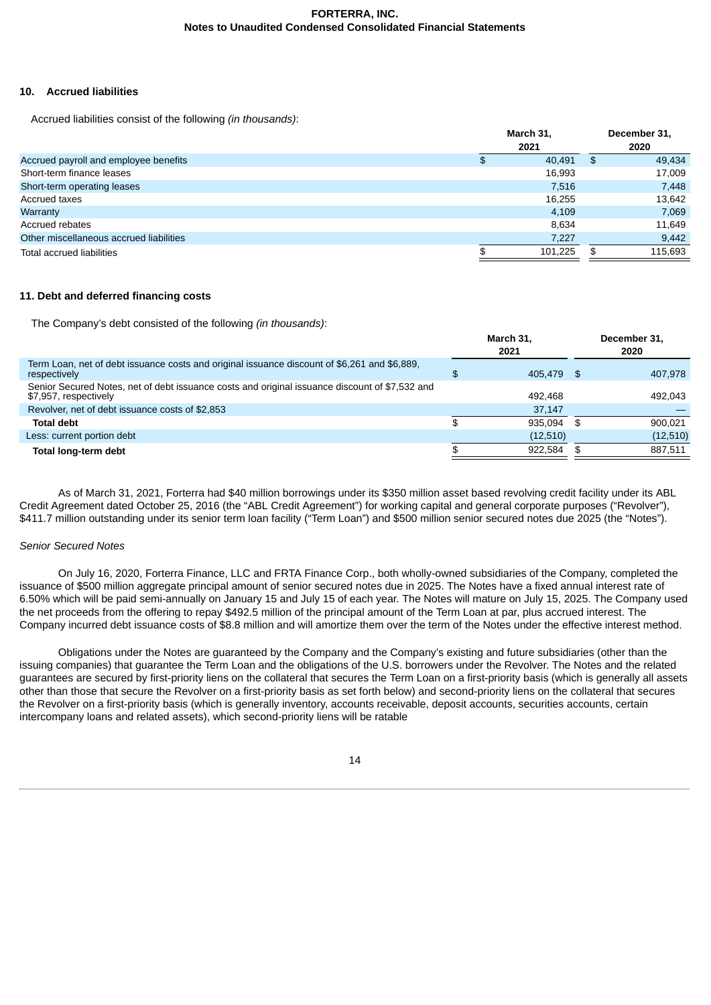## **10. Accrued liabilities**

Accrued liabilities consist of the following *(in thousands)*:

|                                         |  |         | December 31,<br>2020 |         |
|-----------------------------------------|--|---------|----------------------|---------|
| Accrued payroll and employee benefits   |  | 40,491  | \$                   | 49,434  |
| Short-term finance leases               |  | 16,993  |                      | 17,009  |
| Short-term operating leases             |  | 7.516   |                      | 7,448   |
| Accrued taxes                           |  | 16,255  |                      | 13,642  |
| Warranty                                |  | 4.109   |                      | 7,069   |
| Accrued rebates                         |  | 8.634   |                      | 11,649  |
| Other miscellaneous accrued liabilities |  | 7,227   |                      | 9,442   |
| Total accrued liabilities               |  | 101.225 | \$.                  | 115.693 |
|                                         |  |         |                      |         |

## **11. Debt and deferred financing costs**

The Company's debt consisted of the following *(in thousands)*:

|                                                                                                                         | March 31,<br>2021 | December 31,<br>2020 |
|-------------------------------------------------------------------------------------------------------------------------|-------------------|----------------------|
| Term Loan, net of debt issuance costs and original issuance discount of \$6,261 and \$6,889,<br>respectively            | \$<br>405.479 \$  | 407.978              |
| Senior Secured Notes, net of debt issuance costs and original issuance discount of \$7,532 and<br>\$7,957, respectively | 492.468           | 492.043              |
| Revolver, net of debt issuance costs of \$2,853                                                                         | 37.147            |                      |
| <b>Total debt</b>                                                                                                       | \$<br>935.094     | \$<br>900.021        |
| Less: current portion debt                                                                                              | (12,510)          | (12,510)             |
| Total long-term debt                                                                                                    | 922.584           | \$<br>887.511        |
|                                                                                                                         |                   |                      |

As of March 31, 2021, Forterra had \$40 million borrowings under its \$350 million asset based revolving credit facility under its ABL Credit Agreement dated October 25, 2016 (the "ABL Credit Agreement") for working capital and general corporate purposes ("Revolver"), \$411.7 million outstanding under its senior term loan facility ("Term Loan") and \$500 million senior secured notes due 2025 (the "Notes").

## *Senior Secured Notes*

On July 16, 2020, Forterra Finance, LLC and FRTA Finance Corp., both wholly-owned subsidiaries of the Company, completed the issuance of \$500 million aggregate principal amount of senior secured notes due in 2025. The Notes have a fixed annual interest rate of 6.50% which will be paid semi-annually on January 15 and July 15 of each year. The Notes will mature on July 15, 2025. The Company used the net proceeds from the offering to repay \$492.5 million of the principal amount of the Term Loan at par, plus accrued interest. The Company incurred debt issuance costs of \$8.8 million and will amortize them over the term of the Notes under the effective interest method.

Obligations under the Notes are guaranteed by the Company and the Company's existing and future subsidiaries (other than the issuing companies) that guarantee the Term Loan and the obligations of the U.S. borrowers under the Revolver. The Notes and the related guarantees are secured by first-priority liens on the collateral that secures the Term Loan on a first-priority basis (which is generally all assets other than those that secure the Revolver on a first-priority basis as set forth below) and second-priority liens on the collateral that secures the Revolver on a first-priority basis (which is generally inventory, accounts receivable, deposit accounts, securities accounts, certain intercompany loans and related assets), which second-priority liens will be ratable

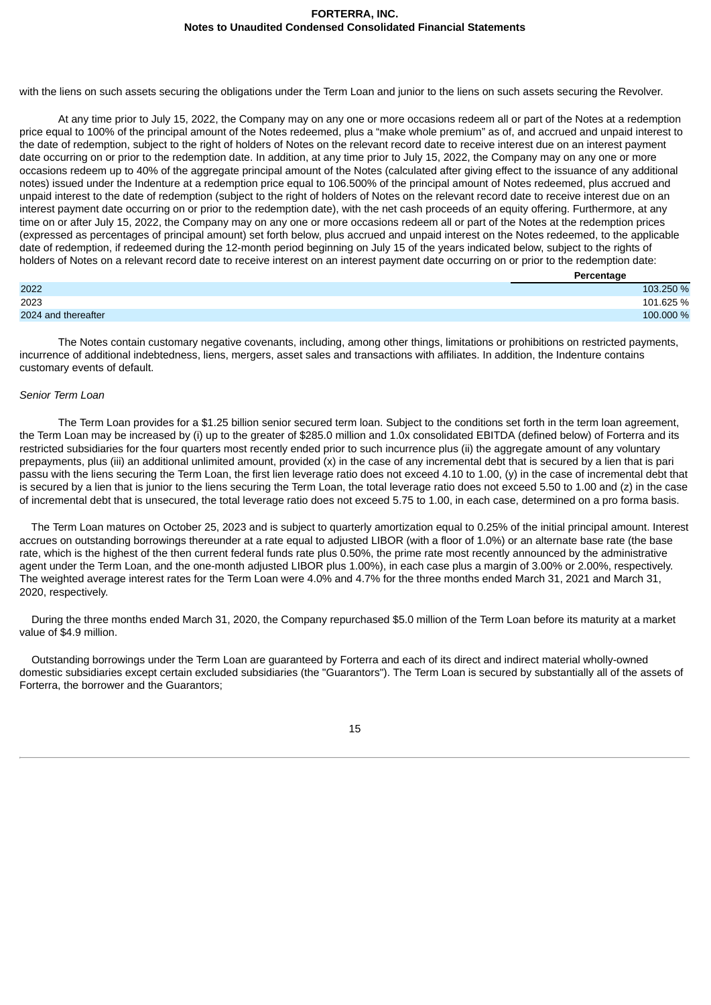with the liens on such assets securing the obligations under the Term Loan and junior to the liens on such assets securing the Revolver.

At any time prior to July 15, 2022, the Company may on any one or more occasions redeem all or part of the Notes at a redemption price equal to 100% of the principal amount of the Notes redeemed, plus a "make whole premium" as of, and accrued and unpaid interest to the date of redemption, subject to the right of holders of Notes on the relevant record date to receive interest due on an interest payment date occurring on or prior to the redemption date. In addition, at any time prior to July 15, 2022, the Company may on any one or more occasions redeem up to 40% of the aggregate principal amount of the Notes (calculated after giving effect to the issuance of any additional notes) issued under the Indenture at a redemption price equal to 106.500% of the principal amount of Notes redeemed, plus accrued and unpaid interest to the date of redemption (subject to the right of holders of Notes on the relevant record date to receive interest due on an interest payment date occurring on or prior to the redemption date), with the net cash proceeds of an equity offering. Furthermore, at any time on or after July 15, 2022, the Company may on any one or more occasions redeem all or part of the Notes at the redemption prices (expressed as percentages of principal amount) set forth below, plus accrued and unpaid interest on the Notes redeemed, to the applicable date of redemption, if redeemed during the 12-month period beginning on July 15 of the years indicated below, subject to the rights of holders of Notes on a relevant record date to receive interest on an interest payment date occurring on or prior to the redemption date:

|                     | Percentage |
|---------------------|------------|
| 2022                | 103.250 %  |
| 2023                | 101.625 %  |
| 2024 and thereafter | 100.000 %  |

The Notes contain customary negative covenants, including, among other things, limitations or prohibitions on restricted payments, incurrence of additional indebtedness, liens, mergers, asset sales and transactions with affiliates. In addition, the Indenture contains customary events of default.

## *Senior Term Loan*

The Term Loan provides for a \$1.25 billion senior secured term loan. Subject to the conditions set forth in the term loan agreement, the Term Loan may be increased by (i) up to the greater of \$285.0 million and 1.0x consolidated EBITDA (defined below) of Forterra and its restricted subsidiaries for the four quarters most recently ended prior to such incurrence plus (ii) the aggregate amount of any voluntary prepayments, plus (iii) an additional unlimited amount, provided (x) in the case of any incremental debt that is secured by a lien that is pari passu with the liens securing the Term Loan, the first lien leverage ratio does not exceed 4.10 to 1.00, (y) in the case of incremental debt that is secured by a lien that is junior to the liens securing the Term Loan, the total leverage ratio does not exceed 5.50 to 1.00 and (z) in the case of incremental debt that is unsecured, the total leverage ratio does not exceed 5.75 to 1.00, in each case, determined on a pro forma basis.

The Term Loan matures on October 25, 2023 and is subject to quarterly amortization equal to 0.25% of the initial principal amount. Interest accrues on outstanding borrowings thereunder at a rate equal to adjusted LIBOR (with a floor of 1.0%) or an alternate base rate (the base rate, which is the highest of the then current federal funds rate plus 0.50%, the prime rate most recently announced by the administrative agent under the Term Loan, and the one-month adjusted LIBOR plus 1.00%), in each case plus a margin of 3.00% or 2.00%, respectively. The weighted average interest rates for the Term Loan were 4.0% and 4.7% for the three months ended March 31, 2021 and March 31, 2020, respectively.

During the three months ended March 31, 2020, the Company repurchased \$5.0 million of the Term Loan before its maturity at a market value of \$4.9 million.

Outstanding borrowings under the Term Loan are guaranteed by Forterra and each of its direct and indirect material wholly-owned domestic subsidiaries except certain excluded subsidiaries (the "Guarantors"). The Term Loan is secured by substantially all of the assets of Forterra, the borrower and the Guarantors;

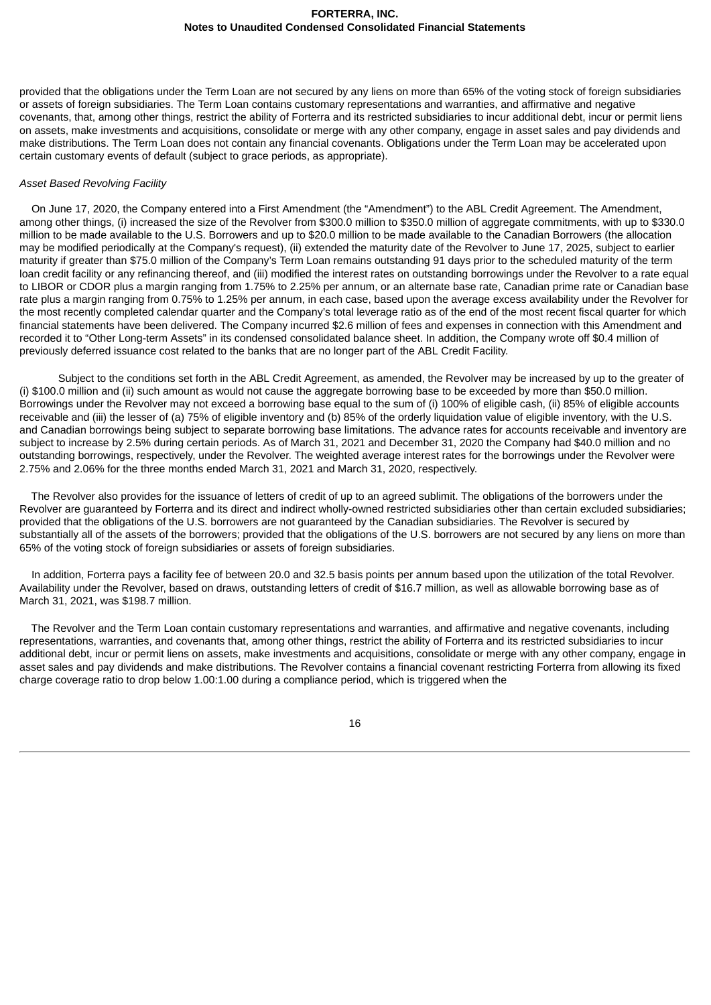provided that the obligations under the Term Loan are not secured by any liens on more than 65% of the voting stock of foreign subsidiaries or assets of foreign subsidiaries. The Term Loan contains customary representations and warranties, and affirmative and negative covenants, that, among other things, restrict the ability of Forterra and its restricted subsidiaries to incur additional debt, incur or permit liens on assets, make investments and acquisitions, consolidate or merge with any other company, engage in asset sales and pay dividends and make distributions. The Term Loan does not contain any financial covenants. Obligations under the Term Loan may be accelerated upon certain customary events of default (subject to grace periods, as appropriate).

#### *Asset Based Revolving Facility*

On June 17, 2020, the Company entered into a First Amendment (the "Amendment") to the ABL Credit Agreement. The Amendment, among other things, (i) increased the size of the Revolver from \$300.0 million to \$350.0 million of aggregate commitments, with up to \$330.0 million to be made available to the U.S. Borrowers and up to \$20.0 million to be made available to the Canadian Borrowers (the allocation may be modified periodically at the Company's request), (ii) extended the maturity date of the Revolver to June 17, 2025, subject to earlier maturity if greater than \$75.0 million of the Company's Term Loan remains outstanding 91 days prior to the scheduled maturity of the term loan credit facility or any refinancing thereof, and (iii) modified the interest rates on outstanding borrowings under the Revolver to a rate equal to LIBOR or CDOR plus a margin ranging from 1.75% to 2.25% per annum, or an alternate base rate, Canadian prime rate or Canadian base rate plus a margin ranging from 0.75% to 1.25% per annum, in each case, based upon the average excess availability under the Revolver for the most recently completed calendar quarter and the Company's total leverage ratio as of the end of the most recent fiscal quarter for which financial statements have been delivered. The Company incurred \$2.6 million of fees and expenses in connection with this Amendment and recorded it to "Other Long-term Assets" in its condensed consolidated balance sheet. In addition, the Company wrote off \$0.4 million of previously deferred issuance cost related to the banks that are no longer part of the ABL Credit Facility.

Subject to the conditions set forth in the ABL Credit Agreement, as amended, the Revolver may be increased by up to the greater of (i) \$100.0 million and (ii) such amount as would not cause the aggregate borrowing base to be exceeded by more than \$50.0 million. Borrowings under the Revolver may not exceed a borrowing base equal to the sum of (i) 100% of eligible cash, (ii) 85% of eligible accounts receivable and (iii) the lesser of (a) 75% of eligible inventory and (b) 85% of the orderly liquidation value of eligible inventory, with the U.S. and Canadian borrowings being subject to separate borrowing base limitations. The advance rates for accounts receivable and inventory are subject to increase by 2.5% during certain periods. As of March 31, 2021 and December 31, 2020 the Company had \$40.0 million and no outstanding borrowings, respectively, under the Revolver. The weighted average interest rates for the borrowings under the Revolver were 2.75% and 2.06% for the three months ended March 31, 2021 and March 31, 2020, respectively.

The Revolver also provides for the issuance of letters of credit of up to an agreed sublimit. The obligations of the borrowers under the Revolver are guaranteed by Forterra and its direct and indirect wholly-owned restricted subsidiaries other than certain excluded subsidiaries; provided that the obligations of the U.S. borrowers are not guaranteed by the Canadian subsidiaries. The Revolver is secured by substantially all of the assets of the borrowers; provided that the obligations of the U.S. borrowers are not secured by any liens on more than 65% of the voting stock of foreign subsidiaries or assets of foreign subsidiaries.

In addition, Forterra pays a facility fee of between 20.0 and 32.5 basis points per annum based upon the utilization of the total Revolver. Availability under the Revolver, based on draws, outstanding letters of credit of \$16.7 million, as well as allowable borrowing base as of March 31, 2021, was \$198.7 million.

The Revolver and the Term Loan contain customary representations and warranties, and affirmative and negative covenants, including representations, warranties, and covenants that, among other things, restrict the ability of Forterra and its restricted subsidiaries to incur additional debt, incur or permit liens on assets, make investments and acquisitions, consolidate or merge with any other company, engage in asset sales and pay dividends and make distributions. The Revolver contains a financial covenant restricting Forterra from allowing its fixed charge coverage ratio to drop below 1.00:1.00 during a compliance period, which is triggered when the

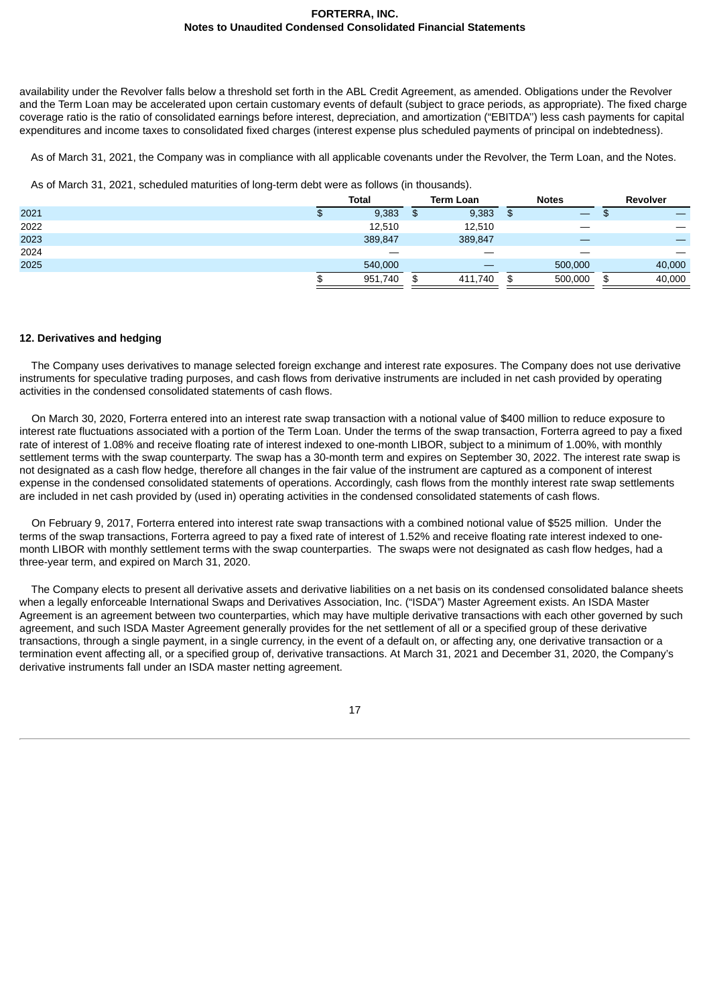availability under the Revolver falls below a threshold set forth in the ABL Credit Agreement, as amended. Obligations under the Revolver and the Term Loan may be accelerated upon certain customary events of default (subject to grace periods, as appropriate). The fixed charge coverage ratio is the ratio of consolidated earnings before interest, depreciation, and amortization ("EBITDA'') less cash payments for capital expenditures and income taxes to consolidated fixed charges (interest expense plus scheduled payments of principal on indebtedness).

As of March 31, 2021, the Company was in compliance with all applicable covenants under the Revolver, the Term Loan, and the Notes.

As of March 31, 2021, scheduled maturities of long-term debt were as follows (in thousands).

|      | <b>Total</b> |     | <b>Term Loan</b> | <b>Notes</b>  | Revolver     |
|------|--------------|-----|------------------|---------------|--------------|
| 2021 | 9,383        | \$  | 9,383            | \$            |              |
| 2022 | 12,510       |     | 12,510           |               |              |
| 2023 | 389,847      |     | 389,847          |               |              |
| 2024 |              |     | __               |               |              |
| 2025 | 540,000      |     |                  | 500,000       | 40,000       |
|      | 951,740      | \$. | 411,740          | \$<br>500,000 | \$<br>40,000 |

## **12. Derivatives and hedging**

The Company uses derivatives to manage selected foreign exchange and interest rate exposures. The Company does not use derivative instruments for speculative trading purposes, and cash flows from derivative instruments are included in net cash provided by operating activities in the condensed consolidated statements of cash flows.

On March 30, 2020, Forterra entered into an interest rate swap transaction with a notional value of \$400 million to reduce exposure to interest rate fluctuations associated with a portion of the Term Loan. Under the terms of the swap transaction, Forterra agreed to pay a fixed rate of interest of 1.08% and receive floating rate of interest indexed to one-month LIBOR, subject to a minimum of 1.00%, with monthly settlement terms with the swap counterparty. The swap has a 30-month term and expires on September 30, 2022. The interest rate swap is not designated as a cash flow hedge, therefore all changes in the fair value of the instrument are captured as a component of interest expense in the condensed consolidated statements of operations. Accordingly, cash flows from the monthly interest rate swap settlements are included in net cash provided by (used in) operating activities in the condensed consolidated statements of cash flows.

On February 9, 2017, Forterra entered into interest rate swap transactions with a combined notional value of \$525 million. Under the terms of the swap transactions, Forterra agreed to pay a fixed rate of interest of 1.52% and receive floating rate interest indexed to onemonth LIBOR with monthly settlement terms with the swap counterparties. The swaps were not designated as cash flow hedges, had a three-year term, and expired on March 31, 2020.

The Company elects to present all derivative assets and derivative liabilities on a net basis on its condensed consolidated balance sheets when a legally enforceable International Swaps and Derivatives Association, Inc. ("ISDA") Master Agreement exists. An ISDA Master Agreement is an agreement between two counterparties, which may have multiple derivative transactions with each other governed by such agreement, and such ISDA Master Agreement generally provides for the net settlement of all or a specified group of these derivative transactions, through a single payment, in a single currency, in the event of a default on, or affecting any, one derivative transaction or a termination event affecting all, or a specified group of, derivative transactions. At March 31, 2021 and December 31, 2020, the Company's derivative instruments fall under an ISDA master netting agreement.

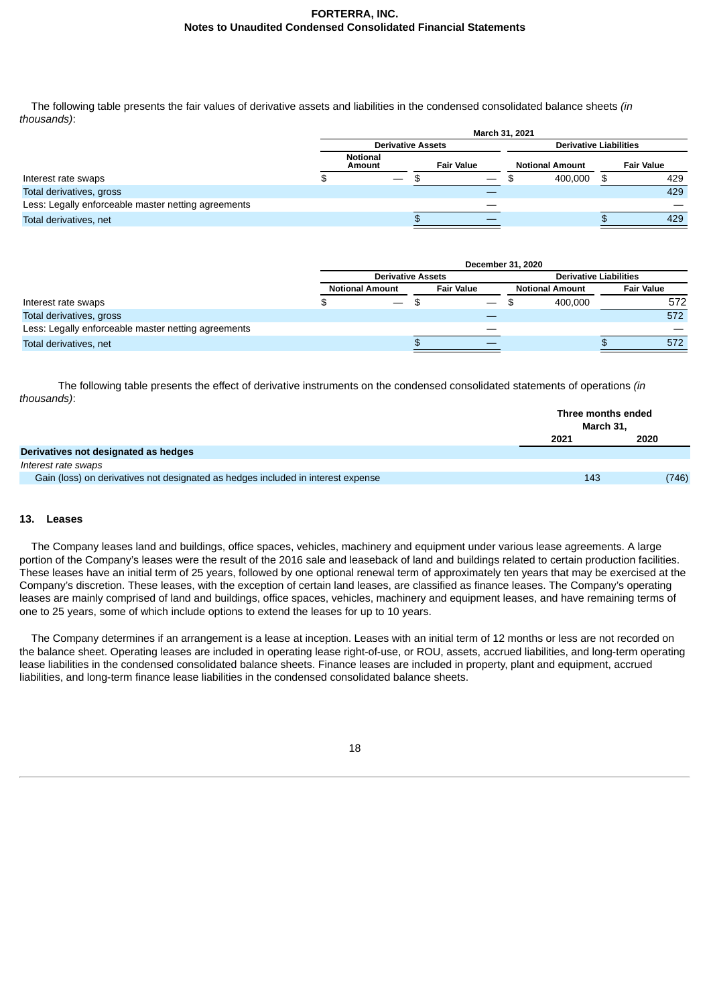The following table presents the fair values of derivative assets and liabilities in the condensed consolidated balance sheets *(in thousands)*:

|                                                     | March 31, 2021                                 |  |  |                        |                               |  |                   |  |  |  |
|-----------------------------------------------------|------------------------------------------------|--|--|------------------------|-------------------------------|--|-------------------|--|--|--|
|                                                     | <b>Derivative Assets</b>                       |  |  |                        | <b>Derivative Liabilities</b> |  |                   |  |  |  |
|                                                     | <b>Notional</b><br><b>Fair Value</b><br>Amount |  |  | <b>Notional Amount</b> |                               |  | <b>Fair Value</b> |  |  |  |
| Interest rate swaps                                 |                                                |  |  |                        | 400,000                       |  | 429               |  |  |  |
| Total derivatives, gross                            |                                                |  |  |                        |                               |  | 429               |  |  |  |
| Less: Legally enforceable master netting agreements |                                                |  |  |                        |                               |  |                   |  |  |  |
| Total derivatives, net                              |                                                |  |  |                        |                               |  | 429               |  |  |  |

|                                                     | December 31, 2020        |  |                   |                               |                        |  |                   |
|-----------------------------------------------------|--------------------------|--|-------------------|-------------------------------|------------------------|--|-------------------|
|                                                     | <b>Derivative Assets</b> |  |                   | <b>Derivative Liabilities</b> |                        |  |                   |
|                                                     | <b>Notional Amount</b>   |  | <b>Fair Value</b> |                               | <b>Notional Amount</b> |  | <b>Fair Value</b> |
| Interest rate swaps                                 | $\overline{\phantom{a}}$ |  |                   |                               | 400.000                |  | 572               |
| Total derivatives, gross                            |                          |  |                   |                               |                        |  | 572               |
| Less: Legally enforceable master netting agreements |                          |  |                   |                               |                        |  |                   |
| Total derivatives, net                              |                          |  |                   |                               |                        |  | 572               |

The following table presents the effect of derivative instruments on the condensed consolidated statements of operations *(in thousands)*:

|                                                                                  | Three months ended<br>March 31. |       |
|----------------------------------------------------------------------------------|---------------------------------|-------|
|                                                                                  | 2021                            | 2020  |
| Derivatives not designated as hedges                                             |                                 |       |
| Interest rate swaps                                                              |                                 |       |
| Gain (loss) on derivatives not designated as hedges included in interest expense | 143                             | (746) |
|                                                                                  |                                 |       |

## **13. Leases**

The Company leases land and buildings, office spaces, vehicles, machinery and equipment under various lease agreements. A large portion of the Company's leases were the result of the 2016 sale and leaseback of land and buildings related to certain production facilities. These leases have an initial term of 25 years, followed by one optional renewal term of approximately ten years that may be exercised at the Company's discretion. These leases, with the exception of certain land leases, are classified as finance leases. The Company's operating leases are mainly comprised of land and buildings, office spaces, vehicles, machinery and equipment leases, and have remaining terms of one to 25 years, some of which include options to extend the leases for up to 10 years.

The Company determines if an arrangement is a lease at inception. Leases with an initial term of 12 months or less are not recorded on the balance sheet. Operating leases are included in operating lease right-of-use, or ROU, assets, accrued liabilities, and long-term operating lease liabilities in the condensed consolidated balance sheets. Finance leases are included in property, plant and equipment, accrued liabilities, and long-term finance lease liabilities in the condensed consolidated balance sheets.

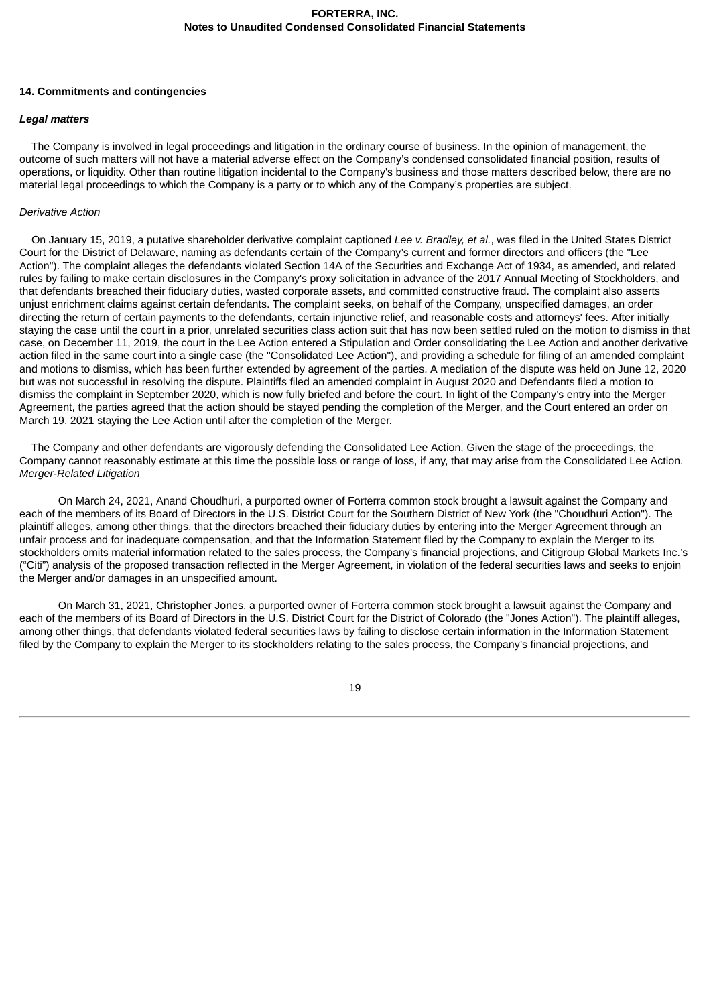## **14. Commitments and contingencies**

## *Legal matters*

The Company is involved in legal proceedings and litigation in the ordinary course of business. In the opinion of management, the outcome of such matters will not have a material adverse effect on the Company's condensed consolidated financial position, results of operations, or liquidity. Other than routine litigation incidental to the Company's business and those matters described below, there are no material legal proceedings to which the Company is a party or to which any of the Company's properties are subject.

## *Derivative Action*

On January 15, 2019, a putative shareholder derivative complaint captioned *Lee v. Bradley, et al.*, was filed in the United States District Court for the District of Delaware, naming as defendants certain of the Company's current and former directors and officers (the "Lee Action"). The complaint alleges the defendants violated Section 14A of the Securities and Exchange Act of 1934, as amended, and related rules by failing to make certain disclosures in the Company's proxy solicitation in advance of the 2017 Annual Meeting of Stockholders, and that defendants breached their fiduciary duties, wasted corporate assets, and committed constructive fraud. The complaint also asserts unjust enrichment claims against certain defendants. The complaint seeks, on behalf of the Company, unspecified damages, an order directing the return of certain payments to the defendants, certain injunctive relief, and reasonable costs and attorneys' fees. After initially staying the case until the court in a prior, unrelated securities class action suit that has now been settled ruled on the motion to dismiss in that case, on December 11, 2019, the court in the Lee Action entered a Stipulation and Order consolidating the Lee Action and another derivative action filed in the same court into a single case (the "Consolidated Lee Action"), and providing a schedule for filing of an amended complaint and motions to dismiss, which has been further extended by agreement of the parties. A mediation of the dispute was held on June 12, 2020 but was not successful in resolving the dispute. Plaintiffs filed an amended complaint in August 2020 and Defendants filed a motion to dismiss the complaint in September 2020, which is now fully briefed and before the court. In light of the Company's entry into the Merger Agreement, the parties agreed that the action should be stayed pending the completion of the Merger, and the Court entered an order on March 19, 2021 staying the Lee Action until after the completion of the Merger.

The Company and other defendants are vigorously defending the Consolidated Lee Action. Given the stage of the proceedings, the Company cannot reasonably estimate at this time the possible loss or range of loss, if any, that may arise from the Consolidated Lee Action. *Merger-Related Litigation*

On March 24, 2021, Anand Choudhuri, a purported owner of Forterra common stock brought a lawsuit against the Company and each of the members of its Board of Directors in the U.S. District Court for the Southern District of New York (the "Choudhuri Action"). The plaintiff alleges, among other things, that the directors breached their fiduciary duties by entering into the Merger Agreement through an unfair process and for inadequate compensation, and that the Information Statement filed by the Company to explain the Merger to its stockholders omits material information related to the sales process, the Company's financial projections, and Citigroup Global Markets Inc.'s ("Citi") analysis of the proposed transaction reflected in the Merger Agreement, in violation of the federal securities laws and seeks to enjoin the Merger and/or damages in an unspecified amount.

On March 31, 2021, Christopher Jones, a purported owner of Forterra common stock brought a lawsuit against the Company and each of the members of its Board of Directors in the U.S. District Court for the District of Colorado (the "Jones Action"). The plaintiff alleges, among other things, that defendants violated federal securities laws by failing to disclose certain information in the Information Statement filed by the Company to explain the Merger to its stockholders relating to the sales process, the Company's financial projections, and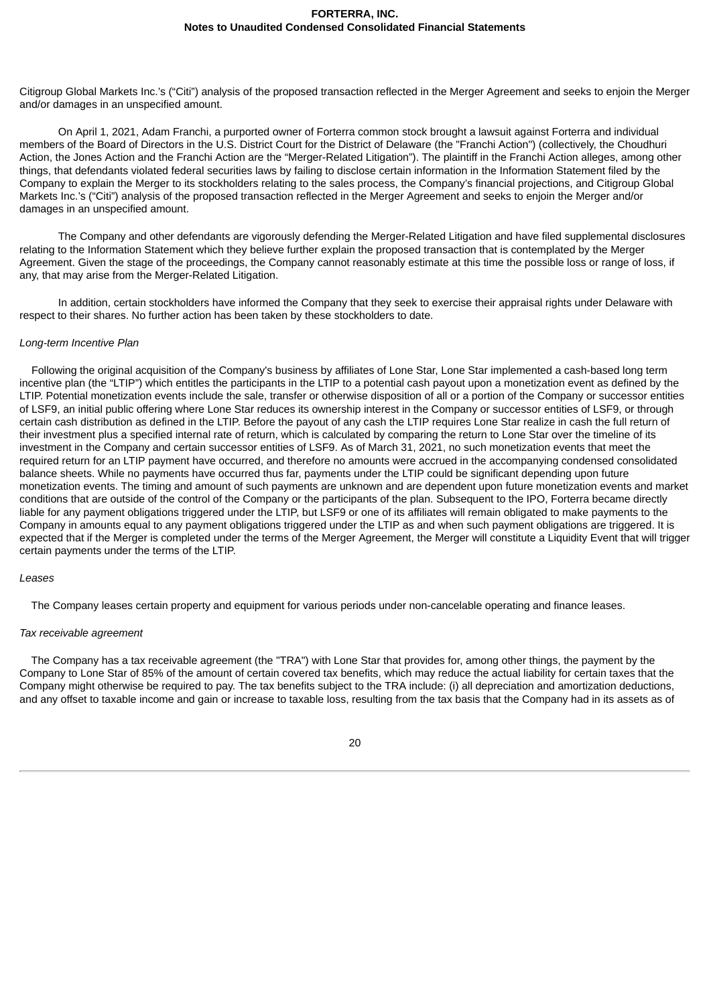Citigroup Global Markets Inc.'s ("Citi") analysis of the proposed transaction reflected in the Merger Agreement and seeks to enjoin the Merger and/or damages in an unspecified amount.

On April 1, 2021, Adam Franchi, a purported owner of Forterra common stock brought a lawsuit against Forterra and individual members of the Board of Directors in the U.S. District Court for the District of Delaware (the "Franchi Action") (collectively, the Choudhuri Action, the Jones Action and the Franchi Action are the "Merger-Related Litigation"). The plaintiff in the Franchi Action alleges, among other things, that defendants violated federal securities laws by failing to disclose certain information in the Information Statement filed by the Company to explain the Merger to its stockholders relating to the sales process, the Company's financial projections, and Citigroup Global Markets Inc.'s ("Citi") analysis of the proposed transaction reflected in the Merger Agreement and seeks to enjoin the Merger and/or damages in an unspecified amount.

The Company and other defendants are vigorously defending the Merger-Related Litigation and have filed supplemental disclosures relating to the Information Statement which they believe further explain the proposed transaction that is contemplated by the Merger Agreement. Given the stage of the proceedings, the Company cannot reasonably estimate at this time the possible loss or range of loss, if any, that may arise from the Merger-Related Litigation.

In addition, certain stockholders have informed the Company that they seek to exercise their appraisal rights under Delaware with respect to their shares. No further action has been taken by these stockholders to date.

#### *Long-term Incentive Plan*

Following the original acquisition of the Company's business by affiliates of Lone Star, Lone Star implemented a cash-based long term incentive plan (the "LTIP") which entitles the participants in the LTIP to a potential cash payout upon a monetization event as defined by the LTIP. Potential monetization events include the sale, transfer or otherwise disposition of all or a portion of the Company or successor entities of LSF9, an initial public offering where Lone Star reduces its ownership interest in the Company or successor entities of LSF9, or through certain cash distribution as defined in the LTIP. Before the payout of any cash the LTIP requires Lone Star realize in cash the full return of their investment plus a specified internal rate of return, which is calculated by comparing the return to Lone Star over the timeline of its investment in the Company and certain successor entities of LSF9. As of March 31, 2021, no such monetization events that meet the required return for an LTIP payment have occurred, and therefore no amounts were accrued in the accompanying condensed consolidated balance sheets. While no payments have occurred thus far, payments under the LTIP could be significant depending upon future monetization events. The timing and amount of such payments are unknown and are dependent upon future monetization events and market conditions that are outside of the control of the Company or the participants of the plan. Subsequent to the IPO, Forterra became directly liable for any payment obligations triggered under the LTIP, but LSF9 or one of its affiliates will remain obligated to make payments to the Company in amounts equal to any payment obligations triggered under the LTIP as and when such payment obligations are triggered. It is expected that if the Merger is completed under the terms of the Merger Agreement, the Merger will constitute a Liquidity Event that will trigger certain payments under the terms of the LTIP.

#### *Leases*

The Company leases certain property and equipment for various periods under non-cancelable operating and finance leases.

#### *Tax receivable agreement*

The Company has a tax receivable agreement (the "TRA") with Lone Star that provides for, among other things, the payment by the Company to Lone Star of 85% of the amount of certain covered tax benefits, which may reduce the actual liability for certain taxes that the Company might otherwise be required to pay. The tax benefits subject to the TRA include: (i) all depreciation and amortization deductions, and any offset to taxable income and gain or increase to taxable loss, resulting from the tax basis that the Company had in its assets as of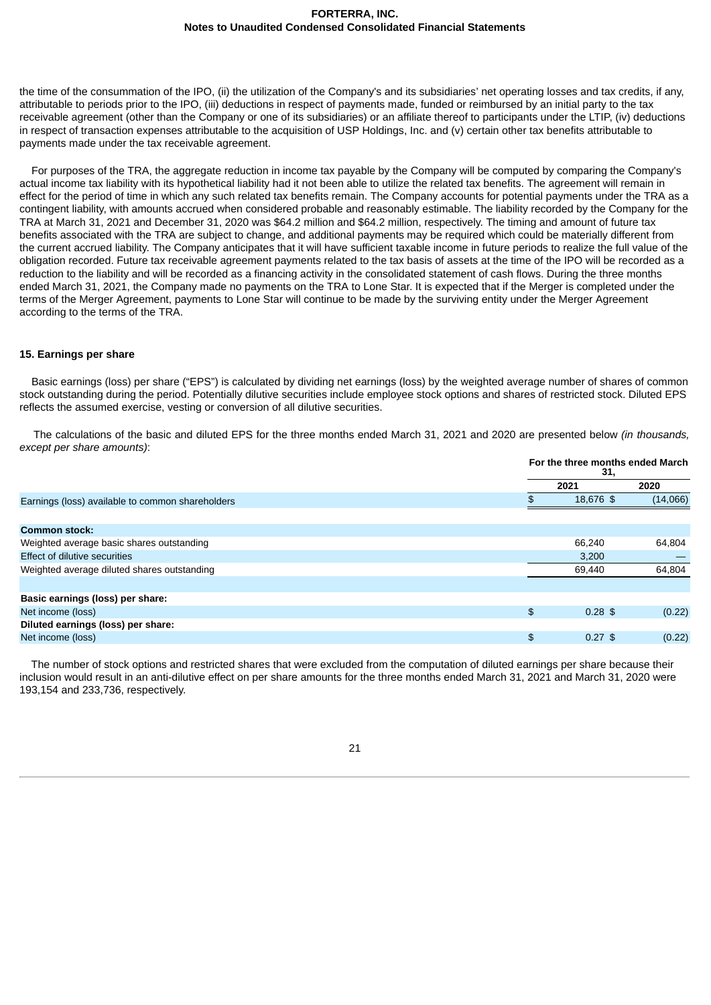the time of the consummation of the IPO, (ii) the utilization of the Company's and its subsidiaries' net operating losses and tax credits, if any, attributable to periods prior to the IPO, (iii) deductions in respect of payments made, funded or reimbursed by an initial party to the tax receivable agreement (other than the Company or one of its subsidiaries) or an affiliate thereof to participants under the LTIP, (iv) deductions in respect of transaction expenses attributable to the acquisition of USP Holdings, Inc. and (v) certain other tax benefits attributable to payments made under the tax receivable agreement.

For purposes of the TRA, the aggregate reduction in income tax payable by the Company will be computed by comparing the Company's actual income tax liability with its hypothetical liability had it not been able to utilize the related tax benefits. The agreement will remain in effect for the period of time in which any such related tax benefits remain. The Company accounts for potential payments under the TRA as a contingent liability, with amounts accrued when considered probable and reasonably estimable. The liability recorded by the Company for the TRA at March 31, 2021 and December 31, 2020 was \$64.2 million and \$64.2 million, respectively. The timing and amount of future tax benefits associated with the TRA are subject to change, and additional payments may be required which could be materially different from the current accrued liability. The Company anticipates that it will have sufficient taxable income in future periods to realize the full value of the obligation recorded. Future tax receivable agreement payments related to the tax basis of assets at the time of the IPO will be recorded as a reduction to the liability and will be recorded as a financing activity in the consolidated statement of cash flows. During the three months ended March 31, 2021, the Company made no payments on the TRA to Lone Star. It is expected that if the Merger is completed under the terms of the Merger Agreement, payments to Lone Star will continue to be made by the surviving entity under the Merger Agreement according to the terms of the TRA.

#### **15. Earnings per share**

Basic earnings (loss) per share ("EPS") is calculated by dividing net earnings (loss) by the weighted average number of shares of common stock outstanding during the period. Potentially dilutive securities include employee stock options and shares of restricted stock. Diluted EPS reflects the assumed exercise, vesting or conversion of all dilutive securities.

The calculations of the basic and diluted EPS for the three months ended March 31, 2021 and 2020 are presented below *(in thousands, except per share amounts)*:

|                                                  | For the three months ended March<br>31, |           |          |
|--------------------------------------------------|-----------------------------------------|-----------|----------|
|                                                  |                                         | 2021      | 2020     |
| Earnings (loss) available to common shareholders |                                         | 18.676 \$ | (14,066) |
|                                                  |                                         |           |          |
| <b>Common stock:</b>                             |                                         |           |          |
| Weighted average basic shares outstanding        |                                         | 66,240    | 64,804   |
| <b>Effect of dilutive securities</b>             |                                         | 3,200     |          |
| Weighted average diluted shares outstanding      |                                         | 69,440    | 64,804   |
|                                                  |                                         |           |          |
| Basic earnings (loss) per share:                 |                                         |           |          |
| Net income (loss)                                | $\frac{1}{2}$                           | $0.28$ \$ | (0.22)   |
| Diluted earnings (loss) per share:               |                                         |           |          |
| Net income (loss)                                | $\mathfrak{D}$                          | $0.27$ \$ | (0.22)   |

The number of stock options and restricted shares that were excluded from the computation of diluted earnings per share because their inclusion would result in an anti-dilutive effect on per share amounts for the three months ended March 31, 2021 and March 31, 2020 were 193,154 and 233,736, respectively.

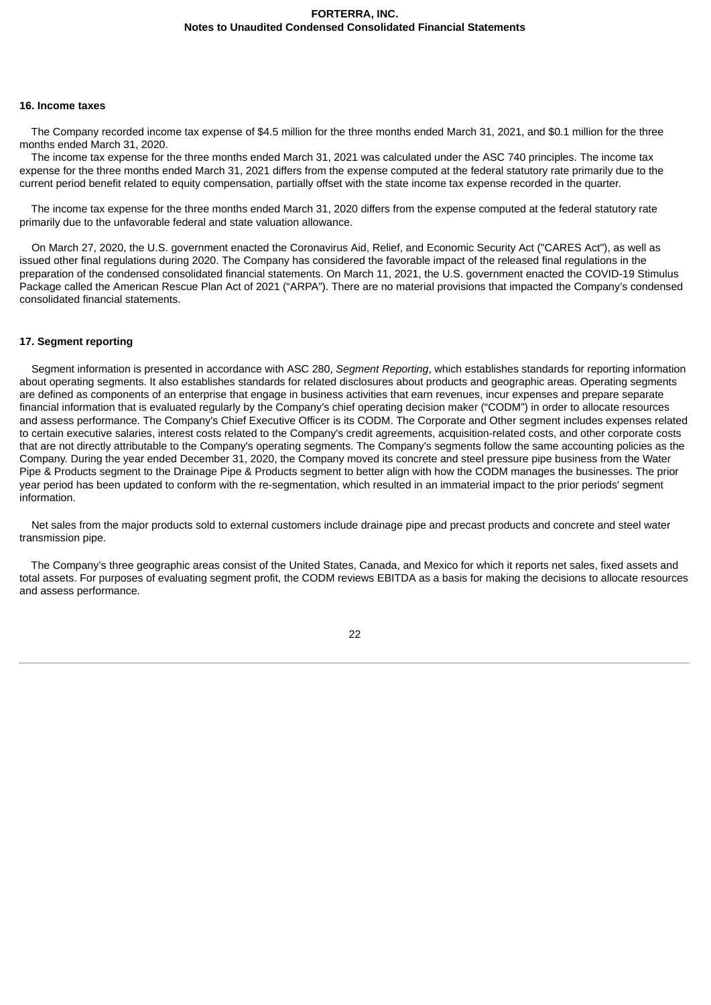#### **16. Income taxes**

The Company recorded income tax expense of \$4.5 million for the three months ended March 31, 2021, and \$0.1 million for the three months ended March 31, 2020.

The income tax expense for the three months ended March 31, 2021 was calculated under the ASC 740 principles. The income tax expense for the three months ended March 31, 2021 differs from the expense computed at the federal statutory rate primarily due to the current period benefit related to equity compensation, partially offset with the state income tax expense recorded in the quarter.

The income tax expense for the three months ended March 31, 2020 differs from the expense computed at the federal statutory rate primarily due to the unfavorable federal and state valuation allowance.

On March 27, 2020, the U.S. government enacted the Coronavirus Aid, Relief, and Economic Security Act ("CARES Act"), as well as issued other final regulations during 2020. The Company has considered the favorable impact of the released final regulations in the preparation of the condensed consolidated financial statements. On March 11, 2021, the U.S. government enacted the COVID-19 Stimulus Package called the American Rescue Plan Act of 2021 ("ARPA"). There are no material provisions that impacted the Company's condensed consolidated financial statements.

## **17. Segment reporting**

Segment information is presented in accordance with ASC 280, *Segment Reporting*, which establishes standards for reporting information about operating segments. It also establishes standards for related disclosures about products and geographic areas. Operating segments are defined as components of an enterprise that engage in business activities that earn revenues, incur expenses and prepare separate financial information that is evaluated regularly by the Company's chief operating decision maker ("CODM") in order to allocate resources and assess performance. The Company's Chief Executive Officer is its CODM. The Corporate and Other segment includes expenses related to certain executive salaries, interest costs related to the Company's credit agreements, acquisition-related costs, and other corporate costs that are not directly attributable to the Company's operating segments. The Company's segments follow the same accounting policies as the Company. During the year ended December 31, 2020, the Company moved its concrete and steel pressure pipe business from the Water Pipe & Products segment to the Drainage Pipe & Products segment to better align with how the CODM manages the businesses. The prior year period has been updated to conform with the re-segmentation, which resulted in an immaterial impact to the prior periods' segment information.

Net sales from the major products sold to external customers include drainage pipe and precast products and concrete and steel water transmission pipe.

The Company's three geographic areas consist of the United States, Canada, and Mexico for which it reports net sales, fixed assets and total assets. For purposes of evaluating segment profit, the CODM reviews EBITDA as a basis for making the decisions to allocate resources and assess performance.

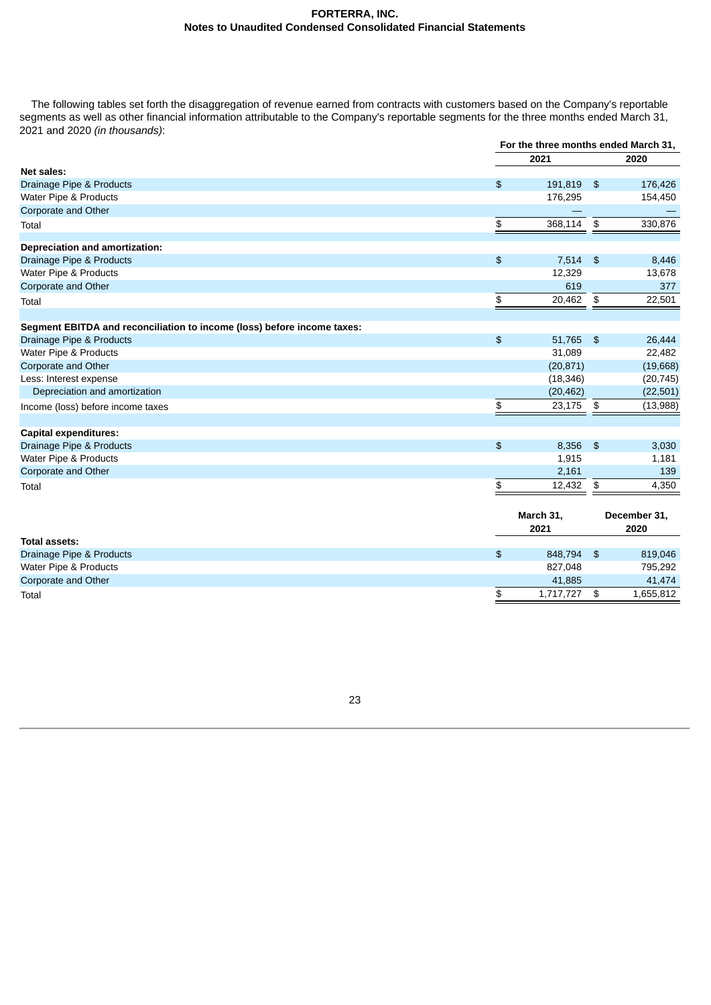The following tables set forth the disaggregation of revenue earned from contracts with customers based on the Company's reportable segments as well as other financial information attributable to the Company's reportable segments for the three months ended March 31, 2021 and 2020 *(in thousands)*:

|                                                                         | For the three months ended March 31, |                   |                            |                      |
|-------------------------------------------------------------------------|--------------------------------------|-------------------|----------------------------|----------------------|
|                                                                         |                                      | 2021              |                            | 2020                 |
| Net sales:                                                              |                                      |                   |                            |                      |
| Drainage Pipe & Products                                                | $\frac{2}{3}$                        | 191,819           | $\frac{1}{2}$              | 176,426              |
| Water Pipe & Products                                                   |                                      | 176,295           |                            | 154,450              |
| Corporate and Other                                                     |                                      |                   |                            |                      |
| Total                                                                   | \$                                   | 368,114           | $\boldsymbol{\mathsf{s}}$  | 330,876              |
| Depreciation and amortization:                                          |                                      |                   |                            |                      |
| Drainage Pipe & Products                                                | $\frac{1}{2}$                        | 7,514             | $\frac{1}{2}$              | 8,446                |
| Water Pipe & Products                                                   |                                      | 12,329            |                            | 13,678               |
| Corporate and Other                                                     |                                      | 619               |                            | 377                  |
| Total                                                                   | \$                                   | 20,462            | \$                         | 22,501               |
|                                                                         |                                      |                   |                            |                      |
| Segment EBITDA and reconciliation to income (loss) before income taxes: |                                      |                   |                            |                      |
| Drainage Pipe & Products                                                | $\pmb{\$}$                           | 51,765            | $\boldsymbol{\mathsf{\$}}$ | 26,444               |
| Water Pipe & Products                                                   |                                      | 31,089            |                            | 22,482               |
| Corporate and Other                                                     |                                      | (20, 871)         |                            | (19,668)             |
| Less: Interest expense                                                  |                                      | (18, 346)         |                            | (20, 745)            |
| Depreciation and amortization                                           |                                      | (20, 462)         |                            | (22, 501)            |
| Income (loss) before income taxes                                       | \$                                   | 23,175            | \$                         | (13,988)             |
| <b>Capital expenditures:</b>                                            |                                      |                   |                            |                      |
| Drainage Pipe & Products                                                | $\boldsymbol{\mathfrak{s}}$          | 8,356             | $\frac{1}{2}$              | 3,030                |
| Water Pipe & Products                                                   |                                      | 1,915             |                            | 1,181                |
| Corporate and Other                                                     |                                      | 2,161             |                            | 139                  |
| Total                                                                   | \$                                   | 12,432            | \$                         | 4,350                |
|                                                                         |                                      |                   |                            |                      |
|                                                                         |                                      | March 31,<br>2021 |                            | December 31,<br>2020 |
| Total assets:                                                           |                                      |                   |                            |                      |
| Drainage Pipe & Products                                                | $\frac{1}{2}$                        | 848,794           | $\frac{1}{2}$              | 819,046              |
| Water Pipe & Products                                                   |                                      | 827,048           |                            | 795,292              |
| Corporate and Other                                                     |                                      | 41.885            |                            | 41,474               |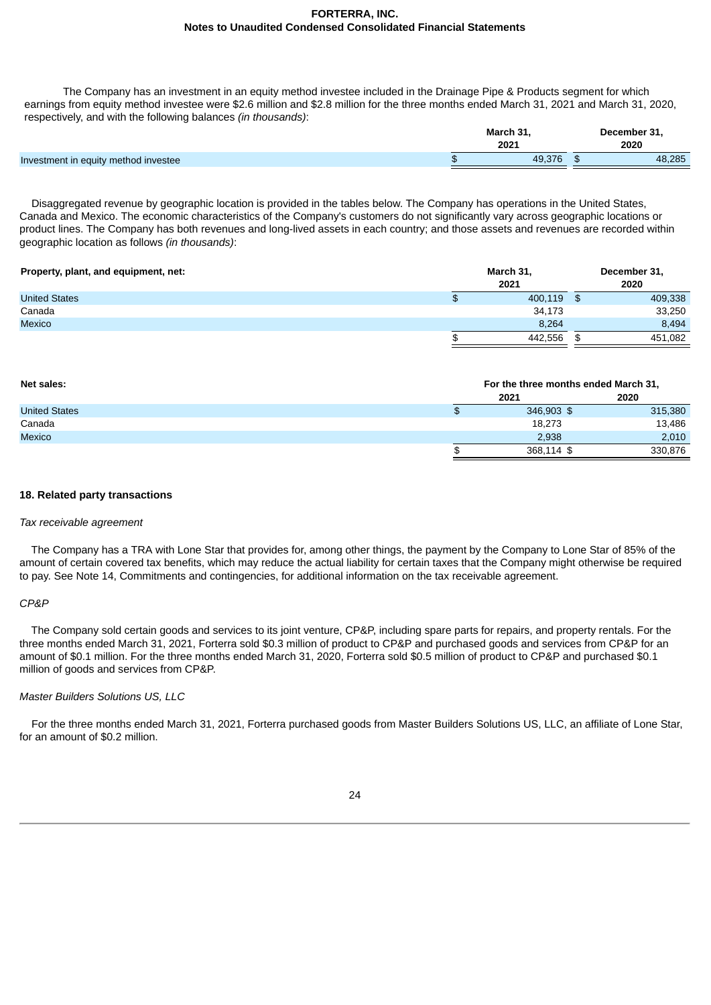The Company has an investment in an equity method investee included in the Drainage Pipe & Products segment for which earnings from equity method investee were \$2.6 million and \$2.8 million for the three months ended March 31, 2021 and March 31, 2020, respectively, and with the following balances *(in thousands)*:

|                                      | March 31. |  | December 31, |  |  |
|--------------------------------------|-----------|--|--------------|--|--|
|                                      | 2021      |  | 2020         |  |  |
| Investment in equity method investee | .376      |  | 48.285       |  |  |
|                                      |           |  |              |  |  |

Disaggregated revenue by geographic location is provided in the tables below. The Company has operations in the United States, Canada and Mexico. The economic characteristics of the Company's customers do not significantly vary across geographic locations or product lines. The Company has both revenues and long-lived assets in each country; and those assets and revenues are recorded within geographic location as follows *(in thousands)*:

| Property, plant, and equipment, net: | March 31, |         |     | December 31, |  |  |
|--------------------------------------|-----------|---------|-----|--------------|--|--|
|                                      |           | 2021    |     | 2020         |  |  |
| <b>United States</b>                 | ⊕         | 400,119 | \$. | 409,338      |  |  |
| Canada                               |           | 34,173  |     | 33,250       |  |  |
| Mexico                               |           | 8.264   |     | 8.494        |  |  |
|                                      |           | 442.556 |     | 451.082      |  |  |

| Net sales:           | For the three months ended March 31, |         |  |
|----------------------|--------------------------------------|---------|--|
|                      | 2021                                 | 2020    |  |
| <b>United States</b> | 346,903 \$                           | 315,380 |  |
| Canada               | 18,273                               | 13,486  |  |
| Mexico               | 2.938                                | 2,010   |  |
|                      | 368,114 \$                           | 330,876 |  |

## **18. Related party transactions**

#### *Tax receivable agreement*

The Company has a TRA with Lone Star that provides for, among other things, the payment by the Company to Lone Star of 85% of the amount of certain covered tax benefits, which may reduce the actual liability for certain taxes that the Company might otherwise be required to pay. See Note 14, Commitments and contingencies, for additional information on the tax receivable agreement.

## *CP&P*

The Company sold certain goods and services to its joint venture, CP&P, including spare parts for repairs, and property rentals. For the three months ended March 31, 2021, Forterra sold \$0.3 million of product to CP&P and purchased goods and services from CP&P for an amount of \$0.1 million. For the three months ended March 31, 2020, Forterra sold \$0.5 million of product to CP&P and purchased \$0.1 million of goods and services from CP&P.

## *Master Builders Solutions US, LLC*

For the three months ended March 31, 2021, Forterra purchased goods from Master Builders Solutions US, LLC, an affiliate of Lone Star, for an amount of \$0.2 million.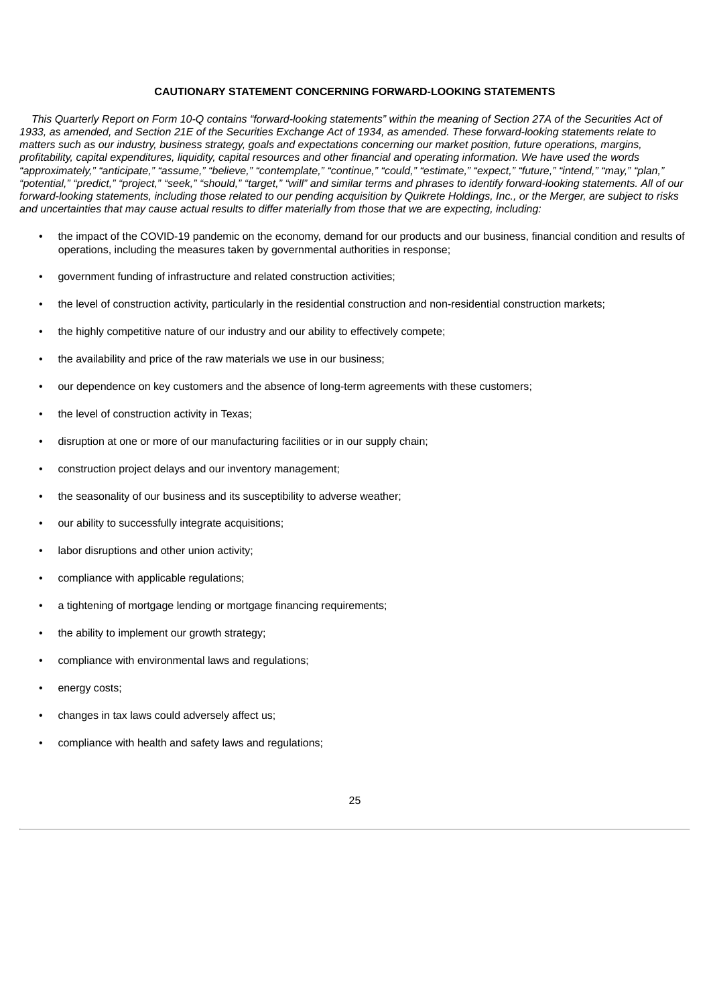#### **CAUTIONARY STATEMENT CONCERNING FORWARD-LOOKING STATEMENTS**

This Quarterly Report on Form 10-Q contains "forward-looking statements" within the meaning of Section 27A of the Securities Act of 1933, as amended, and Section 21E of the Securities Exchange Act of 1934, as amended. These forward-looking statements relate to matters such as our industry, business strategy, goals and expectations concerning our market position, future operations, margins, profitability, capital expenditures, liquidity, capital resources and other financial and operating information. We have used the words "approximately," "anticipate," "assume," "believe," "contemplate," "continue," "could," "estimate," "expect," "future," "intend," "may," "plan," "potential," "predict," "project," "seek," "should," "target," "will" and similar terms and phrases to identify forward-looking statements. All of our forward-looking statements, including those related to our pending acquisition by Quikrete Holdings, Inc., or the Merger, are subject to risks and uncertainties that may cause actual results to differ materially from those that we are expecting, including:

- the impact of the COVID-19 pandemic on the economy, demand for our products and our business, financial condition and results of operations, including the measures taken by governmental authorities in response;
- government funding of infrastructure and related construction activities;
- the level of construction activity, particularly in the residential construction and non-residential construction markets;
- the highly competitive nature of our industry and our ability to effectively compete;
- the availability and price of the raw materials we use in our business:
- our dependence on key customers and the absence of long-term agreements with these customers;
- the level of construction activity in Texas;
- disruption at one or more of our manufacturing facilities or in our supply chain;
- construction project delays and our inventory management;
- the seasonality of our business and its susceptibility to adverse weather;
- our ability to successfully integrate acquisitions;
- labor disruptions and other union activity;
- compliance with applicable regulations;
- a tightening of mortgage lending or mortgage financing requirements;
- the ability to implement our growth strategy;
- compliance with environmental laws and regulations;
- energy costs;
- changes in tax laws could adversely affect us;
- compliance with health and safety laws and regulations;

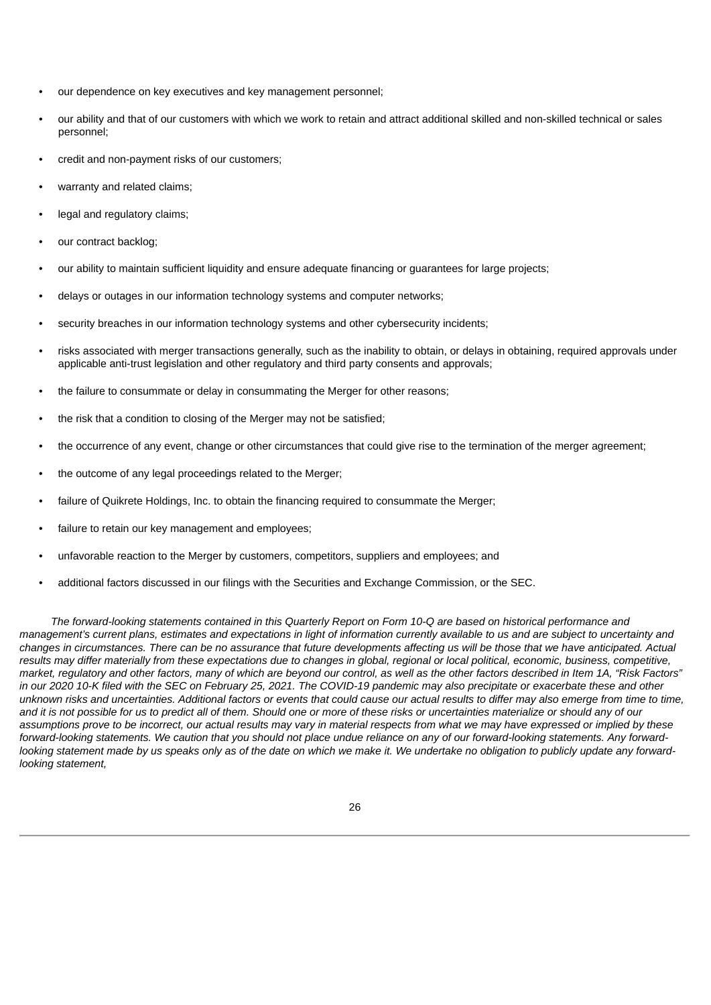- our dependence on key executives and key management personnel;
- our ability and that of our customers with which we work to retain and attract additional skilled and non-skilled technical or sales personnel;
- credit and non-payment risks of our customers;
- warranty and related claims;
- legal and regulatory claims;
- our contract backlog;
- our ability to maintain sufficient liquidity and ensure adequate financing or guarantees for large projects;
- delays or outages in our information technology systems and computer networks;
- security breaches in our information technology systems and other cybersecurity incidents;
- risks associated with merger transactions generally, such as the inability to obtain, or delays in obtaining, required approvals under applicable anti-trust legislation and other regulatory and third party consents and approvals;
- the failure to consummate or delay in consummating the Merger for other reasons;
- the risk that a condition to closing of the Merger may not be satisfied;
- the occurrence of any event, change or other circumstances that could give rise to the termination of the merger agreement;
- the outcome of any legal proceedings related to the Merger;
- failure of Quikrete Holdings, Inc. to obtain the financing required to consummate the Merger;
- failure to retain our key management and employees;
- unfavorable reaction to the Merger by customers, competitors, suppliers and employees; and
- additional factors discussed in our filings with the Securities and Exchange Commission, or the SEC.

The forward-looking statements contained in this Quarterly Report on Form 10-Q are based on historical performance and management's current plans, estimates and expectations in light of information currently available to us and are subject to uncertainty and changes in circumstances. There can be no assurance that future developments affecting us will be those that we have anticipated. Actual results may differ materially from these expectations due to changes in global, regional or local political, economic, business, competitive, market, regulatory and other factors, many of which are beyond our control, as well as the other factors described in Item 1A, "Risk Factors" in our 2020 10-K filed with the SEC on February 25, 2021. The COVID-19 pandemic may also precipitate or exacerbate these and other unknown risks and uncertainties. Additional factors or events that could cause our actual results to differ may also emerge from time to time, and it is not possible for us to predict all of them. Should one or more of these risks or uncertainties materialize or should any of our assumptions prove to be incorrect, our actual results may vary in material respects from what we may have expressed or implied by these forward-looking statements. We caution that you should not place undue reliance on any of our forward-looking statements. Any forwardlooking statement made by us speaks only as of the date on which we make it. We undertake no obligation to publicly update any forward*looking statement,*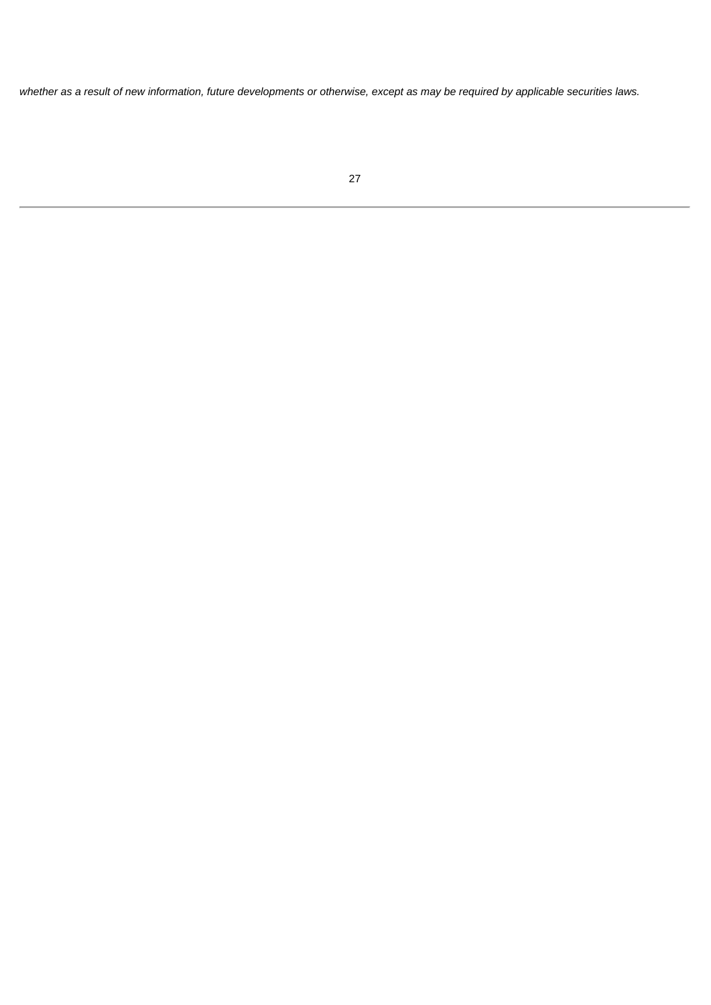<span id="page-28-0"></span>whether as a result of new information, future developments or otherwise, except as may be required by applicable securities laws.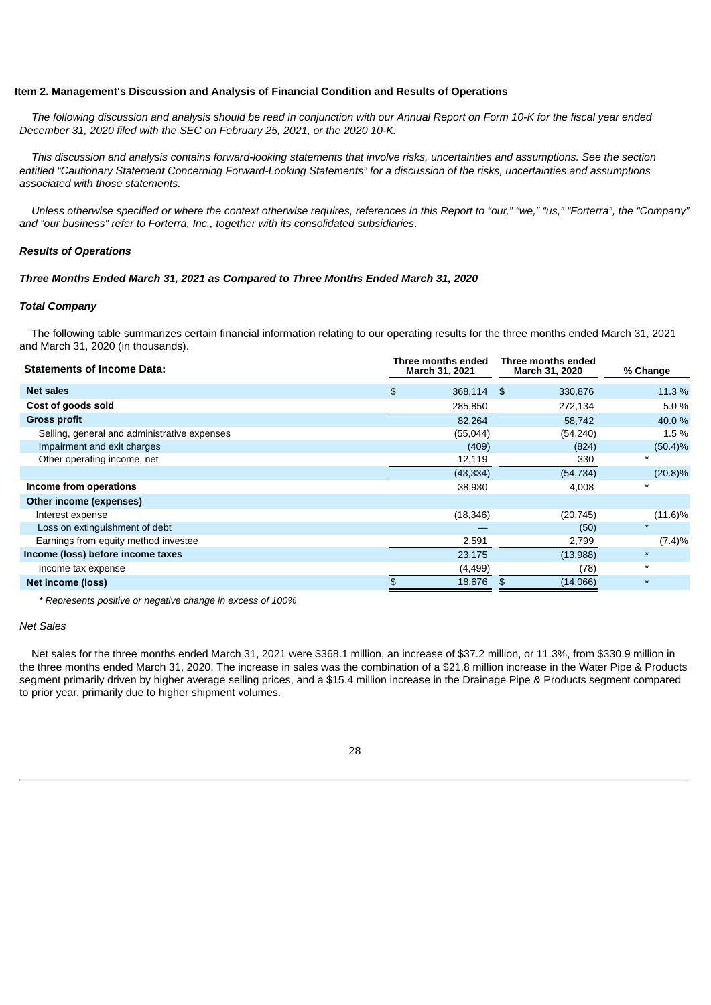#### **Item 2. Management's Discussion and Analysis of Financial Condition and Results of Operations**

The following discussion and analysis should be read in conjunction with our Annual Report on Form 10-K for the fiscal year ended *December 31, 2020 filed with the SEC on February 25, 2021, or the 2020 10-K.*

This discussion and analysis contains forward-looking statements that involve risks, uncertainties and assumptions. See the section entitled "Cautionary Statement Concerning Forward-Looking Statements" for a discussion of the risks, uncertainties and assumptions *associated with those statements.*

Unless otherwise specified or where the context otherwise requires, references in this Report to "our," "we," "us," "Forterra", the "Company" *and "our business" refer to Forterra, Inc., together with its consolidated subsidiaries*.

#### *Results of Operations*

#### *Three Months Ended March 31, 2021 as Compared to Three Months Ended March 31, 2020*

### *Total Company*

The following table summarizes certain financial information relating to our operating results for the three months ended March 31, 2021 and March 31, 2020 (in thousands).

| <b>Statements of Income Data:</b>            | Three months ended<br><b>March 31, 2021</b> | Three months ended<br><b>March 31, 2020</b> | % Change   |
|----------------------------------------------|---------------------------------------------|---------------------------------------------|------------|
| <b>Net sales</b>                             | $\mathfrak{D}$<br>368,114 \$                | 330,876                                     | 11.3 %     |
| Cost of goods sold                           | 285,850                                     | 272,134                                     | 5.0%       |
| <b>Gross profit</b>                          | 82,264                                      | 58,742                                      | 40.0 %     |
| Selling, general and administrative expenses | (55,044)                                    | (54, 240)                                   | 1.5 %      |
| Impairment and exit charges                  | (409)                                       | (824)                                       | $(50.4)\%$ |
| Other operating income, net                  | 12,119                                      | 330                                         | $\star$    |
|                                              | (43, 334)                                   | (54, 734)                                   | $(20.8)\%$ |
| Income from operations                       | 38,930                                      | 4,008                                       | $\star$    |
| Other income (expenses)                      |                                             |                                             |            |
| Interest expense                             | (18, 346)                                   | (20, 745)                                   | $(11.6)\%$ |
| Loss on extinguishment of debt               |                                             | (50)                                        | $\star$    |
| Earnings from equity method investee         | 2,591                                       | 2,799                                       | (7.4)%     |
| Income (loss) before income taxes            | 23,175                                      | (13,988)                                    | $\star$    |
| Income tax expense                           | (4, 499)                                    | (78)                                        | $\star$    |
| Net income (loss)                            | 18,676<br>\$                                | (14,066)<br>\$                              | $\star$    |

*\* Represents positive or negative change in excess of 100%*

#### *Net Sales*

Net sales for the three months ended March 31, 2021 were \$368.1 million, an increase of \$37.2 million, or 11.3%, from \$330.9 million in the three months ended March 31, 2020. The increase in sales was the combination of a \$21.8 million increase in the Water Pipe & Products segment primarily driven by higher average selling prices, and a \$15.4 million increase in the Drainage Pipe & Products segment compared to prior year, primarily due to higher shipment volumes.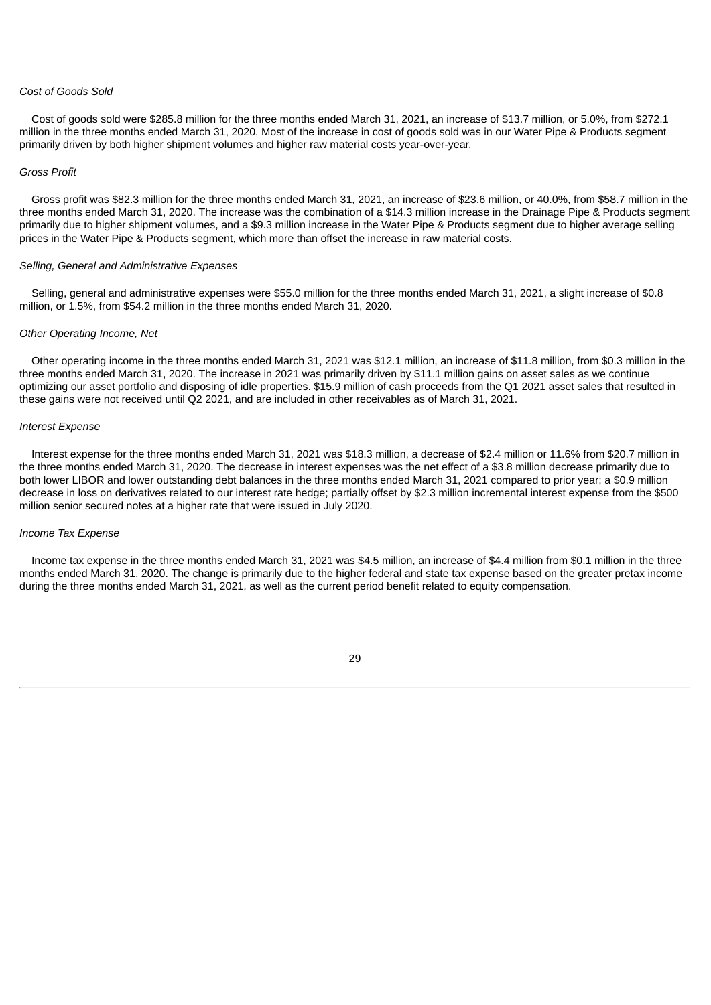#### *Cost of Goods Sold*

Cost of goods sold were \$285.8 million for the three months ended March 31, 2021, an increase of \$13.7 million, or 5.0%, from \$272.1 million in the three months ended March 31, 2020. Most of the increase in cost of goods sold was in our Water Pipe & Products segment primarily driven by both higher shipment volumes and higher raw material costs year-over-year.

#### *Gross Profit*

Gross profit was \$82.3 million for the three months ended March 31, 2021, an increase of \$23.6 million, or 40.0%, from \$58.7 million in the three months ended March 31, 2020. The increase was the combination of a \$14.3 million increase in the Drainage Pipe & Products segment primarily due to higher shipment volumes, and a \$9.3 million increase in the Water Pipe & Products segment due to higher average selling prices in the Water Pipe & Products segment, which more than offset the increase in raw material costs.

## *Selling, General and Administrative Expenses*

Selling, general and administrative expenses were \$55.0 million for the three months ended March 31, 2021, a slight increase of \$0.8 million, or 1.5%, from \$54.2 million in the three months ended March 31, 2020.

#### *Other Operating Income, Net*

Other operating income in the three months ended March 31, 2021 was \$12.1 million, an increase of \$11.8 million, from \$0.3 million in the three months ended March 31, 2020. The increase in 2021 was primarily driven by \$11.1 million gains on asset sales as we continue optimizing our asset portfolio and disposing of idle properties. \$15.9 million of cash proceeds from the Q1 2021 asset sales that resulted in these gains were not received until Q2 2021, and are included in other receivables as of March 31, 2021.

#### *Interest Expense*

Interest expense for the three months ended March 31, 2021 was \$18.3 million, a decrease of \$2.4 million or 11.6% from \$20.7 million in the three months ended March 31, 2020. The decrease in interest expenses was the net effect of a \$3.8 million decrease primarily due to both lower LIBOR and lower outstanding debt balances in the three months ended March 31, 2021 compared to prior year; a \$0.9 million decrease in loss on derivatives related to our interest rate hedge; partially offset by \$2.3 million incremental interest expense from the \$500 million senior secured notes at a higher rate that were issued in July 2020.

#### *Income Tax Expense*

Income tax expense in the three months ended March 31, 2021 was \$4.5 million, an increase of \$4.4 million from \$0.1 million in the three months ended March 31, 2020. The change is primarily due to the higher federal and state tax expense based on the greater pretax income during the three months ended March 31, 2021, as well as the current period benefit related to equity compensation.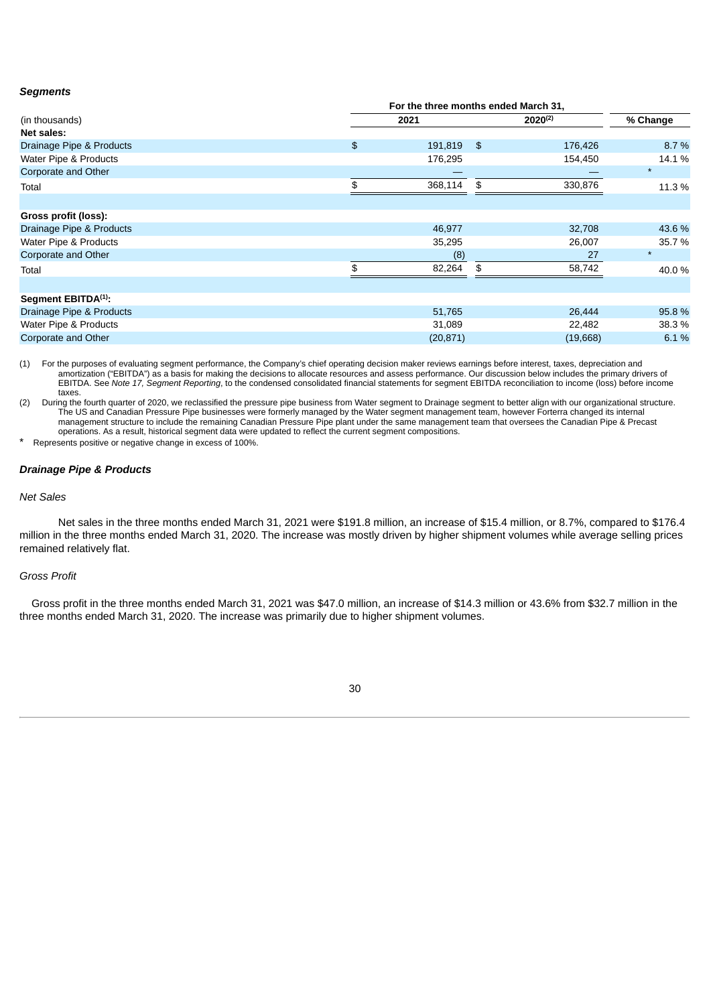#### *Segments*

|                                 |      | For the three months ended March 31, |              |          |  |  |
|---------------------------------|------|--------------------------------------|--------------|----------|--|--|
| (in thousands)                  | 2021 |                                      | $2020^{(2)}$ | % Change |  |  |
| Net sales:                      |      |                                      |              |          |  |  |
| Drainage Pipe & Products        | \$   | 191,819<br>$\mathfrak{S}$            | 176,426      | 8.7%     |  |  |
| Water Pipe & Products           |      | 176,295                              | 154,450      | 14.1 %   |  |  |
| Corporate and Other             |      |                                      |              | $\star$  |  |  |
| Total                           |      | 368,114<br>\$                        | 330,876      | 11.3 %   |  |  |
|                                 |      |                                      |              |          |  |  |
| Gross profit (loss):            |      |                                      |              |          |  |  |
| Drainage Pipe & Products        |      | 46,977                               | 32,708       | 43.6 %   |  |  |
| Water Pipe & Products           |      | 35,295                               | 26,007       | 35.7 %   |  |  |
| Corporate and Other             |      | (8)                                  | 27           | $\star$  |  |  |
| Total                           |      | 82,264<br>\$                         | 58,742       | 40.0%    |  |  |
|                                 |      |                                      |              |          |  |  |
| Segment EBITDA <sup>(1)</sup> : |      |                                      |              |          |  |  |
| Drainage Pipe & Products        |      | 51,765                               | 26,444       | 95.8%    |  |  |
| Water Pipe & Products           |      | 31,089                               | 22,482       | 38.3 %   |  |  |
| Corporate and Other             |      | (20, 871)                            | (19,668)     | 6.1%     |  |  |

(1) For the purposes of evaluating segment performance, the Company's chief operating decision maker reviews earnings before interest, taxes, depreciation and amortization ("EBITDA") as a basis for making the decisions to allocate resources and assess performance. Our discussion below includes the primary drivers of EBITDA. See *Note 17, Segment Reporting*, to the condensed consolidated financial statements for segment EBITDA reconciliation to income (loss) before income taxes.

(2) During the fourth quarter of 2020, we reclassified the pressure pipe business from Water segment to Drainage segment to better align with our organizational structure. The US and Canadian Pressure Pipe businesses were formerly managed by the Water segment management team, however Forterra changed its internal management structure to include the remaining Canadian Pressure Pipe plant under the same management team that oversees the Canadian Pipe & Precast operations. As a result, historical segment data were updated to reflect the current segment compositions.

Represents positive or negative change in excess of 100%.

## *Drainage Pipe & Products*

#### *Net Sales*

Net sales in the three months ended March 31, 2021 were \$191.8 million, an increase of \$15.4 million, or 8.7%, compared to \$176.4 million in the three months ended March 31, 2020. The increase was mostly driven by higher shipment volumes while average selling prices remained relatively flat.

#### *Gross Profit*

Gross profit in the three months ended March 31, 2021 was \$47.0 million, an increase of \$14.3 million or 43.6% from \$32.7 million in the three months ended March 31, 2020. The increase was primarily due to higher shipment volumes.

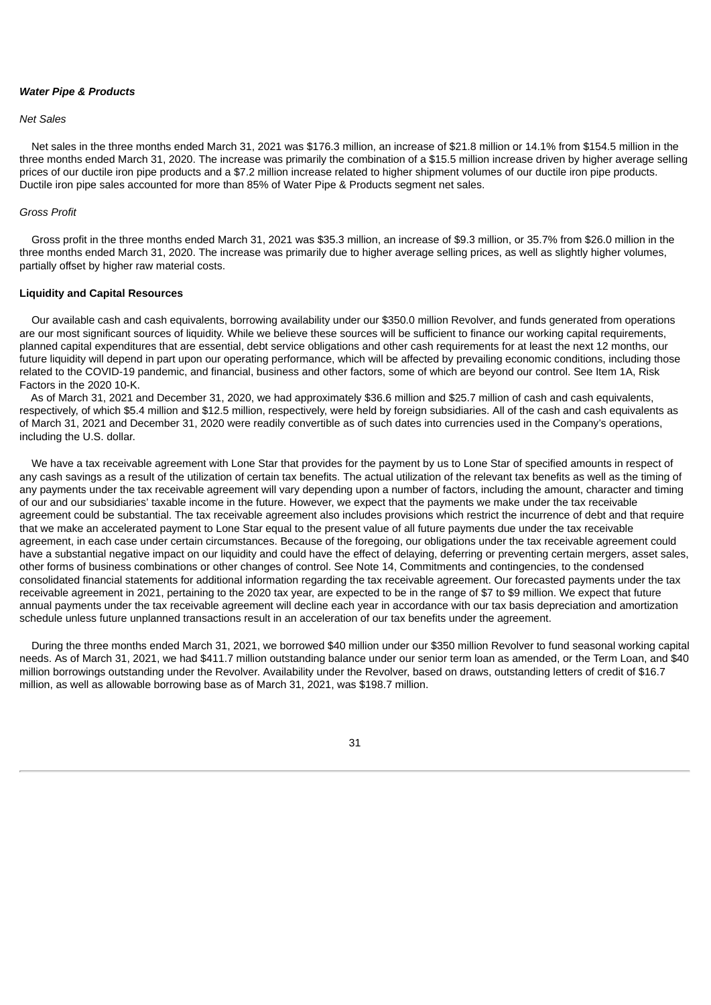#### *Water Pipe & Products*

## *Net Sales*

Net sales in the three months ended March 31, 2021 was \$176.3 million, an increase of \$21.8 million or 14.1% from \$154.5 million in the three months ended March 31, 2020. The increase was primarily the combination of a \$15.5 million increase driven by higher average selling prices of our ductile iron pipe products and a \$7.2 million increase related to higher shipment volumes of our ductile iron pipe products. Ductile iron pipe sales accounted for more than 85% of Water Pipe & Products segment net sales.

#### *Gross Profit*

Gross profit in the three months ended March 31, 2021 was \$35.3 million, an increase of \$9.3 million, or 35.7% from \$26.0 million in the three months ended March 31, 2020. The increase was primarily due to higher average selling prices, as well as slightly higher volumes, partially offset by higher raw material costs.

## **Liquidity and Capital Resources**

Our available cash and cash equivalents, borrowing availability under our \$350.0 million Revolver, and funds generated from operations are our most significant sources of liquidity. While we believe these sources will be sufficient to finance our working capital requirements, planned capital expenditures that are essential, debt service obligations and other cash requirements for at least the next 12 months, our future liquidity will depend in part upon our operating performance, which will be affected by prevailing economic conditions, including those related to the COVID-19 pandemic, and financial, business and other factors, some of which are beyond our control. See Item 1A, Risk Factors in the 2020 10-K.

As of March 31, 2021 and December 31, 2020, we had approximately \$36.6 million and \$25.7 million of cash and cash equivalents, respectively, of which \$5.4 million and \$12.5 million, respectively, were held by foreign subsidiaries. All of the cash and cash equivalents as of March 31, 2021 and December 31, 2020 were readily convertible as of such dates into currencies used in the Company's operations, including the U.S. dollar.

We have a tax receivable agreement with Lone Star that provides for the payment by us to Lone Star of specified amounts in respect of any cash savings as a result of the utilization of certain tax benefits. The actual utilization of the relevant tax benefits as well as the timing of any payments under the tax receivable agreement will vary depending upon a number of factors, including the amount, character and timing of our and our subsidiaries' taxable income in the future. However, we expect that the payments we make under the tax receivable agreement could be substantial. The tax receivable agreement also includes provisions which restrict the incurrence of debt and that require that we make an accelerated payment to Lone Star equal to the present value of all future payments due under the tax receivable agreement, in each case under certain circumstances. Because of the foregoing, our obligations under the tax receivable agreement could have a substantial negative impact on our liquidity and could have the effect of delaying, deferring or preventing certain mergers, asset sales, other forms of business combinations or other changes of control. See Note 14, Commitments and contingencies, to the condensed consolidated financial statements for additional information regarding the tax receivable agreement. Our forecasted payments under the tax receivable agreement in 2021, pertaining to the 2020 tax year, are expected to be in the range of \$7 to \$9 million. We expect that future annual payments under the tax receivable agreement will decline each year in accordance with our tax basis depreciation and amortization schedule unless future unplanned transactions result in an acceleration of our tax benefits under the agreement.

During the three months ended March 31, 2021, we borrowed \$40 million under our \$350 million Revolver to fund seasonal working capital needs. As of March 31, 2021, we had \$411.7 million outstanding balance under our senior term loan as amended, or the Term Loan, and \$40 million borrowings outstanding under the Revolver. Availability under the Revolver, based on draws, outstanding letters of credit of \$16.7 million, as well as allowable borrowing base as of March 31, 2021, was \$198.7 million.

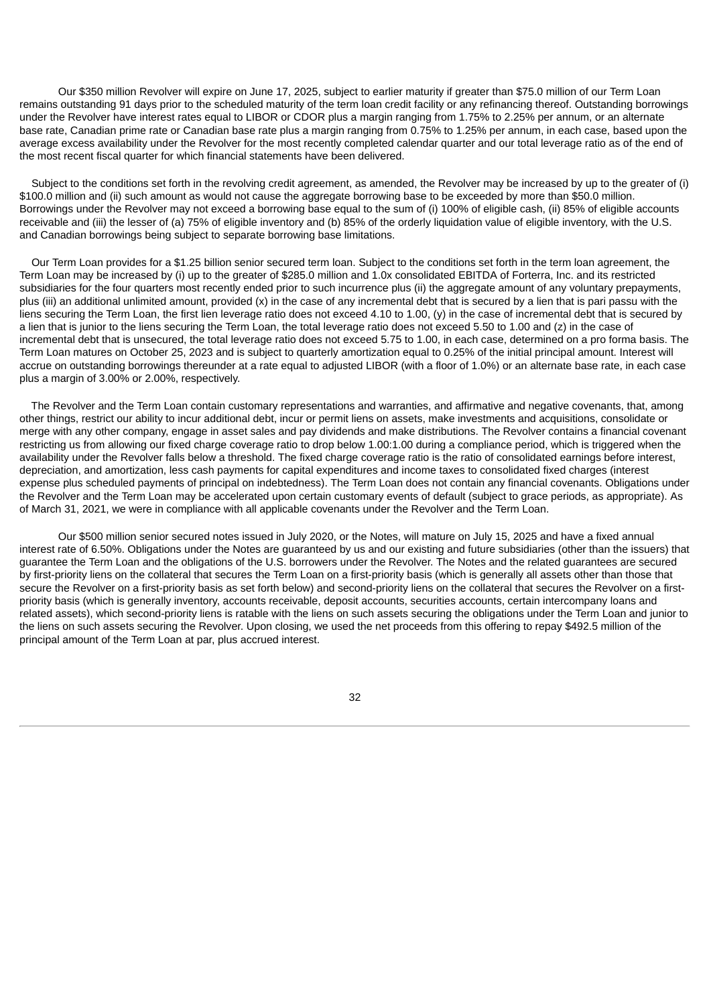Our \$350 million Revolver will expire on June 17, 2025, subject to earlier maturity if greater than \$75.0 million of our Term Loan remains outstanding 91 days prior to the scheduled maturity of the term loan credit facility or any refinancing thereof. Outstanding borrowings under the Revolver have interest rates equal to LIBOR or CDOR plus a margin ranging from 1.75% to 2.25% per annum, or an alternate base rate, Canadian prime rate or Canadian base rate plus a margin ranging from 0.75% to 1.25% per annum, in each case, based upon the average excess availability under the Revolver for the most recently completed calendar quarter and our total leverage ratio as of the end of the most recent fiscal quarter for which financial statements have been delivered.

Subject to the conditions set forth in the revolving credit agreement, as amended, the Revolver may be increased by up to the greater of (i) \$100.0 million and (ii) such amount as would not cause the aggregate borrowing base to be exceeded by more than \$50.0 million. Borrowings under the Revolver may not exceed a borrowing base equal to the sum of (i) 100% of eligible cash, (ii) 85% of eligible accounts receivable and (iii) the lesser of (a) 75% of eligible inventory and (b) 85% of the orderly liquidation value of eligible inventory, with the U.S. and Canadian borrowings being subject to separate borrowing base limitations.

Our Term Loan provides for a \$1.25 billion senior secured term loan. Subject to the conditions set forth in the term loan agreement, the Term Loan may be increased by (i) up to the greater of \$285.0 million and 1.0x consolidated EBITDA of Forterra, Inc. and its restricted subsidiaries for the four quarters most recently ended prior to such incurrence plus (ii) the aggregate amount of any voluntary prepayments, plus (iii) an additional unlimited amount, provided (x) in the case of any incremental debt that is secured by a lien that is pari passu with the liens securing the Term Loan, the first lien leverage ratio does not exceed 4.10 to 1.00, (y) in the case of incremental debt that is secured by a lien that is junior to the liens securing the Term Loan, the total leverage ratio does not exceed 5.50 to 1.00 and (z) in the case of incremental debt that is unsecured, the total leverage ratio does not exceed 5.75 to 1.00, in each case, determined on a pro forma basis. The Term Loan matures on October 25, 2023 and is subject to quarterly amortization equal to 0.25% of the initial principal amount. Interest will accrue on outstanding borrowings thereunder at a rate equal to adjusted LIBOR (with a floor of 1.0%) or an alternate base rate, in each case plus a margin of 3.00% or 2.00%, respectively.

The Revolver and the Term Loan contain customary representations and warranties, and affirmative and negative covenants, that, among other things, restrict our ability to incur additional debt, incur or permit liens on assets, make investments and acquisitions, consolidate or merge with any other company, engage in asset sales and pay dividends and make distributions. The Revolver contains a financial covenant restricting us from allowing our fixed charge coverage ratio to drop below 1.00:1.00 during a compliance period, which is triggered when the availability under the Revolver falls below a threshold. The fixed charge coverage ratio is the ratio of consolidated earnings before interest, depreciation, and amortization, less cash payments for capital expenditures and income taxes to consolidated fixed charges (interest expense plus scheduled payments of principal on indebtedness). The Term Loan does not contain any financial covenants. Obligations under the Revolver and the Term Loan may be accelerated upon certain customary events of default (subject to grace periods, as appropriate). As of March 31, 2021, we were in compliance with all applicable covenants under the Revolver and the Term Loan.

Our \$500 million senior secured notes issued in July 2020, or the Notes, will mature on July 15, 2025 and have a fixed annual interest rate of 6.50%. Obligations under the Notes are guaranteed by us and our existing and future subsidiaries (other than the issuers) that guarantee the Term Loan and the obligations of the U.S. borrowers under the Revolver. The Notes and the related guarantees are secured by first-priority liens on the collateral that secures the Term Loan on a first-priority basis (which is generally all assets other than those that secure the Revolver on a first-priority basis as set forth below) and second-priority liens on the collateral that secures the Revolver on a firstpriority basis (which is generally inventory, accounts receivable, deposit accounts, securities accounts, certain intercompany loans and related assets), which second-priority liens is ratable with the liens on such assets securing the obligations under the Term Loan and junior to the liens on such assets securing the Revolver. Upon closing, we used the net proceeds from this offering to repay \$492.5 million of the principal amount of the Term Loan at par, plus accrued interest.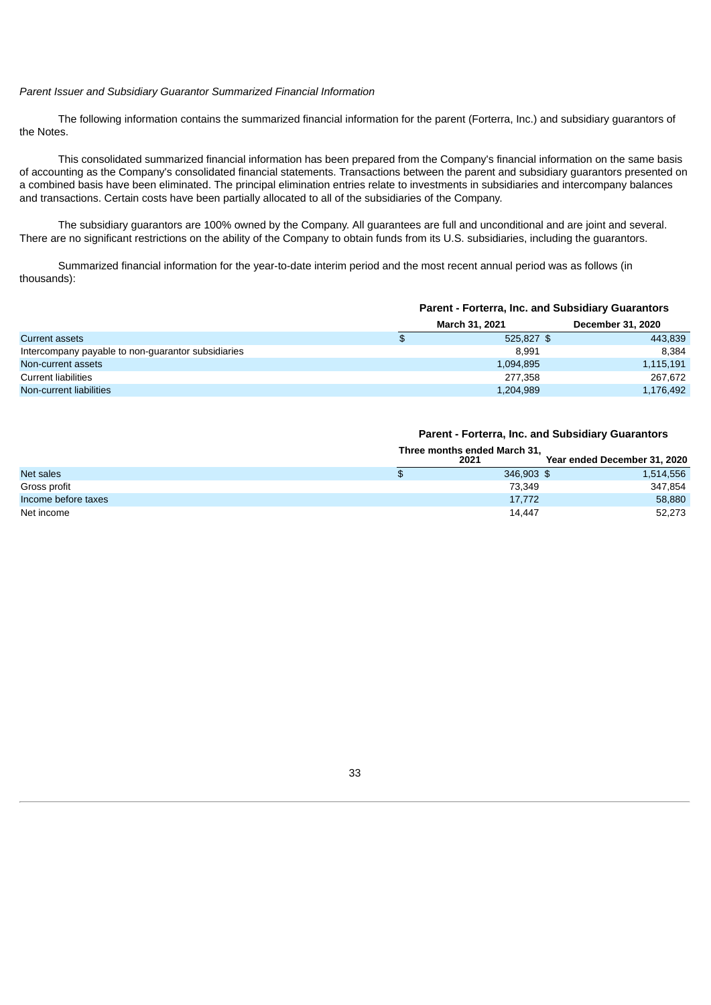## *Parent Issuer and Subsidiary Guarantor Summarized Financial Information*

The following information contains the summarized financial information for the parent (Forterra, Inc.) and subsidiary guarantors of the Notes.

This consolidated summarized financial information has been prepared from the Company's financial information on the same basis of accounting as the Company's consolidated financial statements. Transactions between the parent and subsidiary guarantors presented on a combined basis have been eliminated. The principal elimination entries relate to investments in subsidiaries and intercompany balances and transactions. Certain costs have been partially allocated to all of the subsidiaries of the Company.

The subsidiary guarantors are 100% owned by the Company. All guarantees are full and unconditional and are joint and several. There are no significant restrictions on the ability of the Company to obtain funds from its U.S. subsidiaries, including the guarantors.

Summarized financial information for the year-to-date interim period and the most recent annual period was as follows (in thousands):

|                                                    |  | <b>Parent - Forterra, Inc. and Subsidiary Guarantors</b> |                   |  |  |
|----------------------------------------------------|--|----------------------------------------------------------|-------------------|--|--|
|                                                    |  | <b>March 31, 2021</b>                                    | December 31, 2020 |  |  |
| <b>Current assets</b>                              |  | $525,827$ \$                                             | 443.839           |  |  |
| Intercompany payable to non-guarantor subsidiaries |  | 8.991                                                    | 8.384             |  |  |
| Non-current assets                                 |  | 1.094.895                                                | 1,115,191         |  |  |
| <b>Current liabilities</b>                         |  | 277.358                                                  | 267.672           |  |  |
| Non-current liabilities                            |  | 1,204,989                                                | 1,176,492         |  |  |

#### **Parent - Forterra, Inc. and Subsidiary Guarantors**

**Three months ended March 31,**

|                     | <b>THE COMMENT CHUCU MATCH 31,</b> |                              |  |  |
|---------------------|------------------------------------|------------------------------|--|--|
|                     | 2021                               | Year ended December 31, 2020 |  |  |
| Net sales           | \$<br>346.903 \$                   | 1,514,556                    |  |  |
| Gross profit        | 73.349                             | 347.854                      |  |  |
| Income before taxes | 17.772                             | 58,880                       |  |  |
| Net income          | 14,447                             | 52,273                       |  |  |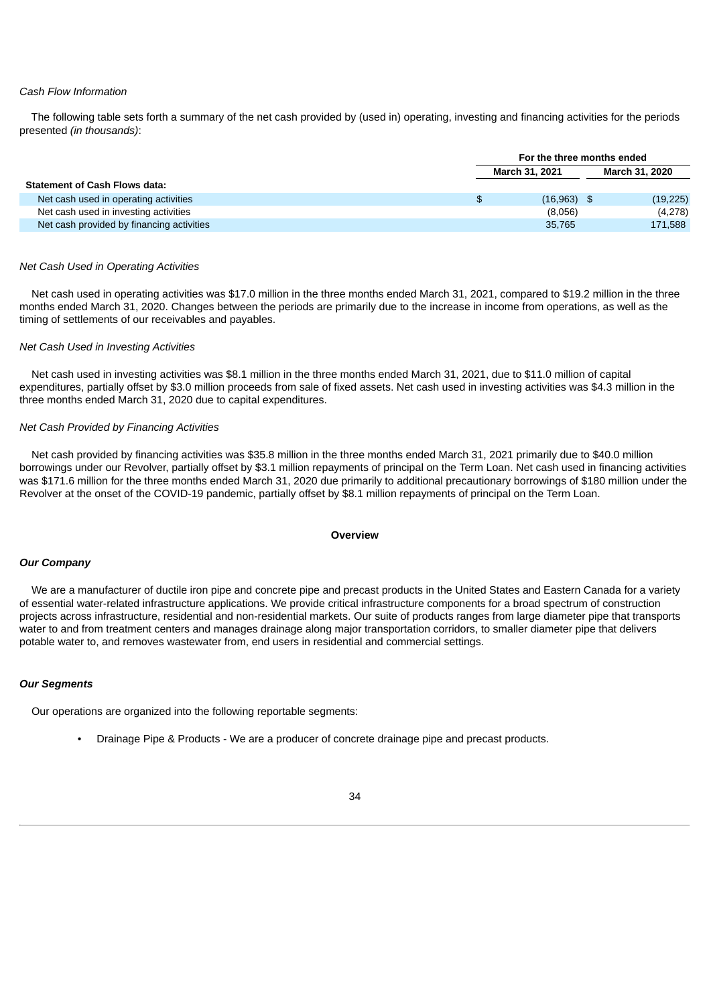#### *Cash Flow Information*

The following table sets forth a summary of the net cash provided by (used in) operating, investing and financing activities for the periods presented *(in thousands)*:

|                                           | For the three months ended |  |                       |  |
|-------------------------------------------|----------------------------|--|-----------------------|--|
|                                           | <b>March 31, 2021</b>      |  | <b>March 31, 2020</b> |  |
| <b>Statement of Cash Flows data:</b>      |                            |  |                       |  |
| Net cash used in operating activities     | \$<br>$(16,963)$ \$        |  | (19, 225)             |  |
| Net cash used in investing activities     | (8,056)                    |  | (4,278)               |  |
| Net cash provided by financing activities | 35.765                     |  | 171,588               |  |

#### *Net Cash Used in Operating Activities*

Net cash used in operating activities was \$17.0 million in the three months ended March 31, 2021, compared to \$19.2 million in the three months ended March 31, 2020. Changes between the periods are primarily due to the increase in income from operations, as well as the timing of settlements of our receivables and payables.

#### *Net Cash Used in Investing Activities*

Net cash used in investing activities was \$8.1 million in the three months ended March 31, 2021, due to \$11.0 million of capital expenditures, partially offset by \$3.0 million proceeds from sale of fixed assets. Net cash used in investing activities was \$4.3 million in the three months ended March 31, 2020 due to capital expenditures.

#### *Net Cash Provided by Financing Activities*

Net cash provided by financing activities was \$35.8 million in the three months ended March 31, 2021 primarily due to \$40.0 million borrowings under our Revolver, partially offset by \$3.1 million repayments of principal on the Term Loan. Net cash used in financing activities was \$171.6 million for the three months ended March 31, 2020 due primarily to additional precautionary borrowings of \$180 million under the Revolver at the onset of the COVID-19 pandemic, partially offset by \$8.1 million repayments of principal on the Term Loan.

#### **Overview**

### *Our Company*

We are a manufacturer of ductile iron pipe and concrete pipe and precast products in the United States and Eastern Canada for a variety of essential water-related infrastructure applications. We provide critical infrastructure components for a broad spectrum of construction projects across infrastructure, residential and non-residential markets. Our suite of products ranges from large diameter pipe that transports water to and from treatment centers and manages drainage along major transportation corridors, to smaller diameter pipe that delivers potable water to, and removes wastewater from, end users in residential and commercial settings.

#### *Our Segments*

Our operations are organized into the following reportable segments:

• Drainage Pipe & Products - We are a producer of concrete drainage pipe and precast products.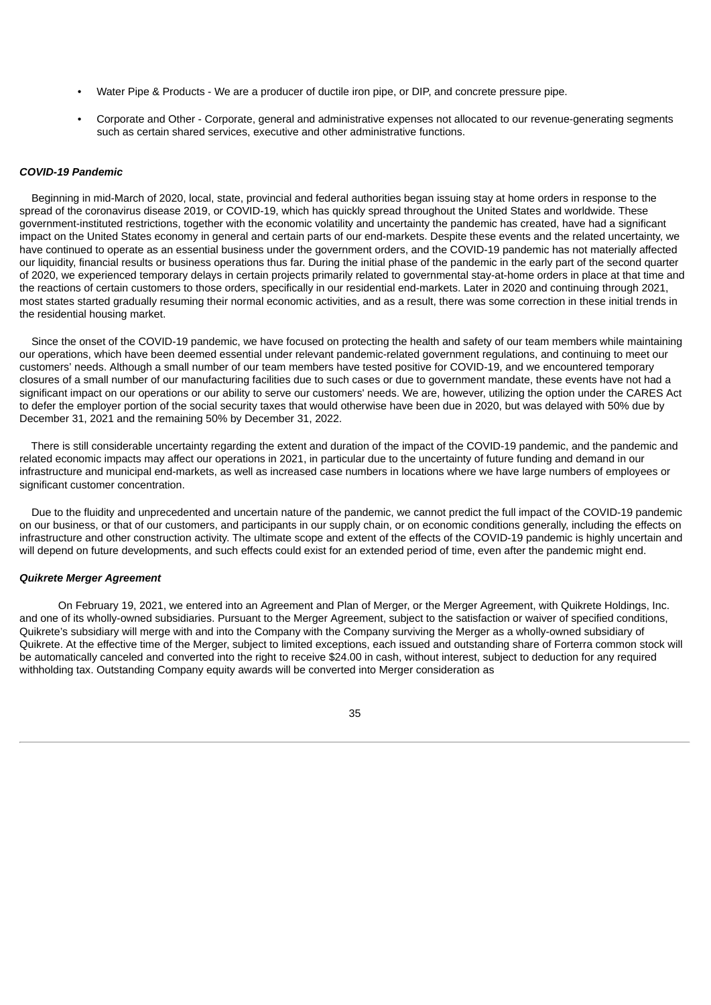- Water Pipe & Products We are a producer of ductile iron pipe, or DIP, and concrete pressure pipe.
- Corporate and Other Corporate, general and administrative expenses not allocated to our revenue-generating segments such as certain shared services, executive and other administrative functions.

#### *COVID-19 Pandemic*

Beginning in mid-March of 2020, local, state, provincial and federal authorities began issuing stay at home orders in response to the spread of the coronavirus disease 2019, or COVID-19, which has quickly spread throughout the United States and worldwide. These government-instituted restrictions, together with the economic volatility and uncertainty the pandemic has created, have had a significant impact on the United States economy in general and certain parts of our end-markets. Despite these events and the related uncertainty, we have continued to operate as an essential business under the government orders, and the COVID-19 pandemic has not materially affected our liquidity, financial results or business operations thus far. During the initial phase of the pandemic in the early part of the second quarter of 2020, we experienced temporary delays in certain projects primarily related to governmental stay-at-home orders in place at that time and the reactions of certain customers to those orders, specifically in our residential end-markets. Later in 2020 and continuing through 2021, most states started gradually resuming their normal economic activities, and as a result, there was some correction in these initial trends in the residential housing market.

Since the onset of the COVID-19 pandemic, we have focused on protecting the health and safety of our team members while maintaining our operations, which have been deemed essential under relevant pandemic-related government regulations, and continuing to meet our customers' needs. Although a small number of our team members have tested positive for COVID-19, and we encountered temporary closures of a small number of our manufacturing facilities due to such cases or due to government mandate, these events have not had a significant impact on our operations or our ability to serve our customers' needs. We are, however, utilizing the option under the CARES Act to defer the employer portion of the social security taxes that would otherwise have been due in 2020, but was delayed with 50% due by December 31, 2021 and the remaining 50% by December 31, 2022.

There is still considerable uncertainty regarding the extent and duration of the impact of the COVID-19 pandemic, and the pandemic and related economic impacts may affect our operations in 2021, in particular due to the uncertainty of future funding and demand in our infrastructure and municipal end-markets, as well as increased case numbers in locations where we have large numbers of employees or significant customer concentration.

Due to the fluidity and unprecedented and uncertain nature of the pandemic, we cannot predict the full impact of the COVID-19 pandemic on our business, or that of our customers, and participants in our supply chain, or on economic conditions generally, including the effects on infrastructure and other construction activity. The ultimate scope and extent of the effects of the COVID-19 pandemic is highly uncertain and will depend on future developments, and such effects could exist for an extended period of time, even after the pandemic might end.

#### *Quikrete Merger Agreement*

On February 19, 2021, we entered into an Agreement and Plan of Merger, or the Merger Agreement, with Quikrete Holdings, Inc. and one of its wholly-owned subsidiaries. Pursuant to the Merger Agreement, subject to the satisfaction or waiver of specified conditions, Quikrete's subsidiary will merge with and into the Company with the Company surviving the Merger as a wholly-owned subsidiary of Quikrete. At the effective time of the Merger, subject to limited exceptions, each issued and outstanding share of Forterra common stock will be automatically canceled and converted into the right to receive \$24.00 in cash, without interest, subject to deduction for any required withholding tax. Outstanding Company equity awards will be converted into Merger consideration as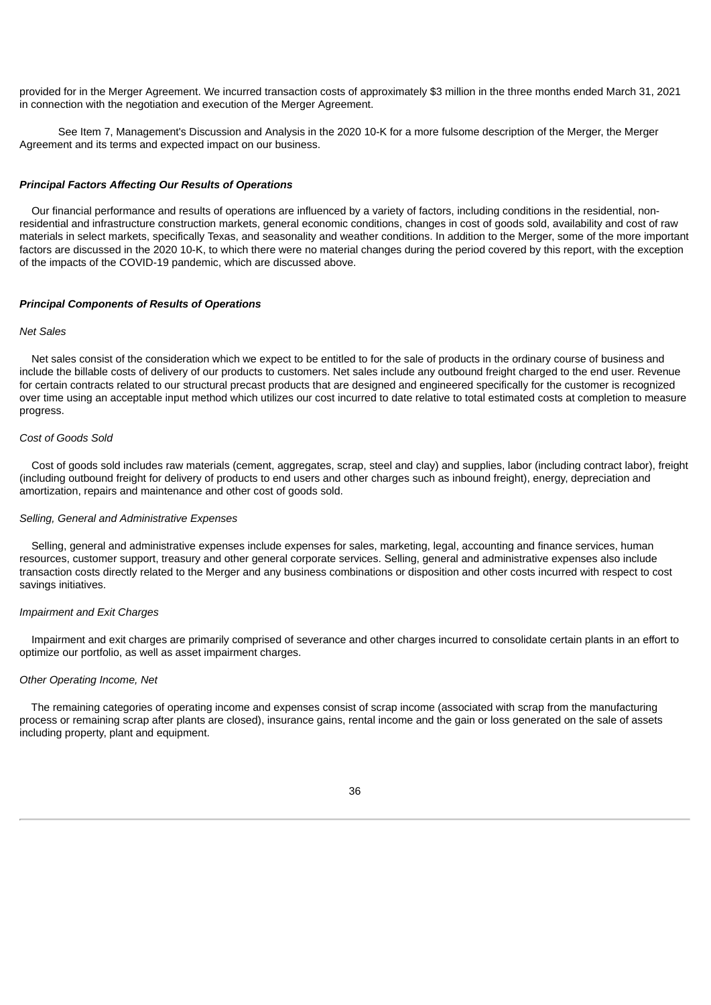provided for in the Merger Agreement. We incurred transaction costs of approximately \$3 million in the three months ended March 31, 2021 in connection with the negotiation and execution of the Merger Agreement.

See Item 7, Management's Discussion and Analysis in the 2020 10-K for a more fulsome description of the Merger, the Merger Agreement and its terms and expected impact on our business.

#### *Principal Factors Affecting Our Results of Operations*

Our financial performance and results of operations are influenced by a variety of factors, including conditions in the residential, nonresidential and infrastructure construction markets, general economic conditions, changes in cost of goods sold, availability and cost of raw materials in select markets, specifically Texas, and seasonality and weather conditions. In addition to the Merger, some of the more important factors are discussed in the 2020 10-K, to which there were no material changes during the period covered by this report, with the exception of the impacts of the COVID-19 pandemic, which are discussed above.

#### *Principal Components of Results of Operations*

## *Net Sales*

Net sales consist of the consideration which we expect to be entitled to for the sale of products in the ordinary course of business and include the billable costs of delivery of our products to customers. Net sales include any outbound freight charged to the end user. Revenue for certain contracts related to our structural precast products that are designed and engineered specifically for the customer is recognized over time using an acceptable input method which utilizes our cost incurred to date relative to total estimated costs at completion to measure progress.

#### *Cost of Goods Sold*

Cost of goods sold includes raw materials (cement, aggregates, scrap, steel and clay) and supplies, labor (including contract labor), freight (including outbound freight for delivery of products to end users and other charges such as inbound freight), energy, depreciation and amortization, repairs and maintenance and other cost of goods sold.

#### *Selling, General and Administrative Expenses*

Selling, general and administrative expenses include expenses for sales, marketing, legal, accounting and finance services, human resources, customer support, treasury and other general corporate services. Selling, general and administrative expenses also include transaction costs directly related to the Merger and any business combinations or disposition and other costs incurred with respect to cost savings initiatives.

## *Impairment and Exit Charges*

Impairment and exit charges are primarily comprised of severance and other charges incurred to consolidate certain plants in an effort to optimize our portfolio, as well as asset impairment charges.

#### *Other Operating Income, Net*

The remaining categories of operating income and expenses consist of scrap income (associated with scrap from the manufacturing process or remaining scrap after plants are closed), insurance gains, rental income and the gain or loss generated on the sale of assets including property, plant and equipment.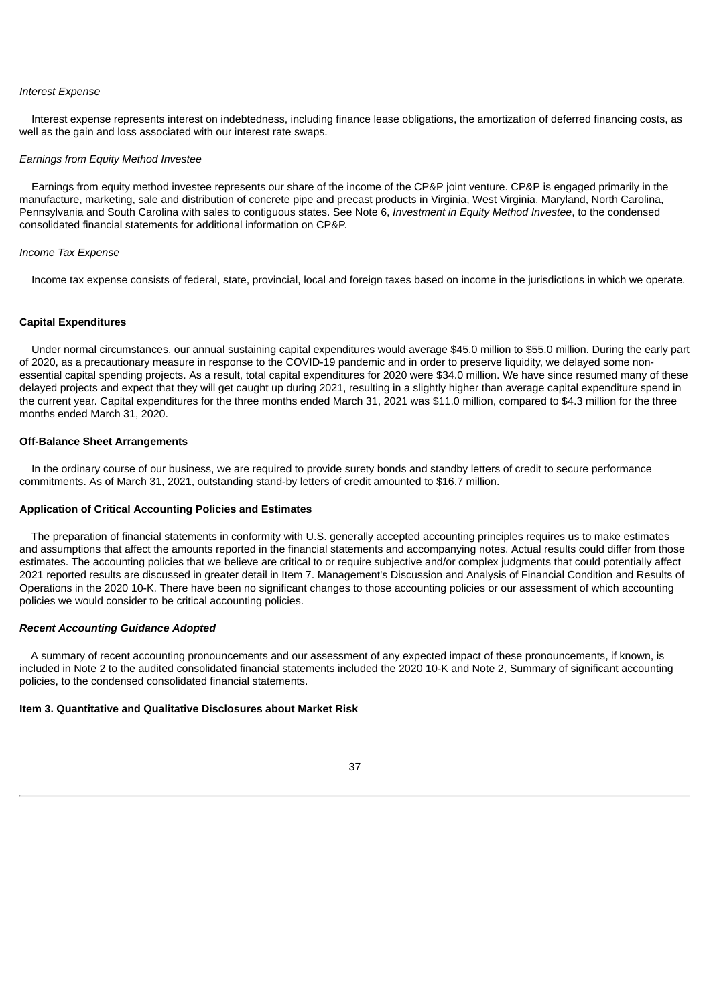#### *Interest Expense*

Interest expense represents interest on indebtedness, including finance lease obligations, the amortization of deferred financing costs, as well as the gain and loss associated with our interest rate swaps.

#### *Earnings from Equity Method Investee*

Earnings from equity method investee represents our share of the income of the CP&P joint venture. CP&P is engaged primarily in the manufacture, marketing, sale and distribution of concrete pipe and precast products in Virginia, West Virginia, Maryland, North Carolina, Pennsylvania and South Carolina with sales to contiguous states. See Note 6, *Investment in Equity Method Investee*, to the condensed consolidated financial statements for additional information on CP&P.

### *Income Tax Expense*

Income tax expense consists of federal, state, provincial, local and foreign taxes based on income in the jurisdictions in which we operate.

#### **Capital Expenditures**

Under normal circumstances, our annual sustaining capital expenditures would average \$45.0 million to \$55.0 million. During the early part of 2020, as a precautionary measure in response to the COVID-19 pandemic and in order to preserve liquidity, we delayed some nonessential capital spending projects. As a result, total capital expenditures for 2020 were \$34.0 million. We have since resumed many of these delayed projects and expect that they will get caught up during 2021, resulting in a slightly higher than average capital expenditure spend in the current year. Capital expenditures for the three months ended March 31, 2021 was \$11.0 million, compared to \$4.3 million for the three months ended March 31, 2020.

#### **Off-Balance Sheet Arrangements**

In the ordinary course of our business, we are required to provide surety bonds and standby letters of credit to secure performance commitments. As of March 31, 2021, outstanding stand-by letters of credit amounted to \$16.7 million.

#### **Application of Critical Accounting Policies and Estimates**

The preparation of financial statements in conformity with U.S. generally accepted accounting principles requires us to make estimates and assumptions that affect the amounts reported in the financial statements and accompanying notes. Actual results could differ from those estimates. The accounting policies that we believe are critical to or require subjective and/or complex judgments that could potentially affect 2021 reported results are discussed in greater detail in Item 7. Management's Discussion and Analysis of Financial Condition and Results of Operations in the 2020 10-K. There have been no significant changes to those accounting policies or our assessment of which accounting policies we would consider to be critical accounting policies.

### *Recent Accounting Guidance Adopted*

A summary of recent accounting pronouncements and our assessment of any expected impact of these pronouncements, if known, is included in Note 2 to the audited consolidated financial statements included the 2020 10-K and Note 2, Summary of significant accounting policies, to the condensed consolidated financial statements.

#### <span id="page-38-0"></span>**Item 3. Quantitative and Qualitative Disclosures about Market Risk**

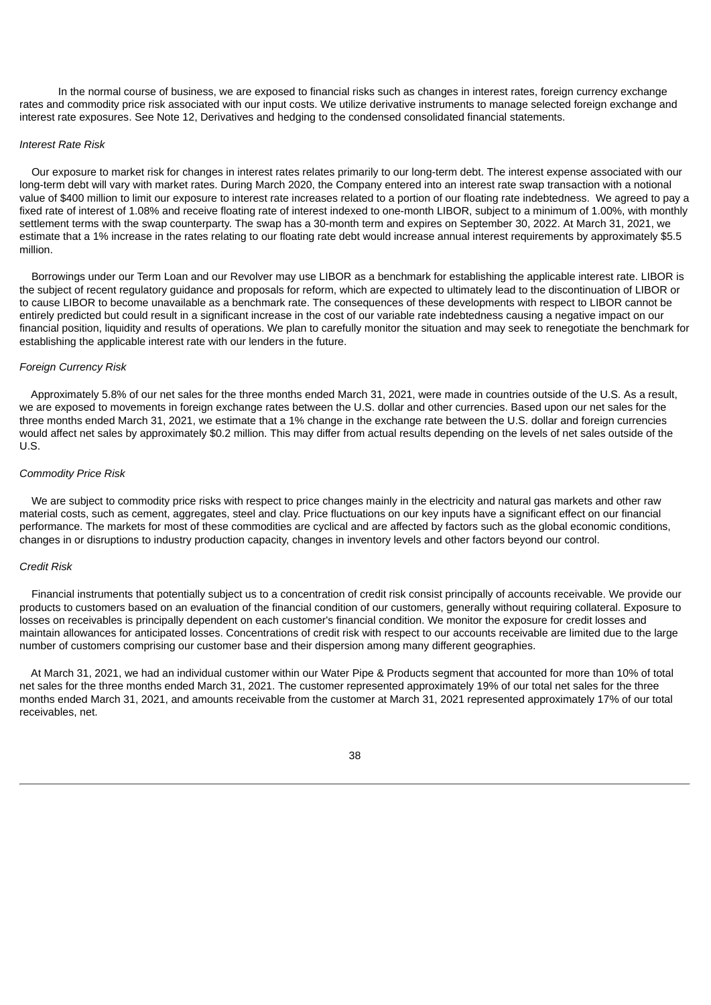In the normal course of business, we are exposed to financial risks such as changes in interest rates, foreign currency exchange rates and commodity price risk associated with our input costs. We utilize derivative instruments to manage selected foreign exchange and interest rate exposures. See Note 12, Derivatives and hedging to the condensed consolidated financial statements.

#### *Interest Rate Risk*

Our exposure to market risk for changes in interest rates relates primarily to our long-term debt. The interest expense associated with our long-term debt will vary with market rates. During March 2020, the Company entered into an interest rate swap transaction with a notional value of \$400 million to limit our exposure to interest rate increases related to a portion of our floating rate indebtedness. We agreed to pay a fixed rate of interest of 1.08% and receive floating rate of interest indexed to one-month LIBOR, subject to a minimum of 1.00%, with monthly settlement terms with the swap counterparty. The swap has a 30-month term and expires on September 30, 2022. At March 31, 2021, we estimate that a 1% increase in the rates relating to our floating rate debt would increase annual interest requirements by approximately \$5.5 million.

Borrowings under our Term Loan and our Revolver may use LIBOR as a benchmark for establishing the applicable interest rate. LIBOR is the subject of recent regulatory guidance and proposals for reform, which are expected to ultimately lead to the discontinuation of LIBOR or to cause LIBOR to become unavailable as a benchmark rate. The consequences of these developments with respect to LIBOR cannot be entirely predicted but could result in a significant increase in the cost of our variable rate indebtedness causing a negative impact on our financial position, liquidity and results of operations. We plan to carefully monitor the situation and may seek to renegotiate the benchmark for establishing the applicable interest rate with our lenders in the future.

## *Foreign Currency Risk*

Approximately 5.8% of our net sales for the three months ended March 31, 2021, were made in countries outside of the U.S. As a result, we are exposed to movements in foreign exchange rates between the U.S. dollar and other currencies. Based upon our net sales for the three months ended March 31, 2021, we estimate that a 1% change in the exchange rate between the U.S. dollar and foreign currencies would affect net sales by approximately \$0.2 million. This may differ from actual results depending on the levels of net sales outside of the U.S.

#### *Commodity Price Risk*

We are subject to commodity price risks with respect to price changes mainly in the electricity and natural gas markets and other raw material costs, such as cement, aggregates, steel and clay. Price fluctuations on our key inputs have a significant effect on our financial performance. The markets for most of these commodities are cyclical and are affected by factors such as the global economic conditions, changes in or disruptions to industry production capacity, changes in inventory levels and other factors beyond our control.

## *Credit Risk*

Financial instruments that potentially subject us to a concentration of credit risk consist principally of accounts receivable. We provide our products to customers based on an evaluation of the financial condition of our customers, generally without requiring collateral. Exposure to losses on receivables is principally dependent on each customer's financial condition. We monitor the exposure for credit losses and maintain allowances for anticipated losses. Concentrations of credit risk with respect to our accounts receivable are limited due to the large number of customers comprising our customer base and their dispersion among many different geographies.

At March 31, 2021, we had an individual customer within our Water Pipe & Products segment that accounted for more than 10% of total net sales for the three months ended March 31, 2021. The customer represented approximately 19% of our total net sales for the three months ended March 31, 2021, and amounts receivable from the customer at March 31, 2021 represented approximately 17% of our total receivables, net.

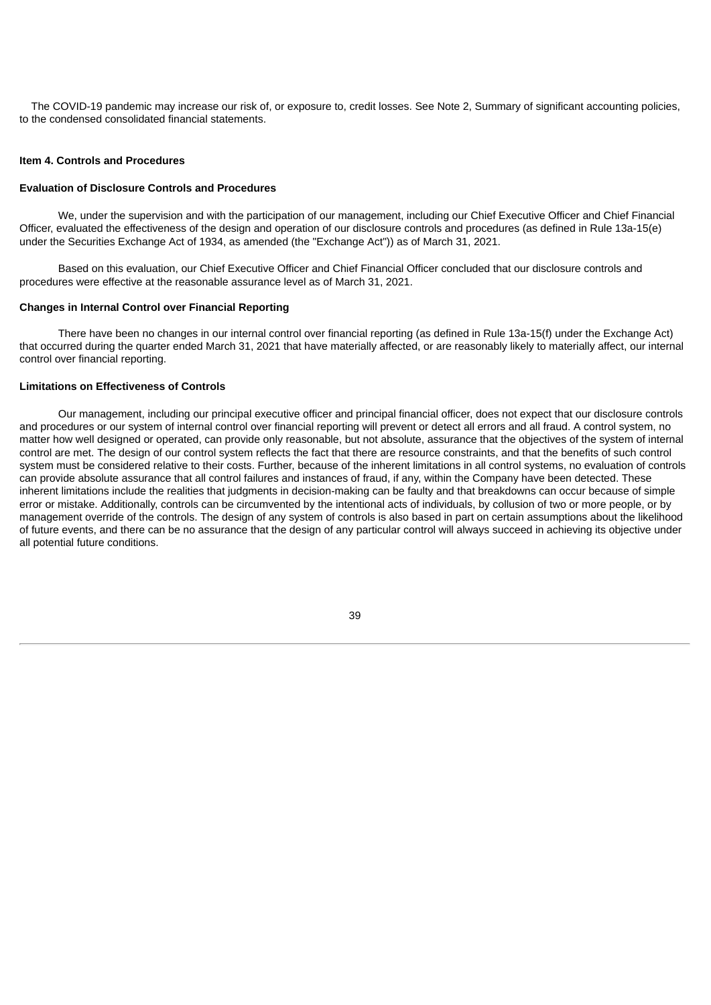The COVID-19 pandemic may increase our risk of, or exposure to, credit losses. See Note 2, Summary of significant accounting policies, to the condensed consolidated financial statements.

#### <span id="page-40-0"></span>**Item 4. Controls and Procedures**

## **Evaluation of Disclosure Controls and Procedures**

We, under the supervision and with the participation of our management, including our Chief Executive Officer and Chief Financial Officer, evaluated the effectiveness of the design and operation of our disclosure controls and procedures (as defined in Rule 13a-15(e) under the Securities Exchange Act of 1934, as amended (the "Exchange Act")) as of March 31, 2021.

Based on this evaluation, our Chief Executive Officer and Chief Financial Officer concluded that our disclosure controls and procedures were effective at the reasonable assurance level as of March 31, 2021.

#### **Changes in Internal Control over Financial Reporting**

There have been no changes in our internal control over financial reporting (as defined in Rule 13a-15(f) under the Exchange Act) that occurred during the quarter ended March 31, 2021 that have materially affected, or are reasonably likely to materially affect, our internal control over financial reporting.

## **Limitations on Effectiveness of Controls**

Our management, including our principal executive officer and principal financial officer, does not expect that our disclosure controls and procedures or our system of internal control over financial reporting will prevent or detect all errors and all fraud. A control system, no matter how well designed or operated, can provide only reasonable, but not absolute, assurance that the objectives of the system of internal control are met. The design of our control system reflects the fact that there are resource constraints, and that the benefits of such control system must be considered relative to their costs. Further, because of the inherent limitations in all control systems, no evaluation of controls can provide absolute assurance that all control failures and instances of fraud, if any, within the Company have been detected. These inherent limitations include the realities that judgments in decision-making can be faulty and that breakdowns can occur because of simple error or mistake. Additionally, controls can be circumvented by the intentional acts of individuals, by collusion of two or more people, or by management override of the controls. The design of any system of controls is also based in part on certain assumptions about the likelihood of future events, and there can be no assurance that the design of any particular control will always succeed in achieving its objective under all potential future conditions.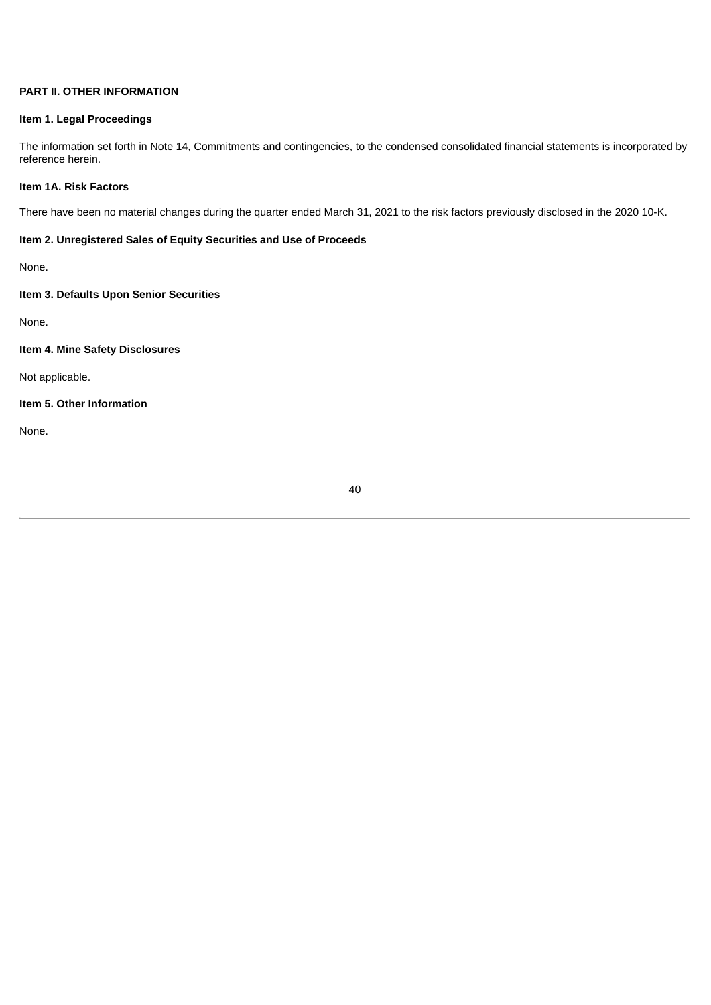# **PART II. OTHER INFORMATION**

## <span id="page-41-0"></span>**Item 1. Legal Proceedings**

The information set forth in Note 14, Commitments and contingencies, to the condensed consolidated financial statements is incorporated by reference herein.

## <span id="page-41-1"></span>**Item 1A. Risk Factors**

There have been no material changes during the quarter ended March 31, 2021 to the risk factors previously disclosed in the 2020 10-K.

## <span id="page-41-2"></span>**Item 2. Unregistered Sales of Equity Securities and Use of Proceeds**

None.

# <span id="page-41-3"></span>**Item 3. Defaults Upon Senior Securities**

None.

# <span id="page-41-4"></span>**Item 4. Mine Safety Disclosures**

Not applicable.

# <span id="page-41-5"></span>**Item 5. Other Information**

<span id="page-41-6"></span>None.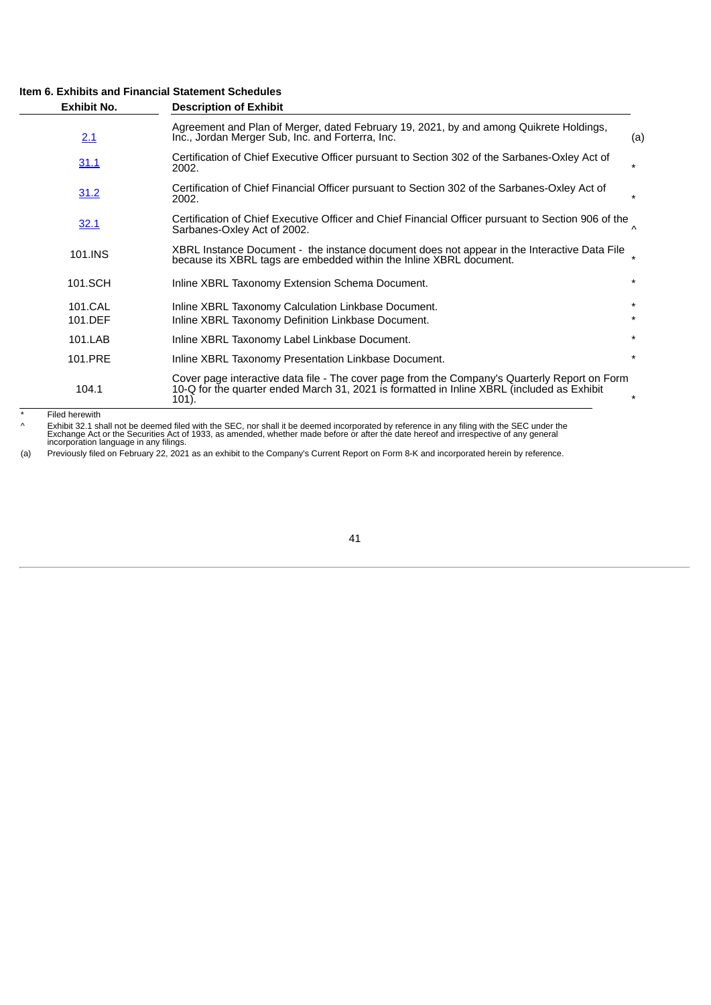## **Item 6. Exhibits and Financial Statement Schedules**

| <b>Exhibit No.</b> | <b>Description of Exhibit</b>                                                                                                                                                                        |                    |
|--------------------|------------------------------------------------------------------------------------------------------------------------------------------------------------------------------------------------------|--------------------|
| 2.1                | Agreement and Plan of Merger, dated February 19, 2021, by and among Quikrete Holdings,<br>Inc., Jordan Merger Sub, Inc. and Forterra, Inc.                                                           | (a)                |
| 31.1               | Certification of Chief Executive Officer pursuant to Section 302 of the Sarbanes-Oxley Act of<br>2002.                                                                                               | $\star$            |
| 31.2               | Certification of Chief Financial Officer pursuant to Section 302 of the Sarbanes-Oxley Act of<br>2002.                                                                                               | $\star$            |
| 32.1               | Certification of Chief Executive Officer and Chief Financial Officer pursuant to Section 906 of the<br>Sarbanes-Oxley Act of 2002.                                                                   | $\Lambda$          |
| 101.INS            | XBRL Instance Document - the instance document does not appear in the Interactive Data File<br>because its XBRL tags are embedded within the Inline XBRL document.                                   | $\star$            |
| 101.SCH            | Inline XBRL Taxonomy Extension Schema Document.                                                                                                                                                      | $\star$            |
| 101.CAL<br>101.DEF | Inline XBRL Taxonomy Calculation Linkbase Document.<br>Inline XBRL Taxonomy Definition Linkbase Document.                                                                                            | $\star$<br>$\star$ |
| 101.LAB            | Inline XBRL Taxonomy Label Linkbase Document.                                                                                                                                                        | $\star$            |
| 101.PRE            | Inline XBRL Taxonomy Presentation Linkbase Document.                                                                                                                                                 | $\star$            |
| 104.1              | Cover page interactive data file - The cover page from the Company's Quarterly Report on Form<br>10-Q for the quarter ended March 31, 2021 is formatted in Inline XBRL (included as Exhibit<br>101). | $\star$            |

\* Filed herewith

^ Exhibit 32.1 shall not be deemed filed with the SEC, nor shall it be deemed incorporated by reference in any filing with the SEC under the<br>Exchange Act or the Securities Act of 1933, as amended, whether made before or af

(a) Previously filed on February 22, 2021 as an exhibit to the Company's Current Report on Form 8-K and incorporated herein by reference.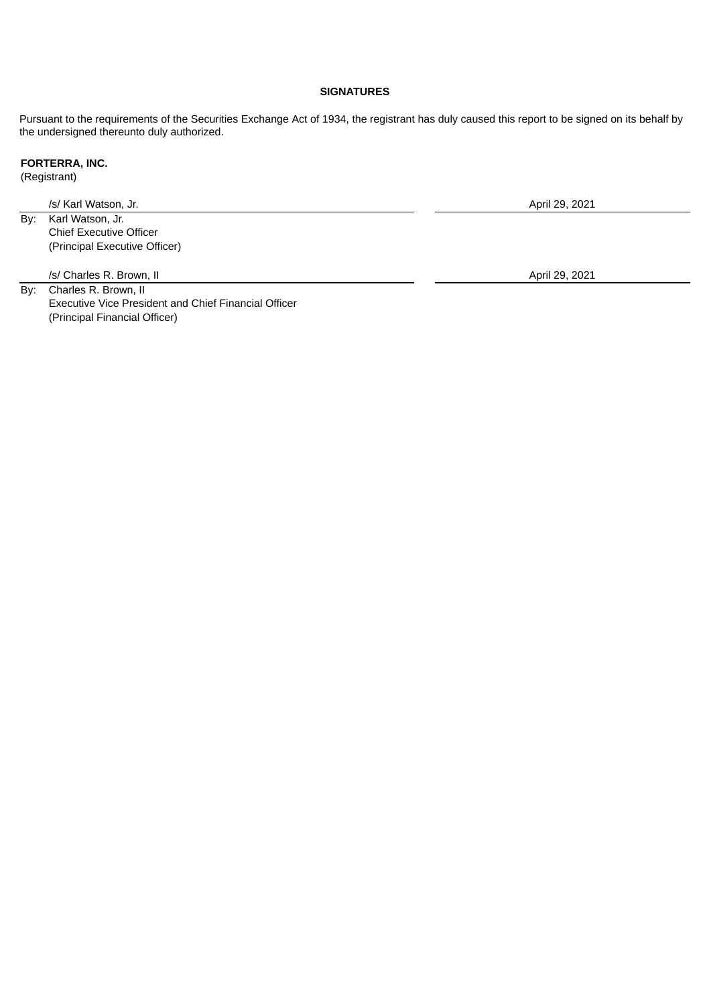## **SIGNATURES**

Pursuant to the requirements of the Securities Exchange Act of 1934, the registrant has duly caused this report to be signed on its behalf by the undersigned thereunto duly authorized.

# **FORTERRA, INC.**

(Registrant)

/s/ Karl Watson, Jr. April 29, 2021

By: Karl Watson, Jr. Chief Executive Officer (Principal Executive Officer)

/s/ Charles R. Brown, II April 29, 2021

By: Charles R. Brown, II Executive Vice President and Chief Financial Officer (Principal Financial Officer)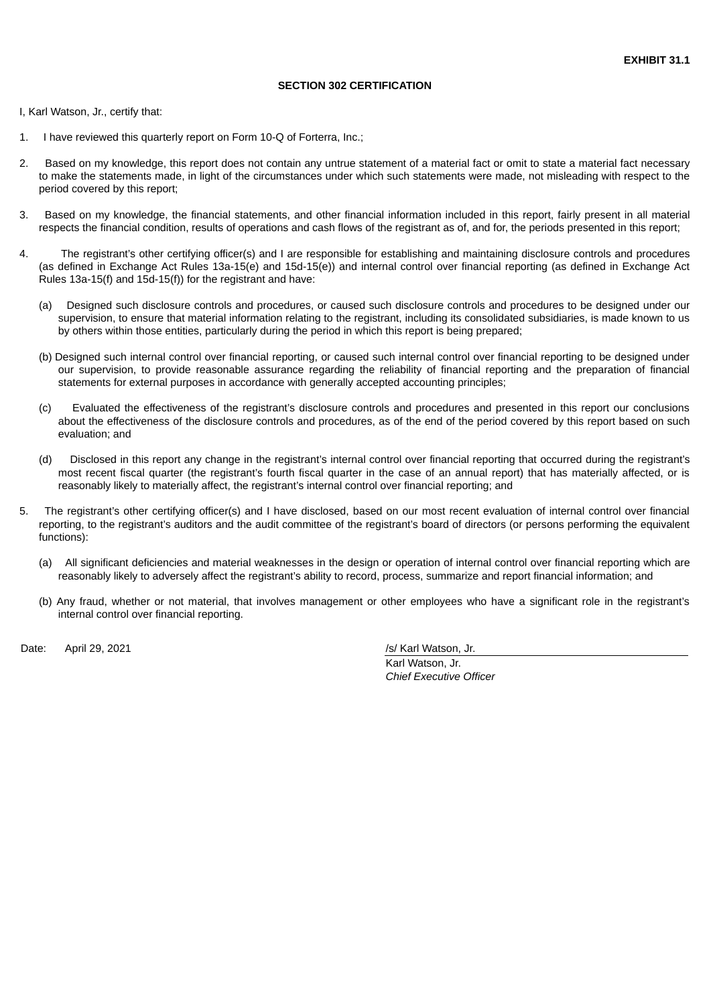## **SECTION 302 CERTIFICATION**

<span id="page-44-0"></span>I, Karl Watson, Jr., certify that:

- 1. I have reviewed this quarterly report on Form 10-Q of Forterra, Inc.;
- 2. Based on my knowledge, this report does not contain any untrue statement of a material fact or omit to state a material fact necessary to make the statements made, in light of the circumstances under which such statements were made, not misleading with respect to the period covered by this report;
- 3. Based on my knowledge, the financial statements, and other financial information included in this report, fairly present in all material respects the financial condition, results of operations and cash flows of the registrant as of, and for, the periods presented in this report;
- 4. The registrant's other certifying officer(s) and I are responsible for establishing and maintaining disclosure controls and procedures (as defined in Exchange Act Rules 13a-15(e) and 15d-15(e)) and internal control over financial reporting (as defined in Exchange Act Rules 13a-15(f) and 15d-15(f)) for the registrant and have:
	- (a) Designed such disclosure controls and procedures, or caused such disclosure controls and procedures to be designed under our supervision, to ensure that material information relating to the registrant, including its consolidated subsidiaries, is made known to us by others within those entities, particularly during the period in which this report is being prepared;
	- (b) Designed such internal control over financial reporting, or caused such internal control over financial reporting to be designed under our supervision, to provide reasonable assurance regarding the reliability of financial reporting and the preparation of financial statements for external purposes in accordance with generally accepted accounting principles;
	- (c) Evaluated the effectiveness of the registrant's disclosure controls and procedures and presented in this report our conclusions about the effectiveness of the disclosure controls and procedures, as of the end of the period covered by this report based on such evaluation; and
	- (d) Disclosed in this report any change in the registrant's internal control over financial reporting that occurred during the registrant's most recent fiscal quarter (the registrant's fourth fiscal quarter in the case of an annual report) that has materially affected, or is reasonably likely to materially affect, the registrant's internal control over financial reporting; and
- 5. The registrant's other certifying officer(s) and I have disclosed, based on our most recent evaluation of internal control over financial reporting, to the registrant's auditors and the audit committee of the registrant's board of directors (or persons performing the equivalent functions):
	- (a) All significant deficiencies and material weaknesses in the design or operation of internal control over financial reporting which are reasonably likely to adversely affect the registrant's ability to record, process, summarize and report financial information; and
	- (b) Any fraud, whether or not material, that involves management or other employees who have a significant role in the registrant's internal control over financial reporting.

Date: April 29, 2021 **but a straight a straight a straight a straight a straight a straight a straight a straight a straight a straight a straight a straight a straight a straight a straight a straight a straight a straigh** 

Karl Watson, Jr. *Chief Executive Officer*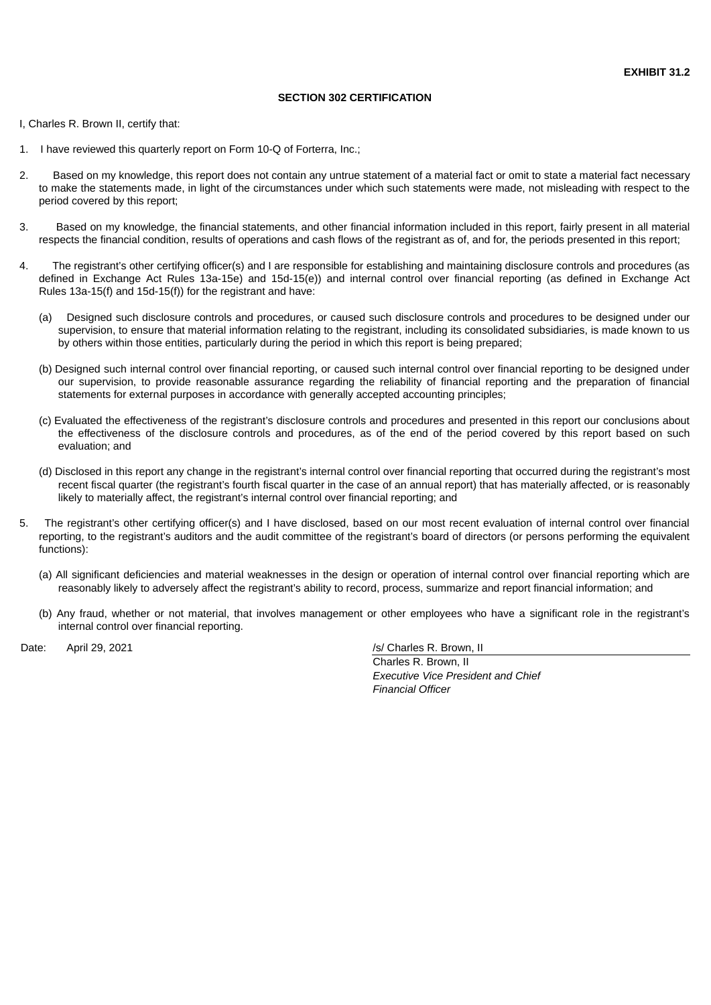## **SECTION 302 CERTIFICATION**

<span id="page-45-0"></span>I, Charles R. Brown II, certify that:

- 1. I have reviewed this quarterly report on Form 10-Q of Forterra, Inc.;
- 2. Based on my knowledge, this report does not contain any untrue statement of a material fact or omit to state a material fact necessary to make the statements made, in light of the circumstances under which such statements were made, not misleading with respect to the period covered by this report;
- 3. Based on my knowledge, the financial statements, and other financial information included in this report, fairly present in all material respects the financial condition, results of operations and cash flows of the registrant as of, and for, the periods presented in this report;
- 4. The registrant's other certifying officer(s) and I are responsible for establishing and maintaining disclosure controls and procedures (as defined in Exchange Act Rules 13a-15e) and 15d-15(e)) and internal control over financial reporting (as defined in Exchange Act Rules 13a-15(f) and 15d-15(f)) for the registrant and have:
	- (a) Designed such disclosure controls and procedures, or caused such disclosure controls and procedures to be designed under our supervision, to ensure that material information relating to the registrant, including its consolidated subsidiaries, is made known to us by others within those entities, particularly during the period in which this report is being prepared;
	- (b) Designed such internal control over financial reporting, or caused such internal control over financial reporting to be designed under our supervision, to provide reasonable assurance regarding the reliability of financial reporting and the preparation of financial statements for external purposes in accordance with generally accepted accounting principles;
	- (c) Evaluated the effectiveness of the registrant's disclosure controls and procedures and presented in this report our conclusions about the effectiveness of the disclosure controls and procedures, as of the end of the period covered by this report based on such evaluation; and
	- (d) Disclosed in this report any change in the registrant's internal control over financial reporting that occurred during the registrant's most recent fiscal quarter (the registrant's fourth fiscal quarter in the case of an annual report) that has materially affected, or is reasonably likely to materially affect, the registrant's internal control over financial reporting; and
- 5. The registrant's other certifying officer(s) and I have disclosed, based on our most recent evaluation of internal control over financial reporting, to the registrant's auditors and the audit committee of the registrant's board of directors (or persons performing the equivalent functions):
	- (a) All significant deficiencies and material weaknesses in the design or operation of internal control over financial reporting which are reasonably likely to adversely affect the registrant's ability to record, process, summarize and report financial information; and
	- (b) Any fraud, whether or not material, that involves management or other employees who have a significant role in the registrant's internal control over financial reporting.

Date: April 29, 2021 /s/ Charles R. Brown, II

Charles R. Brown, II *Executive Vice President and Chief Financial Officer*